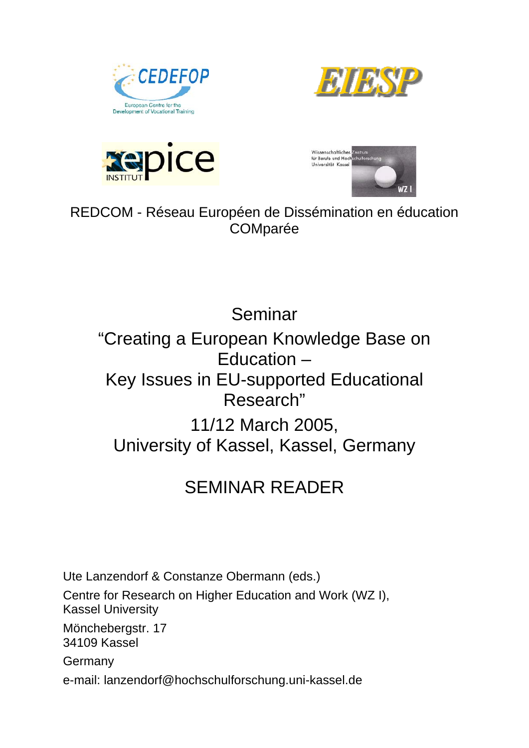







REDCOM - Réseau Européen de Dissémination en éducation COMparée

Seminar "Creating a European Knowledge Base on Education – Key Issues in EU-supported Educational Research" 11/12 March 2005, University of Kassel, Kassel, Germany

# SEMINAR READER

Ute Lanzendorf & Constanze Obermann (eds.) Centre for Research on Higher Education and Work (WZ I), Kassel University Mönchebergstr. 17 34109 Kassel Germany e-mail: lanzendorf@hochschulforschung.uni-kassel.de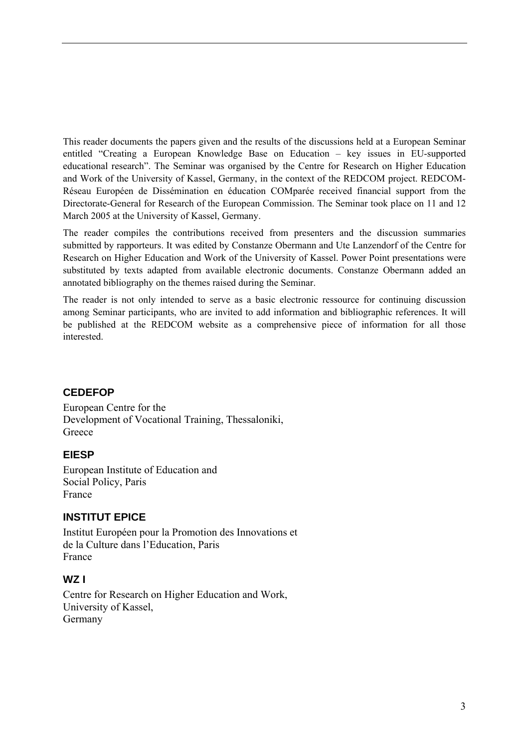This reader documents the papers given and the results of the discussions held at a European Seminar entitled "Creating a European Knowledge Base on Education – key issues in EU-supported educational research". The Seminar was organised by the Centre for Research on Higher Education and Work of the University of Kassel, Germany, in the context of the REDCOM project. REDCOM-Réseau Européen de Dissémination en éducation COMparée received financial support from the Directorate-General for Research of the European Commission. The Seminar took place on 11 and 12 March 2005 at the University of Kassel, Germany.

The reader compiles the contributions received from presenters and the discussion summaries submitted by rapporteurs. It was edited by Constanze Obermann and Ute Lanzendorf of the Centre for Research on Higher Education and Work of the University of Kassel. Power Point presentations were substituted by texts adapted from available electronic documents. Constanze Obermann added an annotated bibliography on the themes raised during the Seminar.

The reader is not only intended to serve as a basic electronic ressource for continuing discussion among Seminar participants, who are invited to add information and bibliographic references. It will be published at the REDCOM website as a comprehensive piece of information for all those **interested** 

#### **CEDEFOP**

European Centre for the Development of Vocational Training, Thessaloniki, **Greece** 

#### **EIESP**

European Institute of Education and Social Policy, Paris France

#### **INSTITUT EPICE**

Institut Européen pour la Promotion des Innovations et de la Culture dans l'Education, Paris France

#### **WZ I**

Centre for Research on Higher Education and Work, University of Kassel, Germany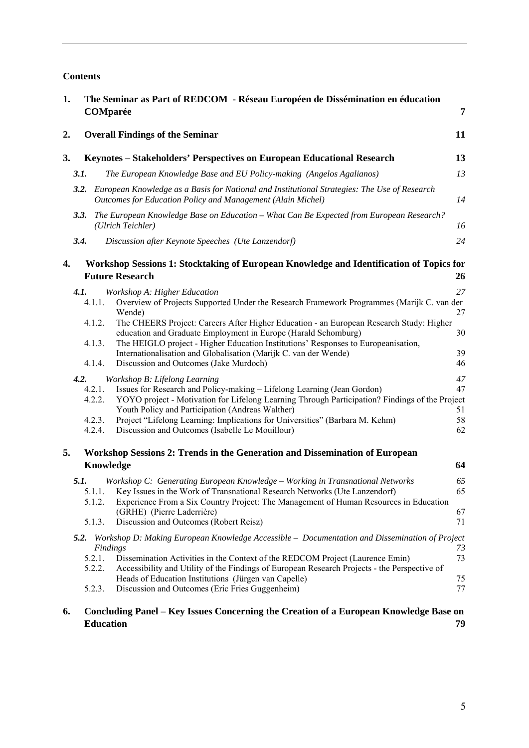#### **Contents**

| 1. |                                              | The Seminar as Part of REDCOM - Réseau Européen de Dissémination en éducation<br>COMparée                                                                                                                                                                                                                                                                                                         | 7                          |
|----|----------------------------------------------|---------------------------------------------------------------------------------------------------------------------------------------------------------------------------------------------------------------------------------------------------------------------------------------------------------------------------------------------------------------------------------------------------|----------------------------|
| 2. |                                              | <b>Overall Findings of the Seminar</b>                                                                                                                                                                                                                                                                                                                                                            | 11                         |
| 3. |                                              | Keynotes - Stakeholders' Perspectives on European Educational Research                                                                                                                                                                                                                                                                                                                            | 13                         |
|    | 3.1.                                         | The European Knowledge Base and EU Policy-making (Angelos Agalianos)                                                                                                                                                                                                                                                                                                                              | 13                         |
|    | 3.2.                                         | European Knowledge as a Basis for National and Institutional Strategies: The Use of Research<br><b>Outcomes for Education Policy and Management (Alain Michel)</b>                                                                                                                                                                                                                                | 14                         |
|    | 3.3.                                         | The European Knowledge Base on Education - What Can Be Expected from European Research?<br>(Ulrich Teichler)                                                                                                                                                                                                                                                                                      | 16                         |
|    | 3.4.                                         | Discussion after Keynote Speeches (Ute Lanzendorf)                                                                                                                                                                                                                                                                                                                                                | 24                         |
| 4. |                                              | Workshop Sessions 1: Stocktaking of European Knowledge and Identification of Topics for<br><b>Future Research</b>                                                                                                                                                                                                                                                                                 | 26                         |
|    | 4.1.<br>4.1.1.                               | Workshop A: Higher Education<br>Overview of Projects Supported Under the Research Framework Programmes (Marijk C. van der<br>Wende)                                                                                                                                                                                                                                                               | 27<br>27                   |
|    | 4.1.2.<br>4.1.3.                             | The CHEERS Project: Careers After Higher Education - an European Research Study: Higher<br>education and Graduate Employment in Europe (Harald Schomburg)<br>The HEIGLO project - Higher Education Institutions' Responses to Europeanisation,                                                                                                                                                    | 30                         |
|    | 4.1.4.                                       | Internationalisation and Globalisation (Marijk C. van der Wende)<br>Discussion and Outcomes (Jake Murdoch)                                                                                                                                                                                                                                                                                        | 39<br>46                   |
|    | 4.2.<br>4.2.1.<br>4.2.2.<br>4.2.3.<br>4.2.4. | Workshop B: Lifelong Learning<br>Issues for Research and Policy-making - Lifelong Learning (Jean Gordon)<br>YOYO project - Motivation for Lifelong Learning Through Participation? Findings of the Project<br>Youth Policy and Participation (Andreas Walther)<br>Project "Lifelong Learning: Implications for Universities" (Barbara M. Kehm)<br>Discussion and Outcomes (Isabelle Le Mouillour) | 47<br>47<br>51<br>58<br>62 |
| 5. |                                              | Workshop Sessions 2: Trends in the Generation and Dissemination of European<br>Knowledge                                                                                                                                                                                                                                                                                                          | 64                         |
|    | 5.1.<br>5.1.2.                               | Workshop C: Generating European Knowledge - Working in Transnational Networks<br>5.1.1. Key Issues in the Work of Transnational Research Networks (Ute Lanzendorf)<br>Experience From a Six Country Project: The Management of Human Resources in Education                                                                                                                                       | 65<br>65                   |
|    | 5.1.3.                                       | (GRHE) (Pierre Laderrière)<br>Discussion and Outcomes (Robert Reisz)                                                                                                                                                                                                                                                                                                                              | 67<br>71                   |
|    |                                              | 5.2. Workshop D: Making European Knowledge Accessible - Documentation and Dissemination of Project<br><b>Findings</b>                                                                                                                                                                                                                                                                             | 73                         |
|    | 5.2.1.<br>5.2.2.                             | Dissemination Activities in the Context of the REDCOM Project (Laurence Emin)<br>Accessibility and Utility of the Findings of European Research Projects - the Perspective of<br>Heads of Education Institutions (Jürgen van Capelle)                                                                                                                                                             | 73<br>75                   |
|    | 5.2.3.                                       | Discussion and Outcomes (Eric Fries Guggenheim)                                                                                                                                                                                                                                                                                                                                                   | 77                         |
| 6. |                                              | <b>Concluding Panel – Key Issues Concerning the Creation of a European Knowledge Base on</b><br><b>Education</b>                                                                                                                                                                                                                                                                                  | 79                         |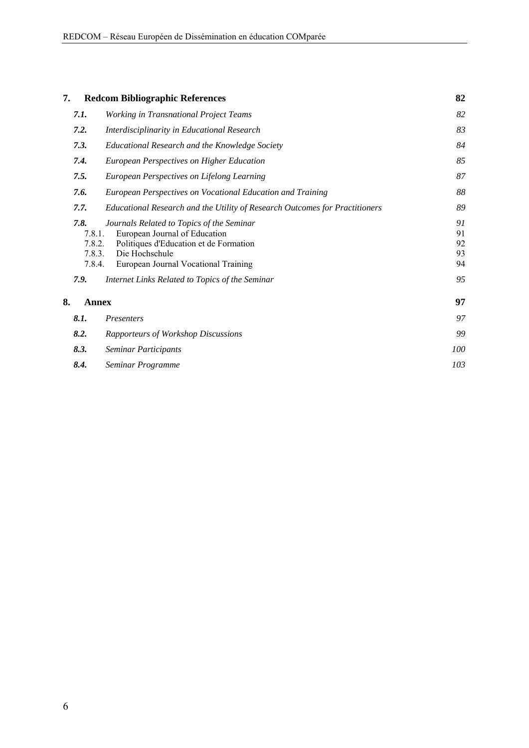| <b>Redcom Bibliographic References</b>                                                                                                                                                                                         | 82  |
|--------------------------------------------------------------------------------------------------------------------------------------------------------------------------------------------------------------------------------|-----|
| <b>Working in Transnational Project Teams</b>                                                                                                                                                                                  | 82  |
| Interdisciplinarity in Educational Research                                                                                                                                                                                    | 83  |
| Educational Research and the Knowledge Society                                                                                                                                                                                 | 84  |
| <b>European Perspectives on Higher Education</b>                                                                                                                                                                               | 85  |
| European Perspectives on Lifelong Learning                                                                                                                                                                                     | 87  |
| European Perspectives on Vocational Education and Training                                                                                                                                                                     | 88  |
| Educational Research and the Utility of Research Outcomes for Practitioners                                                                                                                                                    | 89  |
| 7.8.<br>Journals Related to Topics of the Seminar<br>European Journal of Education<br>7.8.1.<br>7.8.2.<br>Politiques d'Education et de Formation<br>Die Hochschule<br>7.8.3.<br>7.8.4.<br>European Journal Vocational Training |     |
| Internet Links Related to Topics of the Seminar                                                                                                                                                                                | 95  |
| 8.<br><b>Annex</b>                                                                                                                                                                                                             |     |
| Presenters                                                                                                                                                                                                                     | 97  |
| Rapporteurs of Workshop Discussions                                                                                                                                                                                            | 99  |
| Seminar Participants                                                                                                                                                                                                           | 100 |
| Seminar Programme                                                                                                                                                                                                              | 103 |
|                                                                                                                                                                                                                                |     |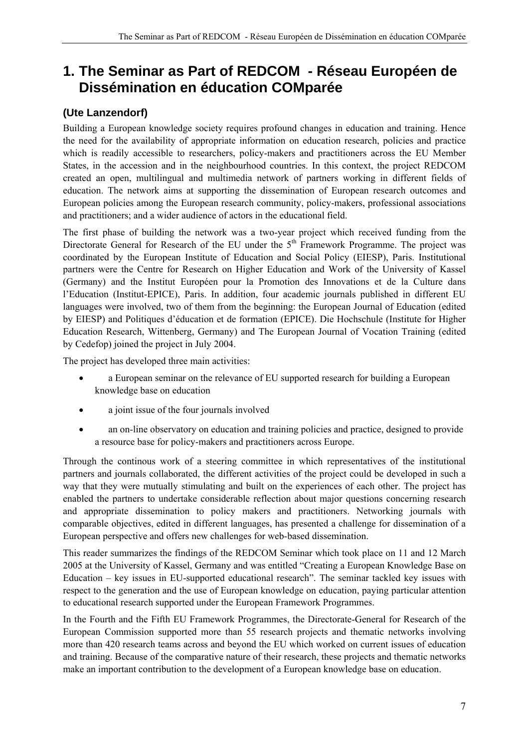# **1. The Seminar as Part of REDCOM - Réseau Européen de Dissémination en éducation COMparée**

# **(Ute Lanzendorf)**

Building a European knowledge society requires profound changes in education and training. Hence the need for the availability of appropriate information on education research, policies and practice which is readily accessible to researchers, policy-makers and practitioners across the EU Member States, in the accession and in the neighbourhood countries. In this context, the project REDCOM created an open, multilingual and multimedia network of partners working in different fields of education. The network aims at supporting the dissemination of European research outcomes and European policies among the European research community, policy-makers, professional associations and practitioners; and a wider audience of actors in the educational field.

The first phase of building the network was a two-year project which received funding from the Directorate General for Research of the EU under the 5<sup>th</sup> Framework Programme. The project was coordinated by the European Institute of Education and Social Policy (EIESP), Paris. Institutional partners were the Centre for Research on Higher Education and Work of the University of Kassel (Germany) and the Institut Européen pour la Promotion des Innovations et de la Culture dans l'Education (Institut-EPICE), Paris. In addition, four academic journals published in different EU languages were involved, two of them from the beginning: the European Journal of Education (edited by EIESP) and Politiques d'éducation et de formation (EPICE). Die Hochschule (Institute for Higher Education Research, Wittenberg, Germany) and The European Journal of Vocation Training (edited by Cedefop) joined the project in July 2004.

The project has developed three main activities:

- a European seminar on the relevance of EU supported research for building a European knowledge base on education
- a joint issue of the four journals involved
- an on-line observatory on education and training policies and practice, designed to provide a resource base for policy-makers and practitioners across Europe.

Through the continous work of a steering committee in which representatives of the institutional partners and journals collaborated, the different activities of the project could be developed in such a way that they were mutually stimulating and built on the experiences of each other. The project has enabled the partners to undertake considerable reflection about major questions concerning research and appropriate dissemination to policy makers and practitioners. Networking journals with comparable objectives, edited in different languages, has presented a challenge for dissemination of a European perspective and offers new challenges for web-based dissemination.

This reader summarizes the findings of the REDCOM Seminar which took place on 11 and 12 March 2005 at the University of Kassel, Germany and was entitled "Creating a European Knowledge Base on Education – key issues in EU-supported educational research". The seminar tackled key issues with respect to the generation and the use of European knowledge on education, paying particular attention to educational research supported under the European Framework Programmes.

In the Fourth and the Fifth EU Framework Programmes, the Directorate-General for Research of the European Commission supported more than 55 research projects and thematic networks involving more than 420 research teams across and beyond the EU which worked on current issues of education and training. Because of the comparative nature of their research, these projects and thematic networks make an important contribution to the development of a European knowledge base on education.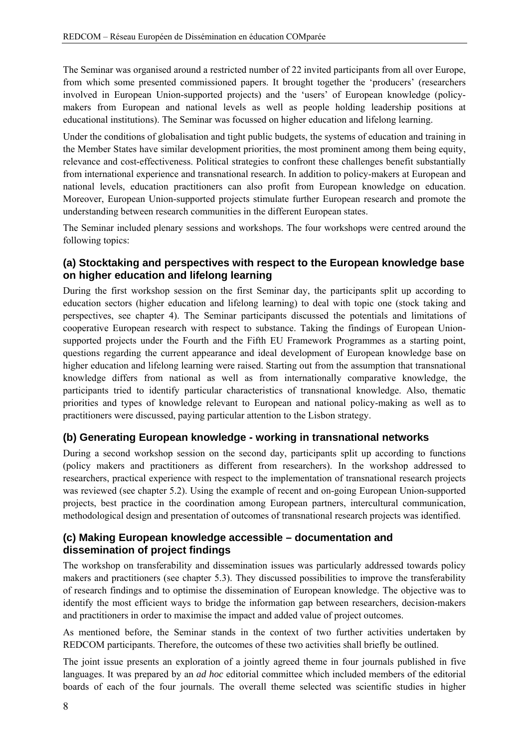The Seminar was organised around a restricted number of 22 invited participants from all over Europe, from which some presented commissioned papers. It brought together the 'producers' (researchers involved in European Union-supported projects) and the 'users' of European knowledge (policymakers from European and national levels as well as people holding leadership positions at educational institutions). The Seminar was focussed on higher education and lifelong learning.

Under the conditions of globalisation and tight public budgets, the systems of education and training in the Member States have similar development priorities, the most prominent among them being equity, relevance and cost-effectiveness. Political strategies to confront these challenges benefit substantially from international experience and transnational research. In addition to policy-makers at European and national levels, education practitioners can also profit from European knowledge on education. Moreover, European Union-supported projects stimulate further European research and promote the understanding between research communities in the different European states.

The Seminar included plenary sessions and workshops. The four workshops were centred around the following topics:

#### **(a) Stocktaking and perspectives with respect to the European knowledge base on higher education and lifelong learning**

During the first workshop session on the first Seminar day, the participants split up according to education sectors (higher education and lifelong learning) to deal with topic one (stock taking and perspectives, see chapter 4). The Seminar participants discussed the potentials and limitations of cooperative European research with respect to substance. Taking the findings of European Unionsupported projects under the Fourth and the Fifth EU Framework Programmes as a starting point, questions regarding the current appearance and ideal development of European knowledge base on higher education and lifelong learning were raised. Starting out from the assumption that transnational knowledge differs from national as well as from internationally comparative knowledge, the participants tried to identify particular characteristics of transnational knowledge. Also, thematic priorities and types of knowledge relevant to European and national policy-making as well as to practitioners were discussed, paying particular attention to the Lisbon strategy.

#### **(b) Generating European knowledge - working in transnational networks**

During a second workshop session on the second day, participants split up according to functions (policy makers and practitioners as different from researchers). In the workshop addressed to researchers, practical experience with respect to the implementation of transnational research projects was reviewed (see chapter 5.2). Using the example of recent and on-going European Union-supported projects, best practice in the coordination among European partners, intercultural communication, methodological design and presentation of outcomes of transnational research projects was identified.

#### **(c) Making European knowledge accessible – documentation and dissemination of project findings**

The workshop on transferability and dissemination issues was particularly addressed towards policy makers and practitioners (see chapter 5.3). They discussed possibilities to improve the transferability of research findings and to optimise the dissemination of European knowledge. The objective was to identify the most efficient ways to bridge the information gap between researchers, decision-makers and practitioners in order to maximise the impact and added value of project outcomes.

As mentioned before, the Seminar stands in the context of two further activities undertaken by REDCOM participants. Therefore, the outcomes of these two activities shall briefly be outlined.

The joint issue presents an exploration of a jointly agreed theme in four journals published in five languages. It was prepared by an *ad hoc* editorial committee which included members of the editorial boards of each of the four journals. The overall theme selected was scientific studies in higher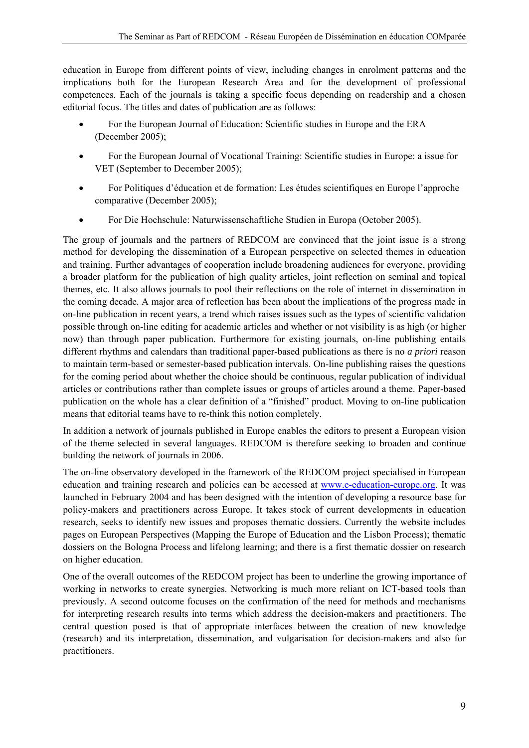education in Europe from different points of view, including changes in enrolment patterns and the implications both for the European Research Area and for the development of professional competences. Each of the journals is taking a specific focus depending on readership and a chosen editorial focus. The titles and dates of publication are as follows:

- For the European Journal of Education: Scientific studies in Europe and the ERA (December 2005);
- For the European Journal of Vocational Training: Scientific studies in Europe: a issue for VET (September to December 2005);
- For Politiques d'éducation et de formation: Les études scientifiques en Europe l'approche comparative (December 2005);
- For Die Hochschule: Naturwissenschaftliche Studien in Europa (October 2005).

The group of journals and the partners of REDCOM are convinced that the joint issue is a strong method for developing the dissemination of a European perspective on selected themes in education and training. Further advantages of cooperation include broadening audiences for everyone, providing a broader platform for the publication of high quality articles, joint reflection on seminal and topical themes, etc. It also allows journals to pool their reflections on the role of internet in dissemination in the coming decade. A major area of reflection has been about the implications of the progress made in on-line publication in recent years, a trend which raises issues such as the types of scientific validation possible through on-line editing for academic articles and whether or not visibility is as high (or higher now) than through paper publication. Furthermore for existing journals, on-line publishing entails different rhythms and calendars than traditional paper-based publications as there is no *a priori* reason to maintain term-based or semester-based publication intervals. On-line publishing raises the questions for the coming period about whether the choice should be continuous, regular publication of individual articles or contributions rather than complete issues or groups of articles around a theme. Paper-based publication on the whole has a clear definition of a "finished" product. Moving to on-line publication means that editorial teams have to re-think this notion completely.

In addition a network of journals published in Europe enables the editors to present a European vision of the theme selected in several languages. REDCOM is therefore seeking to broaden and continue building the network of journals in 2006.

The on-line observatory developed in the framework of the REDCOM project specialised in European education and training research and policies can be accessed at www.e-education-europe.org. It was launched in February 2004 and has been designed with the intention of developing a resource base for policy-makers and practitioners across Europe. It takes stock of current developments in education research, seeks to identify new issues and proposes thematic dossiers. Currently the website includes pages on European Perspectives (Mapping the Europe of Education and the Lisbon Process); thematic dossiers on the Bologna Process and lifelong learning; and there is a first thematic dossier on research on higher education.

One of the overall outcomes of the REDCOM project has been to underline the growing importance of working in networks to create synergies. Networking is much more reliant on ICT-based tools than previously. A second outcome focuses on the confirmation of the need for methods and mechanisms for interpreting research results into terms which address the decision-makers and practitioners. The central question posed is that of appropriate interfaces between the creation of new knowledge (research) and its interpretation, dissemination, and vulgarisation for decision-makers and also for practitioners.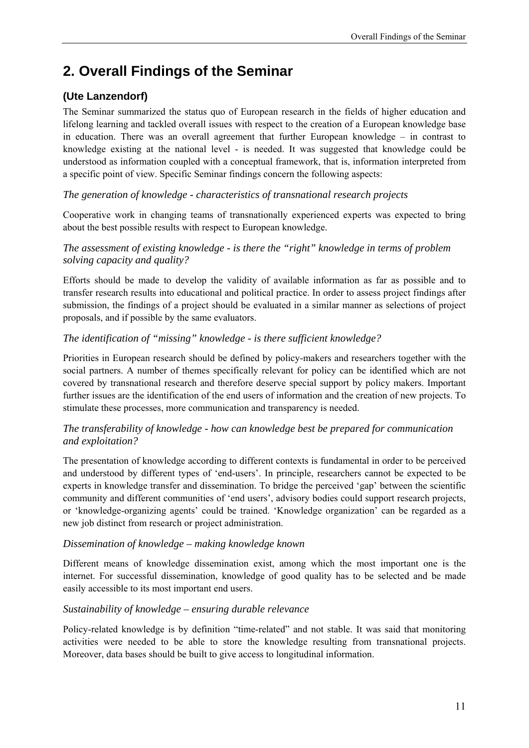# **2. Overall Findings of the Seminar**

# **(Ute Lanzendorf)**

The Seminar summarized the status quo of European research in the fields of higher education and lifelong learning and tackled overall issues with respect to the creation of a European knowledge base in education. There was an overall agreement that further European knowledge  $-$  in contrast to knowledge existing at the national level - is needed. It was suggested that knowledge could be understood as information coupled with a conceptual framework, that is, information interpreted from a specific point of view. Specific Seminar findings concern the following aspects:

#### *The generation of knowledge - characteristics of transnational research projects*

Cooperative work in changing teams of transnationally experienced experts was expected to bring about the best possible results with respect to European knowledge.

#### *The assessment of existing knowledge - is there the "right" knowledge in terms of problem solving capacity and quality?*

Efforts should be made to develop the validity of available information as far as possible and to transfer research results into educational and political practice. In order to assess project findings after submission, the findings of a project should be evaluated in a similar manner as selections of project proposals, and if possible by the same evaluators.

#### *The identification of "missing" knowledge - is there sufficient knowledge?*

Priorities in European research should be defined by policy-makers and researchers together with the social partners. A number of themes specifically relevant for policy can be identified which are not covered by transnational research and therefore deserve special support by policy makers. Important further issues are the identification of the end users of information and the creation of new projects. To stimulate these processes, more communication and transparency is needed.

#### *The transferability of knowledge - how can knowledge best be prepared for communication and exploitation?*

The presentation of knowledge according to different contexts is fundamental in order to be perceived and understood by different types of 'end-users'. In principle, researchers cannot be expected to be experts in knowledge transfer and dissemination. To bridge the perceived 'gap' between the scientific community and different communities of 'end users', advisory bodies could support research projects, or 'knowledge-organizing agents' could be trained. 'Knowledge organization' can be regarded as a new job distinct from research or project administration.

#### *Dissemination of knowledge – making knowledge known*

Different means of knowledge dissemination exist, among which the most important one is the internet. For successful dissemination, knowledge of good quality has to be selected and be made easily accessible to its most important end users.

#### *Sustainability of knowledge – ensuring durable relevance*

Policy-related knowledge is by definition "time-related" and not stable. It was said that monitoring activities were needed to be able to store the knowledge resulting from transnational projects. Moreover, data bases should be built to give access to longitudinal information.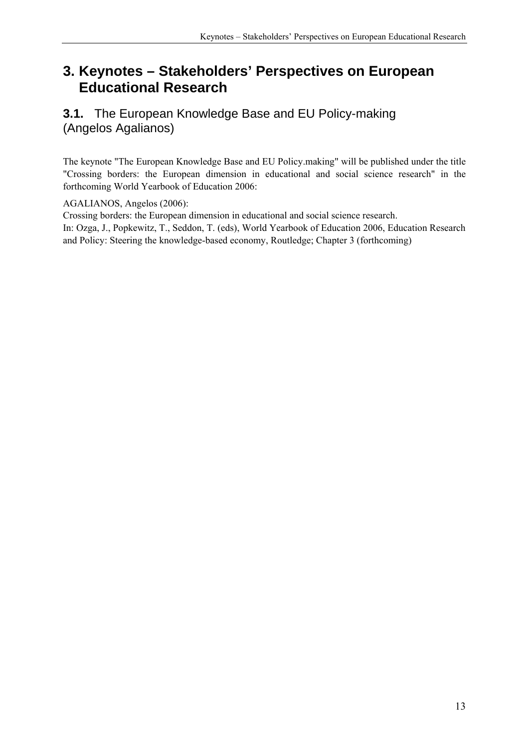# **3. Keynotes – Stakeholders' Perspectives on European Educational Research**

# **3.1.** The European Knowledge Base and EU Policy-making (Angelos Agalianos)

The keynote "The European Knowledge Base and EU Policy.making" will be published under the title "Crossing borders: the European dimension in educational and social science research" in the forthcoming World Yearbook of Education 2006:

AGALIANOS, Angelos (2006):

Crossing borders: the European dimension in educational and social science research. In: Ozga, J., Popkewitz, T., Seddon, T. (eds), World Yearbook of Education 2006, Education Research and Policy: Steering the knowledge-based economy, Routledge; Chapter 3 (forthcoming)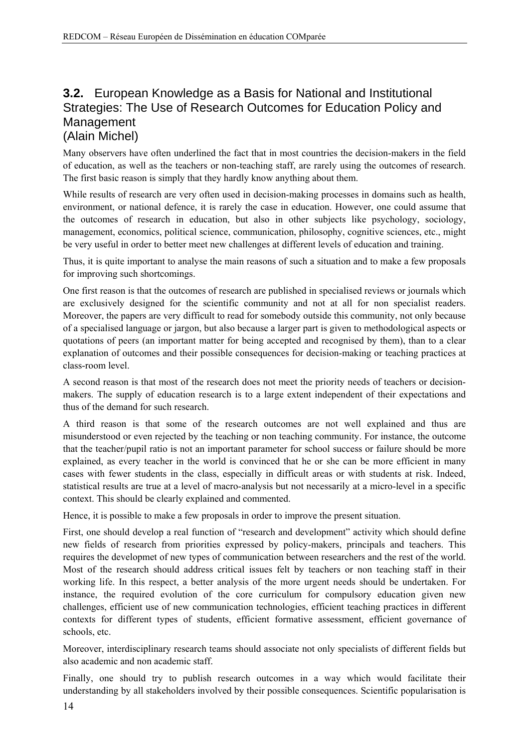## **3.2.** European Knowledge as a Basis for National and Institutional Strategies: The Use of Research Outcomes for Education Policy and Management (Alain Michel)

Many observers have often underlined the fact that in most countries the decision-makers in the field of education, as well as the teachers or non-teaching staff, are rarely using the outcomes of research. The first basic reason is simply that they hardly know anything about them.

While results of research are very often used in decision-making processes in domains such as health, environment, or national defence, it is rarely the case in education. However, one could assume that the outcomes of research in education, but also in other subjects like psychology, sociology, management, economics, political science, communication, philosophy, cognitive sciences, etc., might be very useful in order to better meet new challenges at different levels of education and training.

Thus, it is quite important to analyse the main reasons of such a situation and to make a few proposals for improving such shortcomings.

One first reason is that the outcomes of research are published in specialised reviews or journals which are exclusively designed for the scientific community and not at all for non specialist readers. Moreover, the papers are very difficult to read for somebody outside this community, not only because of a specialised language or jargon, but also because a larger part is given to methodological aspects or quotations of peers (an important matter for being accepted and recognised by them), than to a clear explanation of outcomes and their possible consequences for decision-making or teaching practices at class-room level.

A second reason is that most of the research does not meet the priority needs of teachers or decisionmakers. The supply of education research is to a large extent independent of their expectations and thus of the demand for such research.

A third reason is that some of the research outcomes are not well explained and thus are misunderstood or even rejected by the teaching or non teaching community. For instance, the outcome that the teacher/pupil ratio is not an important parameter for school success or failure should be more explained, as every teacher in the world is convinced that he or she can be more efficient in many cases with fewer students in the class, especially in difficult areas or with students at risk. Indeed, statistical results are true at a level of macro-analysis but not necessarily at a micro-level in a specific context. This should be clearly explained and commented.

Hence, it is possible to make a few proposals in order to improve the present situation.

First, one should develop a real function of "research and development" activity which should define new fields of research from priorities expressed by policy-makers, principals and teachers. This requires the developmet of new types of communication between researchers and the rest of the world. Most of the research should address critical issues felt by teachers or non teaching staff in their working life. In this respect, a better analysis of the more urgent needs should be undertaken. For instance, the required evolution of the core curriculum for compulsory education given new challenges, efficient use of new communication technologies, efficient teaching practices in different contexts for different types of students, efficient formative assessment, efficient governance of schools, etc.

Moreover, interdisciplinary research teams should associate not only specialists of different fields but also academic and non academic staff.

Finally, one should try to publish research outcomes in a way which would facilitate their understanding by all stakeholders involved by their possible consequences. Scientific popularisation is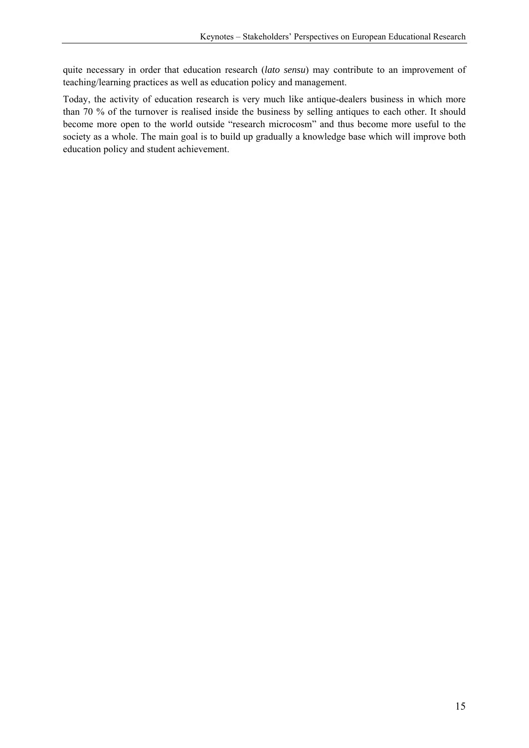quite necessary in order that education research (*lato sensu*) may contribute to an improvement of teaching/learning practices as well as education policy and management.

Today, the activity of education research is very much like antique-dealers business in which more than 70 % of the turnover is realised inside the business by selling antiques to each other. It should become more open to the world outside "research microcosm" and thus become more useful to the society as a whole. The main goal is to build up gradually a knowledge base which will improve both education policy and student achievement.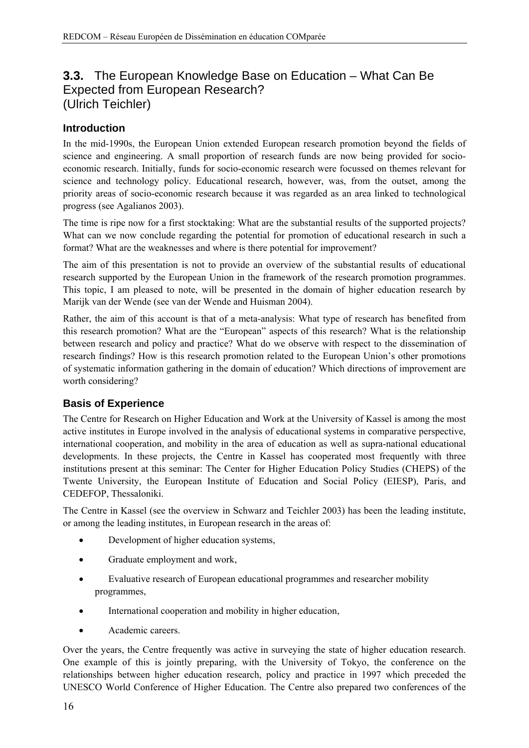# **3.3.** The European Knowledge Base on Education – What Can Be Expected from European Research? (Ulrich Teichler)

#### **Introduction**

In the mid-1990s, the European Union extended European research promotion beyond the fields of science and engineering. A small proportion of research funds are now being provided for socioeconomic research. Initially, funds for socio-economic research were focussed on themes relevant for science and technology policy. Educational research, however, was, from the outset, among the priority areas of socio-economic research because it was regarded as an area linked to technological progress (see Agalianos 2003).

The time is ripe now for a first stocktaking: What are the substantial results of the supported projects? What can we now conclude regarding the potential for promotion of educational research in such a format? What are the weaknesses and where is there potential for improvement?

The aim of this presentation is not to provide an overview of the substantial results of educational research supported by the European Union in the framework of the research promotion programmes. This topic, I am pleased to note, will be presented in the domain of higher education research by Marijk van der Wende (see van der Wende and Huisman 2004).

Rather, the aim of this account is that of a meta-analysis: What type of research has benefited from this research promotion? What are the "European" aspects of this research? What is the relationship between research and policy and practice? What do we observe with respect to the dissemination of research findings? How is this research promotion related to the European Union's other promotions of systematic information gathering in the domain of education? Which directions of improvement are worth considering?

#### **Basis of Experience**

The Centre for Research on Higher Education and Work at the University of Kassel is among the most active institutes in Europe involved in the analysis of educational systems in comparative perspective, international cooperation, and mobility in the area of education as well as supra-national educational developments. In these projects, the Centre in Kassel has cooperated most frequently with three institutions present at this seminar: The Center for Higher Education Policy Studies (CHEPS) of the Twente University, the European Institute of Education and Social Policy (EIESP), Paris, and CEDEFOP, Thessaloniki.

The Centre in Kassel (see the overview in Schwarz and Teichler 2003) has been the leading institute, or among the leading institutes, in European research in the areas of:

- Development of higher education systems,
- Graduate employment and work,
- Evaluative research of European educational programmes and researcher mobility programmes,
- International cooperation and mobility in higher education,
- Academic careers.

Over the years, the Centre frequently was active in surveying the state of higher education research. One example of this is jointly preparing, with the University of Tokyo, the conference on the relationships between higher education research, policy and practice in 1997 which preceded the UNESCO World Conference of Higher Education. The Centre also prepared two conferences of the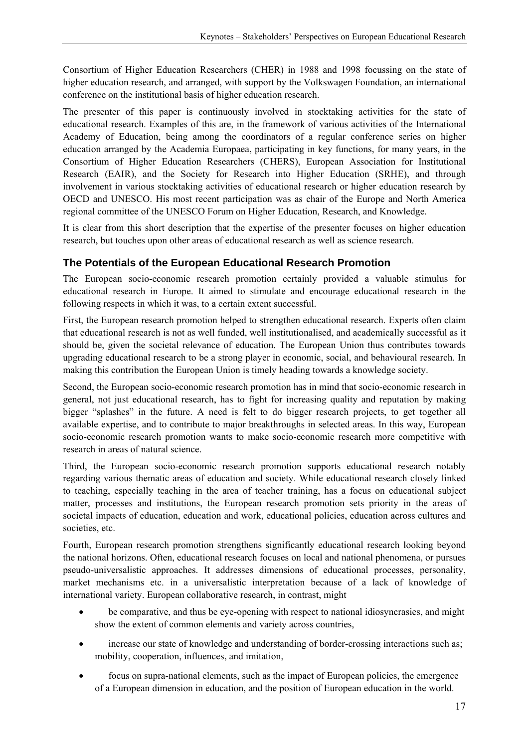Consortium of Higher Education Researchers (CHER) in 1988 and 1998 focussing on the state of higher education research, and arranged, with support by the Volkswagen Foundation, an international conference on the institutional basis of higher education research.

The presenter of this paper is continuously involved in stocktaking activities for the state of educational research. Examples of this are, in the framework of various activities of the International Academy of Education, being among the coordinators of a regular conference series on higher education arranged by the Academia Europaea, participating in key functions, for many years, in the Consortium of Higher Education Researchers (CHERS), European Association for Institutional Research (EAIR), and the Society for Research into Higher Education (SRHE), and through involvement in various stocktaking activities of educational research or higher education research by OECD and UNESCO. His most recent participation was as chair of the Europe and North America regional committee of the UNESCO Forum on Higher Education, Research, and Knowledge.

It is clear from this short description that the expertise of the presenter focuses on higher education research, but touches upon other areas of educational research as well as science research.

### **The Potentials of the European Educational Research Promotion**

The European socio-economic research promotion certainly provided a valuable stimulus for educational research in Europe. It aimed to stimulate and encourage educational research in the following respects in which it was, to a certain extent successful.

First, the European research promotion helped to strengthen educational research. Experts often claim that educational research is not as well funded, well institutionalised, and academically successful as it should be, given the societal relevance of education. The European Union thus contributes towards upgrading educational research to be a strong player in economic, social, and behavioural research. In making this contribution the European Union is timely heading towards a knowledge society.

Second, the European socio-economic research promotion has in mind that socio-economic research in general, not just educational research, has to fight for increasing quality and reputation by making bigger "splashes" in the future. A need is felt to do bigger research projects, to get together all available expertise, and to contribute to major breakthroughs in selected areas. In this way, European socio-economic research promotion wants to make socio-economic research more competitive with research in areas of natural science.

Third, the European socio-economic research promotion supports educational research notably regarding various thematic areas of education and society. While educational research closely linked to teaching, especially teaching in the area of teacher training, has a focus on educational subject matter, processes and institutions, the European research promotion sets priority in the areas of societal impacts of education, education and work, educational policies, education across cultures and societies, etc.

Fourth, European research promotion strengthens significantly educational research looking beyond the national horizons. Often, educational research focuses on local and national phenomena, or pursues pseudo-universalistic approaches. It addresses dimensions of educational processes, personality, market mechanisms etc. in a universalistic interpretation because of a lack of knowledge of international variety. European collaborative research, in contrast, might

- be comparative, and thus be eye-opening with respect to national idiosyncrasies, and might show the extent of common elements and variety across countries,
- increase our state of knowledge and understanding of border-crossing interactions such as; mobility, cooperation, influences, and imitation,
- focus on supra-national elements, such as the impact of European policies, the emergence of a European dimension in education, and the position of European education in the world.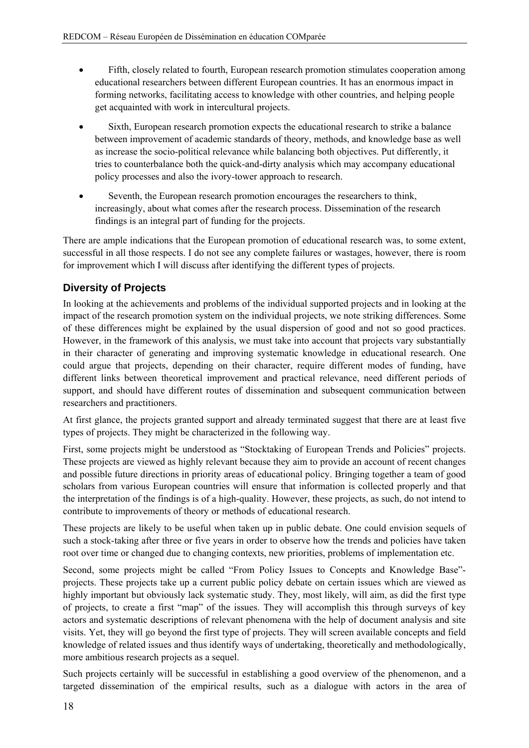- Fifth, closely related to fourth, European research promotion stimulates cooperation among educational researchers between different European countries. It has an enormous impact in forming networks, facilitating access to knowledge with other countries, and helping people get acquainted with work in intercultural projects.
- Sixth, European research promotion expects the educational research to strike a balance between improvement of academic standards of theory, methods, and knowledge base as well as increase the socio-political relevance while balancing both objectives. Put differently, it tries to counterbalance both the quick-and-dirty analysis which may accompany educational policy processes and also the ivory-tower approach to research.
- Seventh, the European research promotion encourages the researchers to think, increasingly, about what comes after the research process. Dissemination of the research findings is an integral part of funding for the projects.

There are ample indications that the European promotion of educational research was, to some extent, successful in all those respects. I do not see any complete failures or wastages, however, there is room for improvement which I will discuss after identifying the different types of projects.

### **Diversity of Projects**

In looking at the achievements and problems of the individual supported projects and in looking at the impact of the research promotion system on the individual projects, we note striking differences. Some of these differences might be explained by the usual dispersion of good and not so good practices. However, in the framework of this analysis, we must take into account that projects vary substantially in their character of generating and improving systematic knowledge in educational research. One could argue that projects, depending on their character, require different modes of funding, have different links between theoretical improvement and practical relevance, need different periods of support, and should have different routes of dissemination and subsequent communication between researchers and practitioners.

At first glance, the projects granted support and already terminated suggest that there are at least five types of projects. They might be characterized in the following way.

First, some projects might be understood as "Stocktaking of European Trends and Policies" projects. These projects are viewed as highly relevant because they aim to provide an account of recent changes and possible future directions in priority areas of educational policy. Bringing together a team of good scholars from various European countries will ensure that information is collected properly and that the interpretation of the findings is of a high-quality. However, these projects, as such, do not intend to contribute to improvements of theory or methods of educational research.

These projects are likely to be useful when taken up in public debate. One could envision sequels of such a stock-taking after three or five years in order to observe how the trends and policies have taken root over time or changed due to changing contexts, new priorities, problems of implementation etc.

Second, some projects might be called "From Policy Issues to Concepts and Knowledge Base" projects. These projects take up a current public policy debate on certain issues which are viewed as highly important but obviously lack systematic study. They, most likely, will aim, as did the first type of projects, to create a first "map" of the issues. They will accomplish this through surveys of key actors and systematic descriptions of relevant phenomena with the help of document analysis and site visits. Yet, they will go beyond the first type of projects. They will screen available concepts and field knowledge of related issues and thus identify ways of undertaking, theoretically and methodologically, more ambitious research projects as a sequel.

Such projects certainly will be successful in establishing a good overview of the phenomenon, and a targeted dissemination of the empirical results, such as a dialogue with actors in the area of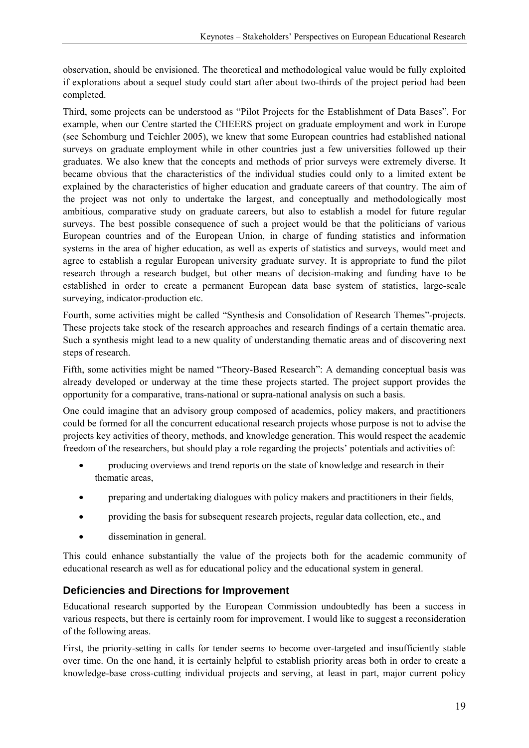observation, should be envisioned. The theoretical and methodological value would be fully exploited if explorations about a sequel study could start after about two-thirds of the project period had been completed.

Third, some projects can be understood as "Pilot Projects for the Establishment of Data Bases". For example, when our Centre started the CHEERS project on graduate employment and work in Europe (see Schomburg und Teichler 2005), we knew that some European countries had established national surveys on graduate employment while in other countries just a few universities followed up their graduates. We also knew that the concepts and methods of prior surveys were extremely diverse. It became obvious that the characteristics of the individual studies could only to a limited extent be explained by the characteristics of higher education and graduate careers of that country. The aim of the project was not only to undertake the largest, and conceptually and methodologically most ambitious, comparative study on graduate careers, but also to establish a model for future regular surveys. The best possible consequence of such a project would be that the politicians of various European countries and of the European Union, in charge of funding statistics and information systems in the area of higher education, as well as experts of statistics and surveys, would meet and agree to establish a regular European university graduate survey. It is appropriate to fund the pilot research through a research budget, but other means of decision-making and funding have to be established in order to create a permanent European data base system of statistics, large-scale surveying, indicator-production etc.

Fourth, some activities might be called "Synthesis and Consolidation of Research Themes"-projects. These projects take stock of the research approaches and research findings of a certain thematic area. Such a synthesis might lead to a new quality of understanding thematic areas and of discovering next steps of research.

Fifth, some activities might be named "Theory-Based Research": A demanding conceptual basis was already developed or underway at the time these projects started. The project support provides the opportunity for a comparative, trans-national or supra-national analysis on such a basis.

One could imagine that an advisory group composed of academics, policy makers, and practitioners could be formed for all the concurrent educational research projects whose purpose is not to advise the projects key activities of theory, methods, and knowledge generation. This would respect the academic freedom of the researchers, but should play a role regarding the projects' potentials and activities of:

- producing overviews and trend reports on the state of knowledge and research in their thematic areas,
- preparing and undertaking dialogues with policy makers and practitioners in their fields,
- providing the basis for subsequent research projects, regular data collection, etc., and
- dissemination in general.

This could enhance substantially the value of the projects both for the academic community of educational research as well as for educational policy and the educational system in general.

#### **Deficiencies and Directions for Improvement**

Educational research supported by the European Commission undoubtedly has been a success in various respects, but there is certainly room for improvement. I would like to suggest a reconsideration of the following areas.

First, the priority-setting in calls for tender seems to become over-targeted and insufficiently stable over time. On the one hand, it is certainly helpful to establish priority areas both in order to create a knowledge-base cross-cutting individual projects and serving, at least in part, major current policy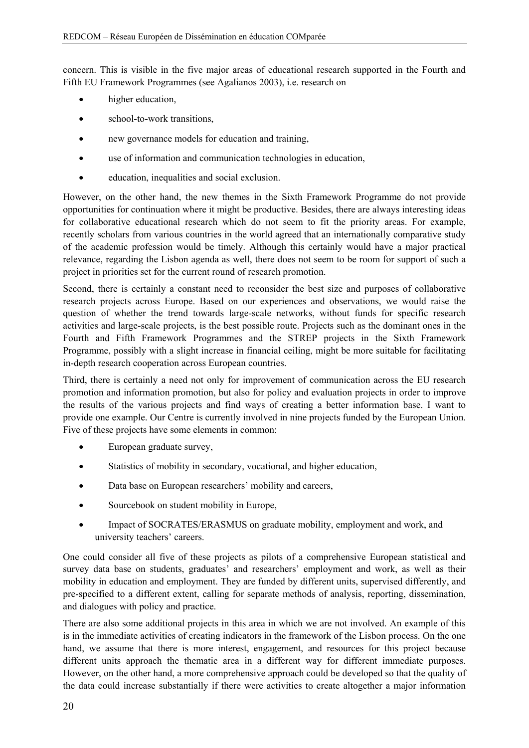concern. This is visible in the five major areas of educational research supported in the Fourth and Fifth EU Framework Programmes (see Agalianos 2003), i.e. research on

- higher education,
- school-to-work transitions,
- new governance models for education and training,
- use of information and communication technologies in education,
- education, inequalities and social exclusion.

However, on the other hand, the new themes in the Sixth Framework Programme do not provide opportunities for continuation where it might be productive. Besides, there are always interesting ideas for collaborative educational research which do not seem to fit the priority areas. For example, recently scholars from various countries in the world agreed that an internationally comparative study of the academic profession would be timely. Although this certainly would have a major practical relevance, regarding the Lisbon agenda as well, there does not seem to be room for support of such a project in priorities set for the current round of research promotion.

Second, there is certainly a constant need to reconsider the best size and purposes of collaborative research projects across Europe. Based on our experiences and observations, we would raise the question of whether the trend towards large-scale networks, without funds for specific research activities and large-scale projects, is the best possible route. Projects such as the dominant ones in the Fourth and Fifth Framework Programmes and the STREP projects in the Sixth Framework Programme, possibly with a slight increase in financial ceiling, might be more suitable for facilitating in-depth research cooperation across European countries.

Third, there is certainly a need not only for improvement of communication across the EU research promotion and information promotion, but also for policy and evaluation projects in order to improve the results of the various projects and find ways of creating a better information base. I want to provide one example. Our Centre is currently involved in nine projects funded by the European Union. Five of these projects have some elements in common:

- European graduate survey,
- Statistics of mobility in secondary, vocational, and higher education,
- Data base on European researchers' mobility and careers,
- Sourcebook on student mobility in Europe,
- Impact of SOCRATES/ERASMUS on graduate mobility, employment and work, and university teachers' careers.

One could consider all five of these projects as pilots of a comprehensive European statistical and survey data base on students, graduates' and researchers' employment and work, as well as their mobility in education and employment. They are funded by different units, supervised differently, and pre-specified to a different extent, calling for separate methods of analysis, reporting, dissemination, and dialogues with policy and practice.

There are also some additional projects in this area in which we are not involved. An example of this is in the immediate activities of creating indicators in the framework of the Lisbon process. On the one hand, we assume that there is more interest, engagement, and resources for this project because different units approach the thematic area in a different way for different immediate purposes. However, on the other hand, a more comprehensive approach could be developed so that the quality of the data could increase substantially if there were activities to create altogether a major information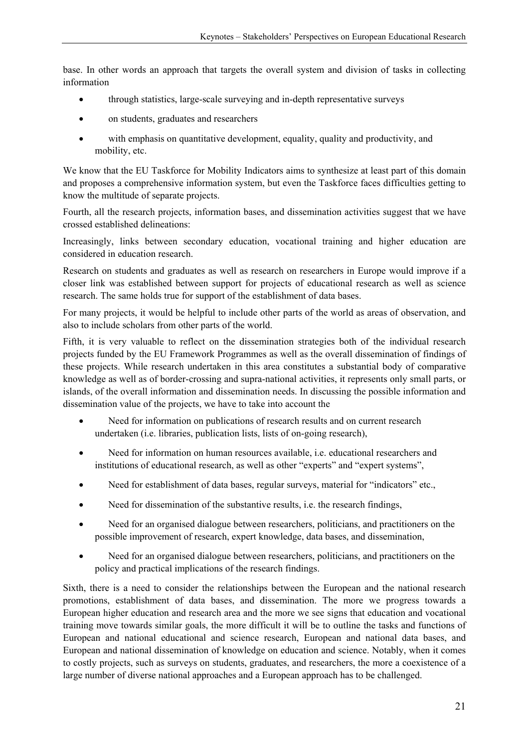base. In other words an approach that targets the overall system and division of tasks in collecting information

- through statistics, large-scale surveying and in-depth representative surveys
- on students, graduates and researchers
- with emphasis on quantitative development, equality, quality and productivity, and mobility, etc.

We know that the EU Taskforce for Mobility Indicators aims to synthesize at least part of this domain and proposes a comprehensive information system, but even the Taskforce faces difficulties getting to know the multitude of separate projects.

Fourth, all the research projects, information bases, and dissemination activities suggest that we have crossed established delineations:

Increasingly, links between secondary education, vocational training and higher education are considered in education research.

Research on students and graduates as well as research on researchers in Europe would improve if a closer link was established between support for projects of educational research as well as science research. The same holds true for support of the establishment of data bases.

For many projects, it would be helpful to include other parts of the world as areas of observation, and also to include scholars from other parts of the world.

Fifth, it is very valuable to reflect on the dissemination strategies both of the individual research projects funded by the EU Framework Programmes as well as the overall dissemination of findings of these projects. While research undertaken in this area constitutes a substantial body of comparative knowledge as well as of border-crossing and supra-national activities, it represents only small parts, or islands, of the overall information and dissemination needs. In discussing the possible information and dissemination value of the projects, we have to take into account the

- Need for information on publications of research results and on current research undertaken (i.e. libraries, publication lists, lists of on-going research),
- Need for information on human resources available, i.e. educational researchers and institutions of educational research, as well as other "experts" and "expert systems",
- Need for establishment of data bases, regular surveys, material for "indicators" etc.,
- Need for dissemination of the substantive results, i.e. the research findings,
- Need for an organised dialogue between researchers, politicians, and practitioners on the possible improvement of research, expert knowledge, data bases, and dissemination,
- Need for an organised dialogue between researchers, politicians, and practitioners on the policy and practical implications of the research findings.

Sixth, there is a need to consider the relationships between the European and the national research promotions, establishment of data bases, and dissemination. The more we progress towards a European higher education and research area and the more we see signs that education and vocational training move towards similar goals, the more difficult it will be to outline the tasks and functions of European and national educational and science research, European and national data bases, and European and national dissemination of knowledge on education and science. Notably, when it comes to costly projects, such as surveys on students, graduates, and researchers, the more a coexistence of a large number of diverse national approaches and a European approach has to be challenged.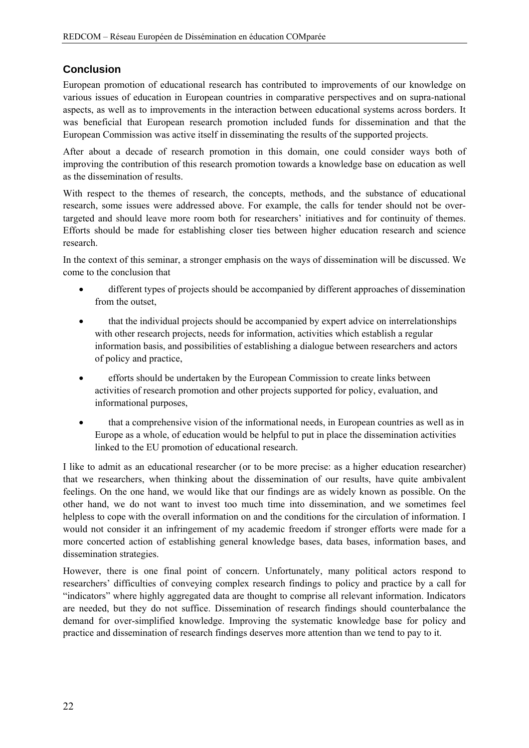### **Conclusion**

European promotion of educational research has contributed to improvements of our knowledge on various issues of education in European countries in comparative perspectives and on supra-national aspects, as well as to improvements in the interaction between educational systems across borders. It was beneficial that European research promotion included funds for dissemination and that the European Commission was active itself in disseminating the results of the supported projects.

After about a decade of research promotion in this domain, one could consider ways both of improving the contribution of this research promotion towards a knowledge base on education as well as the dissemination of results.

With respect to the themes of research, the concepts, methods, and the substance of educational research, some issues were addressed above. For example, the calls for tender should not be overtargeted and should leave more room both for researchers' initiatives and for continuity of themes. Efforts should be made for establishing closer ties between higher education research and science research.

In the context of this seminar, a stronger emphasis on the ways of dissemination will be discussed. We come to the conclusion that

- different types of projects should be accompanied by different approaches of dissemination from the outset,
- that the individual projects should be accompanied by expert advice on interrelationships with other research projects, needs for information, activities which establish a regular information basis, and possibilities of establishing a dialogue between researchers and actors of policy and practice,
- efforts should be undertaken by the European Commission to create links between activities of research promotion and other projects supported for policy, evaluation, and informational purposes,
- that a comprehensive vision of the informational needs, in European countries as well as in Europe as a whole, of education would be helpful to put in place the dissemination activities linked to the EU promotion of educational research.

I like to admit as an educational researcher (or to be more precise: as a higher education researcher) that we researchers, when thinking about the dissemination of our results, have quite ambivalent feelings. On the one hand, we would like that our findings are as widely known as possible. On the other hand, we do not want to invest too much time into dissemination, and we sometimes feel helpless to cope with the overall information on and the conditions for the circulation of information. I would not consider it an infringement of my academic freedom if stronger efforts were made for a more concerted action of establishing general knowledge bases, data bases, information bases, and dissemination strategies.

However, there is one final point of concern. Unfortunately, many political actors respond to researchers' difficulties of conveying complex research findings to policy and practice by a call for "indicators" where highly aggregated data are thought to comprise all relevant information. Indicators are needed, but they do not suffice. Dissemination of research findings should counterbalance the demand for over-simplified knowledge. Improving the systematic knowledge base for policy and practice and dissemination of research findings deserves more attention than we tend to pay to it.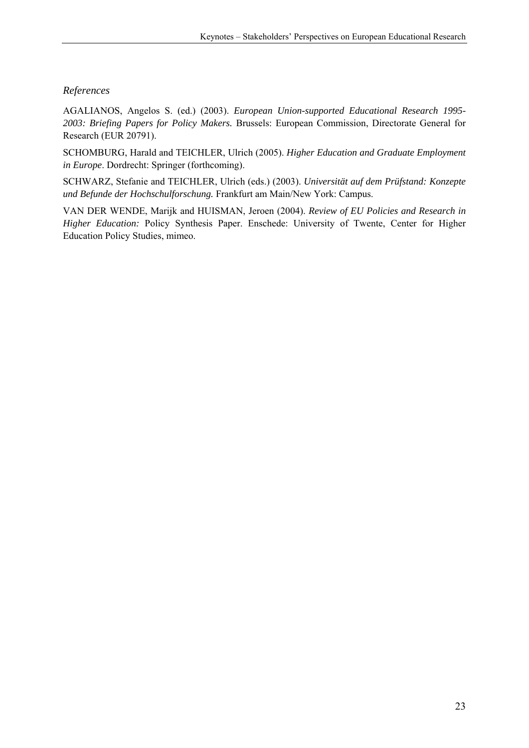#### *References*

AGALIANOS, Angelos S. (ed.) (2003). *European Union-supported Educational Research 1995- 2003: Briefing Papers for Policy Makers.* Brussels: European Commission, Directorate General for Research (EUR 20791).

SCHOMBURG, Harald and TEICHLER, Ulrich (2005). *Higher Education and Graduate Employment in Europe*. Dordrecht: Springer (forthcoming).

SCHWARZ, Stefanie and TEICHLER, Ulrich (eds.) (2003). *Universität auf dem Prüfstand: Konzepte und Befunde der Hochschulforschung.* Frankfurt am Main/New York: Campus.

VAN DER WENDE, Marijk and HUISMAN, Jeroen (2004). *Review of EU Policies and Research in Higher Education:* Policy Synthesis Paper. Enschede: University of Twente, Center for Higher Education Policy Studies, mimeo.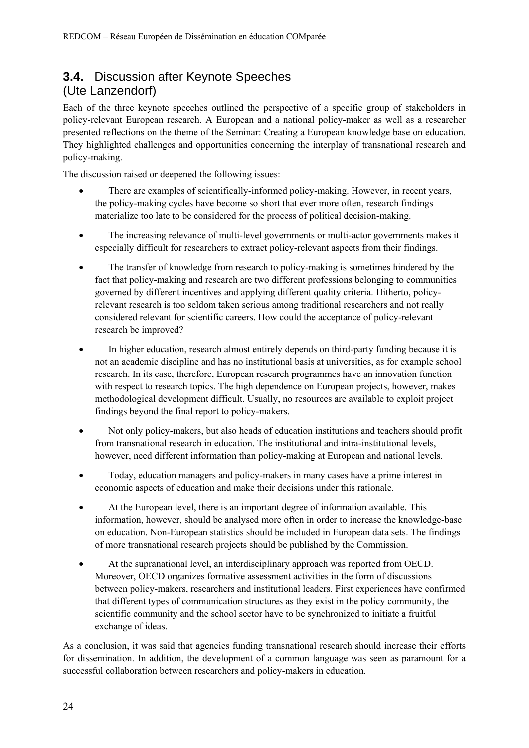# **3.4.** Discussion after Keynote Speeches (Ute Lanzendorf)

Each of the three keynote speeches outlined the perspective of a specific group of stakeholders in policy-relevant European research. A European and a national policy-maker as well as a researcher presented reflections on the theme of the Seminar: Creating a European knowledge base on education. They highlighted challenges and opportunities concerning the interplay of transnational research and policy-making.

The discussion raised or deepened the following issues:

- There are examples of scientifically-informed policy-making. However, in recent years, the policy-making cycles have become so short that ever more often, research findings materialize too late to be considered for the process of political decision-making.
- The increasing relevance of multi-level governments or multi-actor governments makes it especially difficult for researchers to extract policy-relevant aspects from their findings.
- The transfer of knowledge from research to policy-making is sometimes hindered by the fact that policy-making and research are two different professions belonging to communities governed by different incentives and applying different quality criteria. Hitherto, policyrelevant research is too seldom taken serious among traditional researchers and not really considered relevant for scientific careers. How could the acceptance of policy-relevant research be improved?
- In higher education, research almost entirely depends on third-party funding because it is not an academic discipline and has no institutional basis at universities, as for example school research. In its case, therefore, European research programmes have an innovation function with respect to research topics. The high dependence on European projects, however, makes methodological development difficult. Usually, no resources are available to exploit project findings beyond the final report to policy-makers.
- Not only policy-makers, but also heads of education institutions and teachers should profit from transnational research in education. The institutional and intra-institutional levels, however, need different information than policy-making at European and national levels.
- Today, education managers and policy-makers in many cases have a prime interest in economic aspects of education and make their decisions under this rationale.
- At the European level, there is an important degree of information available. This information, however, should be analysed more often in order to increase the knowledge-base on education. Non-European statistics should be included in European data sets. The findings of more transnational research projects should be published by the Commission.
- At the supranational level, an interdisciplinary approach was reported from OECD. Moreover, OECD organizes formative assessment activities in the form of discussions between policy-makers, researchers and institutional leaders. First experiences have confirmed that different types of communication structures as they exist in the policy community, the scientific community and the school sector have to be synchronized to initiate a fruitful exchange of ideas.

As a conclusion, it was said that agencies funding transnational research should increase their efforts for dissemination. In addition, the development of a common language was seen as paramount for a successful collaboration between researchers and policy-makers in education.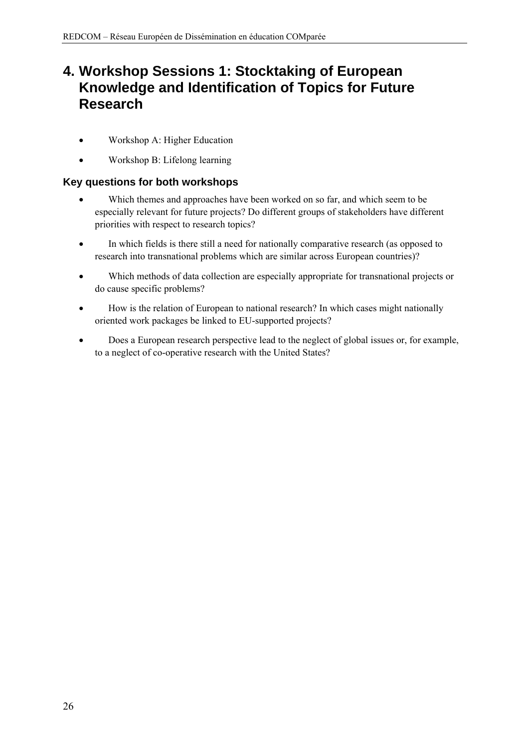# **4. Workshop Sessions 1: Stocktaking of European Knowledge and Identification of Topics for Future Research**

- Workshop A: Higher Education
- Workshop B: Lifelong learning

#### **Key questions for both workshops**

- Which themes and approaches have been worked on so far, and which seem to be especially relevant for future projects? Do different groups of stakeholders have different priorities with respect to research topics?
- In which fields is there still a need for nationally comparative research (as opposed to research into transnational problems which are similar across European countries)?
- Which methods of data collection are especially appropriate for transnational projects or do cause specific problems?
- How is the relation of European to national research? In which cases might nationally oriented work packages be linked to EU-supported projects?
- Does a European research perspective lead to the neglect of global issues or, for example, to a neglect of co-operative research with the United States?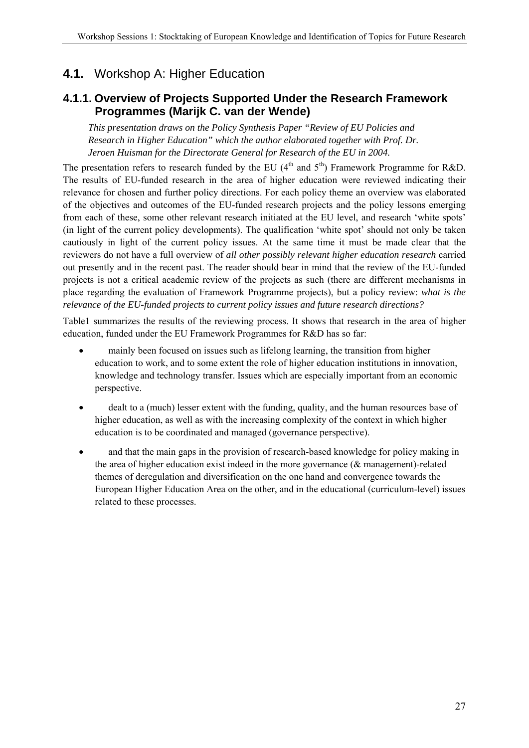# **4.1.** Workshop A: Higher Education

### **4.1.1. Overview of Projects Supported Under the Research Framework Programmes (Marijk C. van der Wende)**

*This presentation draws on the Policy Synthesis Paper "Review of EU Policies and Research in Higher Education" which the author elaborated together with Prof. Dr. Jeroen Huisman for the Directorate General for Research of the EU in 2004.* 

The presentation refers to research funded by the EU ( $4<sup>th</sup>$  and  $5<sup>th</sup>$ ) Framework Programme for R&D. The results of EU-funded research in the area of higher education were reviewed indicating their relevance for chosen and further policy directions. For each policy theme an overview was elaborated of the objectives and outcomes of the EU-funded research projects and the policy lessons emerging from each of these, some other relevant research initiated at the EU level, and research 'white spots' (in light of the current policy developments). The qualification 'white spot' should not only be taken cautiously in light of the current policy issues. At the same time it must be made clear that the reviewers do not have a full overview of *all other possibly relevant higher education research* carried out presently and in the recent past. The reader should bear in mind that the review of the EU-funded projects is not a critical academic review of the projects as such (there are different mechanisms in place regarding the evaluation of Framework Programme projects), but a policy review: *what is the relevance of the EU-funded projects to current policy issues and future research directions?*

Table1 summarizes the results of the reviewing process. It shows that research in the area of higher education, funded under the EU Framework Programmes for R&D has so far:

- mainly been focused on issues such as lifelong learning, the transition from higher education to work, and to some extent the role of higher education institutions in innovation, knowledge and technology transfer. Issues which are especially important from an economic perspective.
- dealt to a (much) lesser extent with the funding, quality, and the human resources base of higher education, as well as with the increasing complexity of the context in which higher education is to be coordinated and managed (governance perspective).
- and that the main gaps in the provision of research-based knowledge for policy making in the area of higher education exist indeed in the more governance (& management)-related themes of deregulation and diversification on the one hand and convergence towards the European Higher Education Area on the other, and in the educational (curriculum-level) issues related to these processes.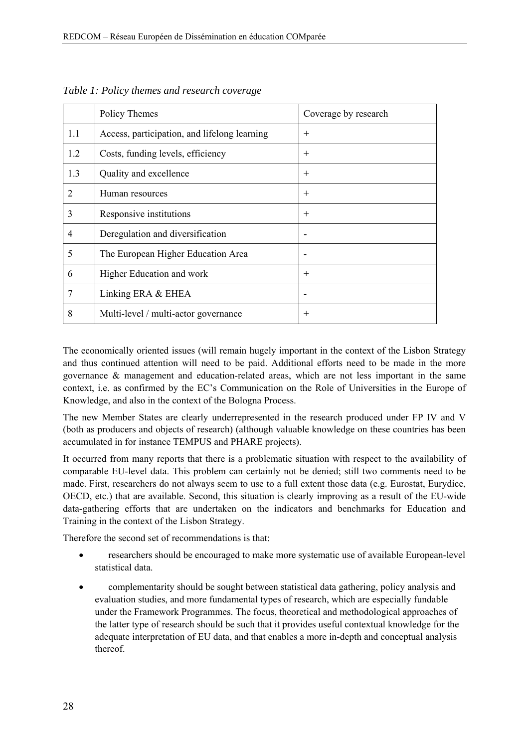|                | Policy Themes                                | Coverage by research |
|----------------|----------------------------------------------|----------------------|
| 1.1            | Access, participation, and lifelong learning | $^{+}$               |
| 1.2            | Costs, funding levels, efficiency            | $^{+}$               |
| 1.3            | Quality and excellence                       | $^{+}$               |
| 2              | Human resources                              | $^{+}$               |
| 3              | Responsive institutions                      | $^{+}$               |
| $\overline{4}$ | Deregulation and diversification             | ٠                    |
| 5              | The European Higher Education Area           |                      |
| 6              | Higher Education and work                    | $^{+}$               |
| 7              | Linking ERA & EHEA                           |                      |
| 8              | Multi-level / multi-actor governance         | $^{+}$               |

*Table 1: Policy themes and research coverage* 

The economically oriented issues (will remain hugely important in the context of the Lisbon Strategy and thus continued attention will need to be paid. Additional efforts need to be made in the more governance & management and education-related areas, which are not less important in the same context, i.e. as confirmed by the EC's Communication on the Role of Universities in the Europe of Knowledge, and also in the context of the Bologna Process.

The new Member States are clearly underrepresented in the research produced under FP IV and V (both as producers and objects of research) (although valuable knowledge on these countries has been accumulated in for instance TEMPUS and PHARE projects).

It occurred from many reports that there is a problematic situation with respect to the availability of comparable EU-level data. This problem can certainly not be denied; still two comments need to be made. First, researchers do not always seem to use to a full extent those data (e.g. Eurostat, Eurydice, OECD, etc.) that are available. Second, this situation is clearly improving as a result of the EU-wide data-gathering efforts that are undertaken on the indicators and benchmarks for Education and Training in the context of the Lisbon Strategy.

Therefore the second set of recommendations is that:

- researchers should be encouraged to make more systematic use of available European-level statistical data.
- complementarity should be sought between statistical data gathering, policy analysis and evaluation studies, and more fundamental types of research, which are especially fundable under the Framework Programmes. The focus, theoretical and methodological approaches of the latter type of research should be such that it provides useful contextual knowledge for the adequate interpretation of EU data, and that enables a more in-depth and conceptual analysis thereof.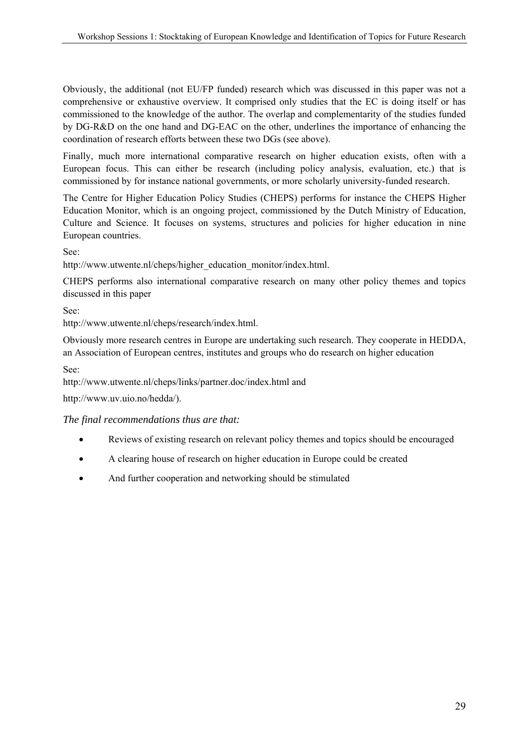Obviously, the additional (not EU/FP funded) research which was discussed in this paper was not a comprehensive or exhaustive overview. It comprised only studies that the EC is doing itself or has commissioned to the knowledge of the author. The overlap and complementarity of the studies funded by DG-R&D on the one hand and DG-EAC on the other, underlines the importance of enhancing the coordination of research efforts between these two DGs (see above).

Finally, much more international comparative research on higher education exists, often with a European focus. This can either be research (including policy analysis, evaluation, etc.) that is commissioned by for instance national governments, or more scholarly university-funded research.

The Centre for Higher Education Policy Studies (CHEPS) performs for instance the CHEPS Higher Education Monitor, which is an ongoing project, commissioned by the Dutch Ministry of Education, Culture and Science. It focuses on systems, structures and policies for higher education in nine European countries.

See:

http://www.utwente.nl/cheps/higher\_education\_monitor/index.html.

CHEPS performs also international comparative research on many other policy themes and topics discussed in this paper

See:

http://www.utwente.nl/cheps/research/index.html.

Obviously more research centres in Europe are undertaking such research. They cooperate in HEDDA, an Association of European centres, institutes and groups who do research on higher education

See:

http://www.utwente.nl/cheps/links/partner.doc/index.html and

http://www.uv.uio.no/hedda/).

#### *The final recommendations thus are that:*

- Reviews of existing research on relevant policy themes and topics should be encouraged
- A clearing house of research on higher education in Europe could be created
- And further cooperation and networking should be stimulated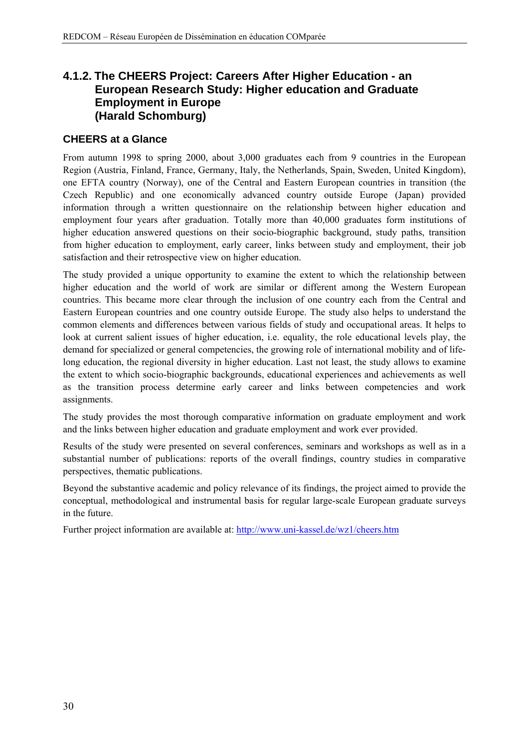### **4.1.2. The CHEERS Project: Careers After Higher Education - an European Research Study: Higher education and Graduate Employment in Europe (Harald Schomburg)**

#### **CHEERS at a Glance**

From autumn 1998 to spring 2000, about 3,000 graduates each from 9 countries in the European Region (Austria, Finland, France, Germany, Italy, the Netherlands, Spain, Sweden, United Kingdom), one EFTA country (Norway), one of the Central and Eastern European countries in transition (the Czech Republic) and one economically advanced country outside Europe (Japan) provided information through a written questionnaire on the relationship between higher education and employment four years after graduation. Totally more than 40,000 graduates form institutions of higher education answered questions on their socio-biographic background, study paths, transition from higher education to employment, early career, links between study and employment, their job satisfaction and their retrospective view on higher education.

The study provided a unique opportunity to examine the extent to which the relationship between higher education and the world of work are similar or different among the Western European countries. This became more clear through the inclusion of one country each from the Central and Eastern European countries and one country outside Europe. The study also helps to understand the common elements and differences between various fields of study and occupational areas. It helps to look at current salient issues of higher education, i.e. equality, the role educational levels play, the demand for specialized or general competencies, the growing role of international mobility and of lifelong education, the regional diversity in higher education. Last not least, the study allows to examine the extent to which socio-biographic backgrounds, educational experiences and achievements as well as the transition process determine early career and links between competencies and work assignments.

The study provides the most thorough comparative information on graduate employment and work and the links between higher education and graduate employment and work ever provided.

Results of the study were presented on several conferences, seminars and workshops as well as in a substantial number of publications: reports of the overall findings, country studies in comparative perspectives, thematic publications.

Beyond the substantive academic and policy relevance of its findings, the project aimed to provide the conceptual, methodological and instrumental basis for regular large-scale European graduate surveys in the future.

Further project information are available at: http://www.uni-kassel.de/wz1/cheers.htm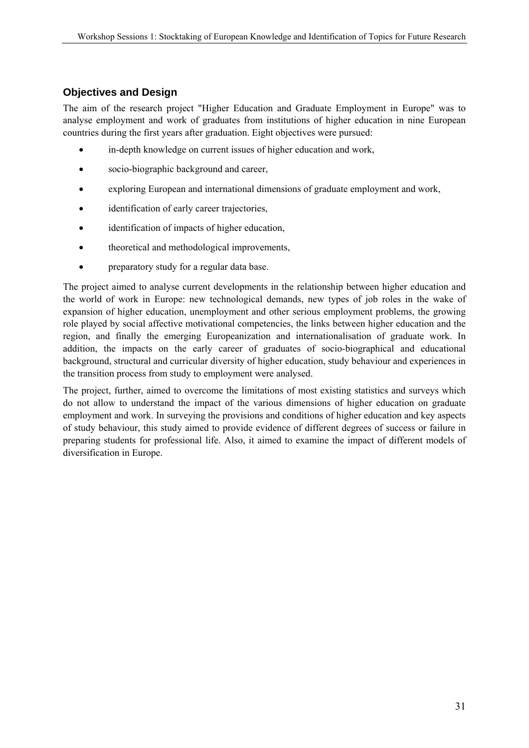### **Objectives and Design**

The aim of the research project "Higher Education and Graduate Employment in Europe" was to analyse employment and work of graduates from institutions of higher education in nine European countries during the first years after graduation. Eight objectives were pursued:

- in-depth knowledge on current issues of higher education and work,
- socio-biographic background and career,
- exploring European and international dimensions of graduate employment and work,
- identification of early career trajectories,
- identification of impacts of higher education,
- theoretical and methodological improvements,
- preparatory study for a regular data base.

The project aimed to analyse current developments in the relationship between higher education and the world of work in Europe: new technological demands, new types of job roles in the wake of expansion of higher education, unemployment and other serious employment problems, the growing role played by social affective motivational competencies, the links between higher education and the region, and finally the emerging Europeanization and internationalisation of graduate work. In addition, the impacts on the early career of graduates of socio-biographical and educational background, structural and curricular diversity of higher education, study behaviour and experiences in the transition process from study to employment were analysed.

The project, further, aimed to overcome the limitations of most existing statistics and surveys which do not allow to understand the impact of the various dimensions of higher education on graduate employment and work. In surveying the provisions and conditions of higher education and key aspects of study behaviour, this study aimed to provide evidence of different degrees of success or failure in preparing students for professional life. Also, it aimed to examine the impact of different models of diversification in Europe.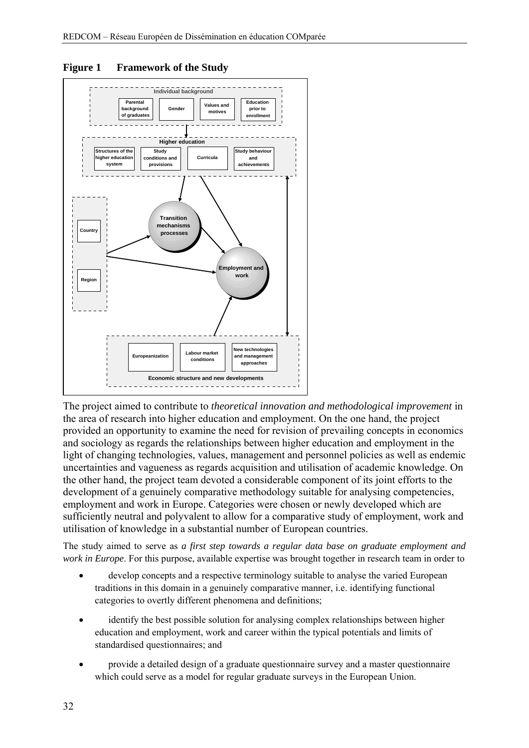

**Figure 1 Framework of the Study** 

The project aimed to contribute to *theoretical innovation and methodological improvement* in the area of research into higher education and employment. On the one hand, the project provided an opportunity to examine the need for revision of prevailing concepts in economics and sociology as regards the relationships between higher education and employment in the light of changing technologies, values, management and personnel policies as well as endemic uncertainties and vagueness as regards acquisition and utilisation of academic knowledge. On the other hand, the project team devoted a considerable component of its joint efforts to the development of a genuinely comparative methodology suitable for analysing competencies, employment and work in Europe. Categories were chosen or newly developed which are sufficiently neutral and polyvalent to allow for a comparative study of employment, work and utilisation of knowledge in a substantial number of European countries.

The study aimed to serve as *a first step towards a regular data base on graduate employment and work in Europe*. For this purpose, available expertise was brought together in research team in order to

- develop concepts and a respective terminology suitable to analyse the varied European traditions in this domain in a genuinely comparative manner, i.e. identifying functional categories to overtly different phenomena and definitions;
- identify the best possible solution for analysing complex relationships between higher education and employment, work and career within the typical potentials and limits of standardised questionnaires; and
- provide a detailed design of a graduate questionnaire survey and a master questionnaire which could serve as a model for regular graduate surveys in the European Union.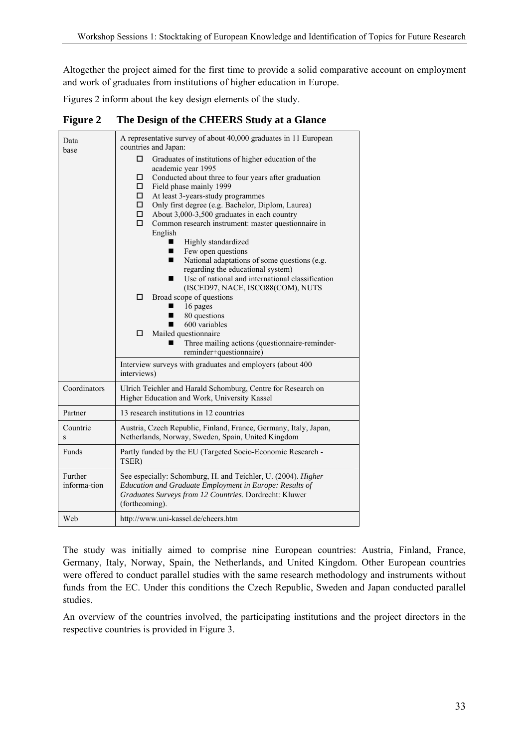Altogether the project aimed for the first time to provide a solid comparative account on employment and work of graduates from institutions of higher education in Europe.

Figures 2 inform about the key design elements of the study.

**Figure 2 The Design of the CHEERS Study at a Glance** 

| Data                    | A representative survey of about 40,000 graduates in 11 European<br>countries and Japan:                                                                                                                                                                                                                                                                                                                                                                                                                                                                                                                                                                                        |  |  |  |
|-------------------------|---------------------------------------------------------------------------------------------------------------------------------------------------------------------------------------------------------------------------------------------------------------------------------------------------------------------------------------------------------------------------------------------------------------------------------------------------------------------------------------------------------------------------------------------------------------------------------------------------------------------------------------------------------------------------------|--|--|--|
| base                    | Graduates of institutions of higher education of the<br>п<br>academic year 1995<br>Conducted about three to four years after graduation<br>□<br>Field phase mainly 1999<br>0<br>At least 3-years-study programmes<br>О.<br>Only first degree (e.g. Bachelor, Diplom, Laurea)<br>О.<br>About 3,000-3,500 graduates in each country<br>П.<br>Common research instrument: master questionnaire in<br>□<br>English<br>Highly standardized<br>Few open questions<br>National adaptations of some questions (e.g.<br>regarding the educational system)<br>Use of national and international classification<br>■<br>(ISCED97, NACE, ISCO88(COM), NUTS<br>Broad scope of questions<br>□ |  |  |  |
|                         | 16 pages<br>٠<br>80 questions<br>600 variables<br>٠<br>Mailed questionnaire<br>□<br>Three mailing actions (questionnaire-reminder-<br>reminder+questionnaire)                                                                                                                                                                                                                                                                                                                                                                                                                                                                                                                   |  |  |  |
|                         | Interview surveys with graduates and employers (about 400<br>interviews)                                                                                                                                                                                                                                                                                                                                                                                                                                                                                                                                                                                                        |  |  |  |
| Coordinators            | Ulrich Teichler and Harald Schomburg, Centre for Research on<br>Higher Education and Work, University Kassel                                                                                                                                                                                                                                                                                                                                                                                                                                                                                                                                                                    |  |  |  |
| Partner                 | 13 research institutions in 12 countries                                                                                                                                                                                                                                                                                                                                                                                                                                                                                                                                                                                                                                        |  |  |  |
| Countrie<br>S           | Austria, Czech Republic, Finland, France, Germany, Italy, Japan,<br>Netherlands, Norway, Sweden, Spain, United Kingdom                                                                                                                                                                                                                                                                                                                                                                                                                                                                                                                                                          |  |  |  |
| Funds                   | Partly funded by the EU (Targeted Socio-Economic Research -<br>TSER)                                                                                                                                                                                                                                                                                                                                                                                                                                                                                                                                                                                                            |  |  |  |
| Further<br>informa-tion | See especially: Schomburg, H. and Teichler, U. (2004). Higher<br>Education and Graduate Employment in Europe: Results of<br>Graduates Surveys from 12 Countries. Dordrecht: Kluwer<br>(forthcoming).                                                                                                                                                                                                                                                                                                                                                                                                                                                                            |  |  |  |
| Web                     | http://www.uni-kassel.de/cheers.htm                                                                                                                                                                                                                                                                                                                                                                                                                                                                                                                                                                                                                                             |  |  |  |

The study was initially aimed to comprise nine European countries: Austria, Finland, France, Germany, Italy, Norway, Spain, the Netherlands, and United Kingdom. Other European countries were offered to conduct parallel studies with the same research methodology and instruments without funds from the EC. Under this conditions the Czech Republic, Sweden and Japan conducted parallel studies.

An overview of the countries involved, the participating institutions and the project directors in the respective countries is provided in Figure 3.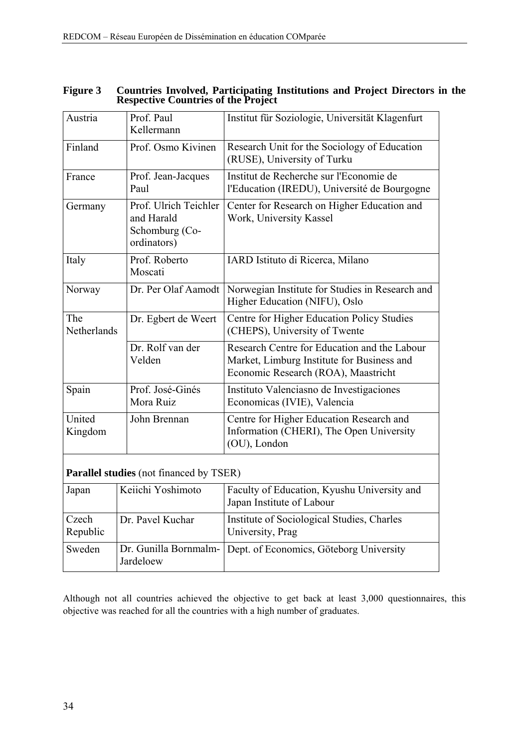| Austria                                 | Prof. Paul<br>Kellermann                                             | Institut für Soziologie, Universität Klagenfurt                                                                                   |  |  |  |
|-----------------------------------------|----------------------------------------------------------------------|-----------------------------------------------------------------------------------------------------------------------------------|--|--|--|
| Finland                                 | Prof. Osmo Kivinen                                                   | Research Unit for the Sociology of Education<br>(RUSE), University of Turku                                                       |  |  |  |
| France                                  | Prof. Jean-Jacques<br>Paul                                           | Institut de Recherche sur l'Economie de<br>l'Education (IREDU), Université de Bourgogne                                           |  |  |  |
| Germany                                 | Prof. Ulrich Teichler<br>and Harald<br>Schomburg (Co-<br>ordinators) | Center for Research on Higher Education and<br>Work, University Kassel                                                            |  |  |  |
| Italy                                   | Prof. Roberto<br>Moscati                                             | IARD Istituto di Ricerca, Milano                                                                                                  |  |  |  |
| Norway                                  | Dr. Per Olaf Aamodt                                                  | Norwegian Institute for Studies in Research and<br>Higher Education (NIFU), Oslo                                                  |  |  |  |
| The<br>Netherlands                      | Dr. Egbert de Weert                                                  | Centre for Higher Education Policy Studies<br>(CHEPS), University of Twente                                                       |  |  |  |
|                                         | Dr. Rolf van der<br>Velden                                           | Research Centre for Education and the Labour<br>Market, Limburg Institute for Business and<br>Economic Research (ROA), Maastricht |  |  |  |
| Spain                                   | Prof. José-Ginés<br>Mora Ruiz                                        | Instituto Valenciasno de Investigaciones<br>Economicas (IVIE), Valencia                                                           |  |  |  |
| United<br>Kingdom                       | John Brennan                                                         | Centre for Higher Education Research and<br>Information (CHERI), The Open University<br>(OU), London                              |  |  |  |
| Parallel studies (not financed by TSER) |                                                                      |                                                                                                                                   |  |  |  |
| Japan                                   | Keiichi Yoshimoto                                                    | Faculty of Education, Kyushu University and<br>Japan Institute of Labour                                                          |  |  |  |
| Czech<br>Republic                       | Dr. Pavel Kuchar                                                     | Institute of Sociological Studies, Charles<br>University, Prag                                                                    |  |  |  |
| Sweden                                  | Dr. Gunilla Bornmalm-<br>Jardeloew                                   | Dept. of Economics, Göteborg University                                                                                           |  |  |  |

| <b>Figure 3</b> | Countries Involved, Participating Institutions and Project Directors in the |
|-----------------|-----------------------------------------------------------------------------|
|                 | <b>Respective Countries of the Project</b>                                  |

Although not all countries achieved the objective to get back at least 3,000 questionnaires, this objective was reached for all the countries with a high number of graduates.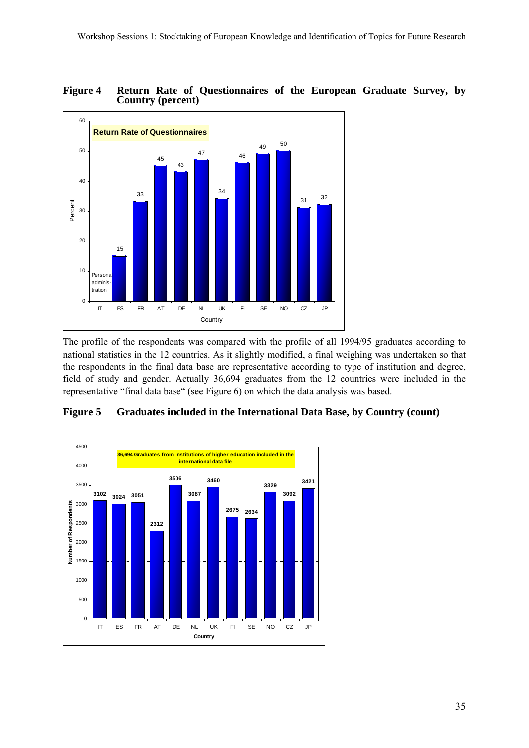#### **Figure 4 Return Rate of Questionnaires of the European Graduate Survey, by Country (percent)**



The profile of the respondents was compared with the profile of all 1994/95 graduates according to national statistics in the 12 countries. As it slightly modified, a final weighing was undertaken so that the respondents in the final data base are representative according to type of institution and degree, field of study and gender. Actually 36,694 graduates from the 12 countries were included in the representative "final data base" (see Figure 6) on which the data analysis was based.



#### **Figure 5 Graduates included in the International Data Base, by Country (count)**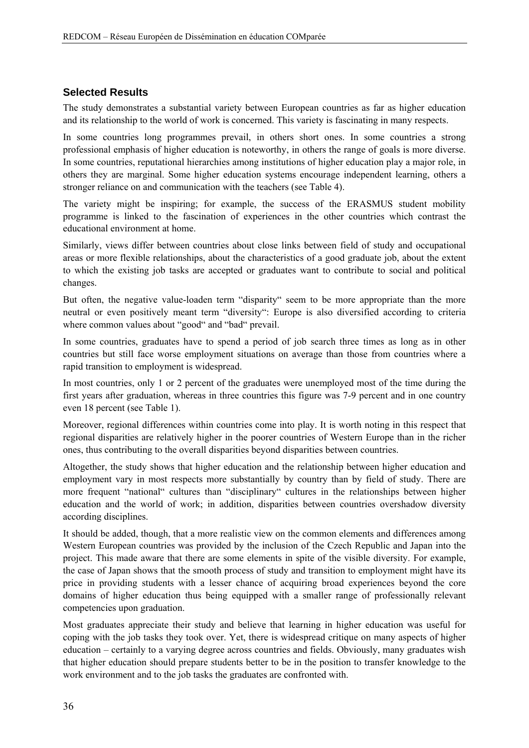#### **Selected Results**

The study demonstrates a substantial variety between European countries as far as higher education and its relationship to the world of work is concerned. This variety is fascinating in many respects.

In some countries long programmes prevail, in others short ones. In some countries a strong professional emphasis of higher education is noteworthy, in others the range of goals is more diverse. In some countries, reputational hierarchies among institutions of higher education play a major role, in others they are marginal. Some higher education systems encourage independent learning, others a stronger reliance on and communication with the teachers (see Table 4).

The variety might be inspiring; for example, the success of the ERASMUS student mobility programme is linked to the fascination of experiences in the other countries which contrast the educational environment at home.

Similarly, views differ between countries about close links between field of study and occupational areas or more flexible relationships, about the characteristics of a good graduate job, about the extent to which the existing job tasks are accepted or graduates want to contribute to social and political changes.

But often, the negative value-loaden term "disparity" seem to be more appropriate than the more neutral or even positively meant term "diversity": Europe is also diversified according to criteria where common values about "good" and "bad" prevail.

In some countries, graduates have to spend a period of job search three times as long as in other countries but still face worse employment situations on average than those from countries where a rapid transition to employment is widespread.

In most countries, only 1 or 2 percent of the graduates were unemployed most of the time during the first years after graduation, whereas in three countries this figure was 7-9 percent and in one country even 18 percent (see Table 1).

Moreover, regional differences within countries come into play. It is worth noting in this respect that regional disparities are relatively higher in the poorer countries of Western Europe than in the richer ones, thus contributing to the overall disparities beyond disparities between countries.

Altogether, the study shows that higher education and the relationship between higher education and employment vary in most respects more substantially by country than by field of study. There are more frequent "national" cultures than "disciplinary" cultures in the relationships between higher education and the world of work; in addition, disparities between countries overshadow diversity according disciplines.

It should be added, though, that a more realistic view on the common elements and differences among Western European countries was provided by the inclusion of the Czech Republic and Japan into the project. This made aware that there are some elements in spite of the visible diversity. For example, the case of Japan shows that the smooth process of study and transition to employment might have its price in providing students with a lesser chance of acquiring broad experiences beyond the core domains of higher education thus being equipped with a smaller range of professionally relevant competencies upon graduation.

Most graduates appreciate their study and believe that learning in higher education was useful for coping with the job tasks they took over. Yet, there is widespread critique on many aspects of higher education – certainly to a varying degree across countries and fields. Obviously, many graduates wish that higher education should prepare students better to be in the position to transfer knowledge to the work environment and to the job tasks the graduates are confronted with.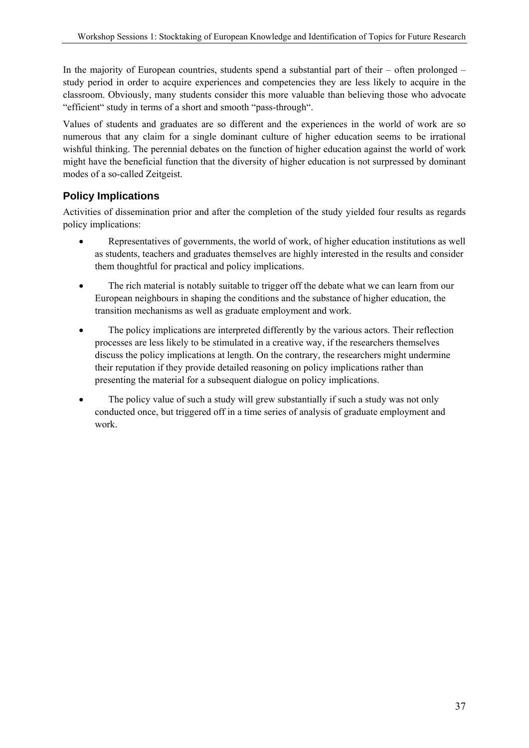In the majority of European countries, students spend a substantial part of their – often prolonged – study period in order to acquire experiences and competencies they are less likely to acquire in the classroom. Obviously, many students consider this more valuable than believing those who advocate "efficient" study in terms of a short and smooth "pass-through".

Values of students and graduates are so different and the experiences in the world of work are so numerous that any claim for a single dominant culture of higher education seems to be irrational wishful thinking. The perennial debates on the function of higher education against the world of work might have the beneficial function that the diversity of higher education is not surpressed by dominant modes of a so-called Zeitgeist.

# **Policy Implications**

Activities of dissemination prior and after the completion of the study yielded four results as regards policy implications:

- Representatives of governments, the world of work, of higher education institutions as well as students, teachers and graduates themselves are highly interested in the results and consider them thoughtful for practical and policy implications.
- The rich material is notably suitable to trigger off the debate what we can learn from our European neighbours in shaping the conditions and the substance of higher education, the transition mechanisms as well as graduate employment and work.
- The policy implications are interpreted differently by the various actors. Their reflection processes are less likely to be stimulated in a creative way, if the researchers themselves discuss the policy implications at length. On the contrary, the researchers might undermine their reputation if they provide detailed reasoning on policy implications rather than presenting the material for a subsequent dialogue on policy implications.
- The policy value of such a study will grew substantially if such a study was not only conducted once, but triggered off in a time series of analysis of graduate employment and work.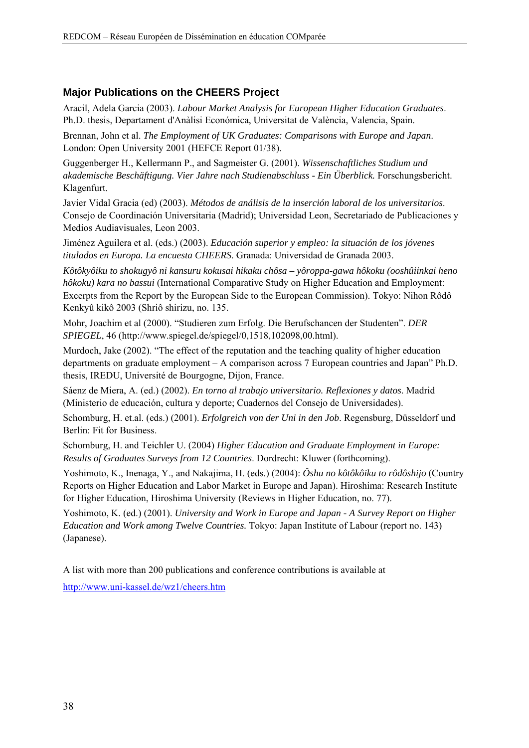#### **Major Publications on the CHEERS Project**

Aracil, Adela Garcia (2003). *Labour Market Analysis for European Higher Education Graduates*. Ph.D. thesis, Departament d'Anàlisi Económica, Universitat de València, Valencia, Spain.

Brennan, John et al. *The Employment of UK Graduates: Comparisons with Europe and Japan*. London: Open University 2001 (HEFCE Report 01/38).

Guggenberger H., Kellermann P., and Sagmeister G. (2001). *Wissenschaftliches Studium und akademische Beschäftigung. Vier Jahre nach Studienabschluss - Ein Überblick.* Forschungsbericht. Klagenfurt.

Javier Vidal Gracia (ed) (2003). *Métodos de análisis de la inserción laboral de los universitarios*. Consejo de Coordinación Universitaria (Madrid); Universidad Leon, Secretariado de Publicaciones y Medios Audiavisuales, Leon 2003.

Jiménez Aguilera et al. (eds.) (2003). *Educación superior y empleo: la situación de los jóvenes titulados en Europa. La encuesta CHEERS*. Granada: Universidad de Granada 2003.

*Kôtôkyôiku to shokugyô ni kansuru kokusai hikaku chôsa – yôroppa-gawa hôkoku (ooshûiinkai heno hôkoku) kara no bassui* (International Comparative Study on Higher Education and Employment: Excerpts from the Report by the European Side to the European Commission). Tokyo: Nihon Rôdô Kenkyû kikô 2003 (Shriô shirizu, no. 135.

Mohr, Joachim et al (2000). "Studieren zum Erfolg. Die Berufschancen der Studenten". *DER SPIEGEL*, 46 (http://www.spiegel.de/spiegel/0,1518,102098,00.html).

Murdoch, Jake (2002). "The effect of the reputation and the teaching quality of higher education departments on graduate employment – A comparison across 7 European countries and Japan" Ph.D. thesis, IREDU, Université de Bourgogne, Dijon, France.

Sáenz de Miera, A. (ed.) (2002). *En torno al trabajo universitario. Reflexiones y datos*. Madrid (Ministerio de educación, cultura y deporte; Cuadernos del Consejo de Universidades).

Schomburg, H. et.al. (eds.) (2001). *Erfolgreich von der Uni in den Job*. Regensburg, Düsseldorf und Berlin: Fit for Business.

Schomburg, H. and Teichler U. (2004) *Higher Education and Graduate Employment in Europe: Results of Graduates Surveys from 12 Countries*. Dordrecht: Kluwer (forthcoming).

Yoshimoto, K., Inenaga, Y., and Nakajima, H. (eds.) (2004): *Ôshu no kôtôkôiku to rôdôshijo* (Country Reports on Higher Education and Labor Market in Europe and Japan). Hiroshima: Research Institute for Higher Education, Hiroshima University (Reviews in Higher Education, no. 77).

Yoshimoto, K. (ed.) (2001). *University and Work in Europe and Japan - A Survey Report on Higher Education and Work among Twelve Countries.* Tokyo: Japan Institute of Labour (report no. 143) (Japanese).

A list with more than 200 publications and conference contributions is available at http://www.uni-kassel.de/wz1/cheers.htm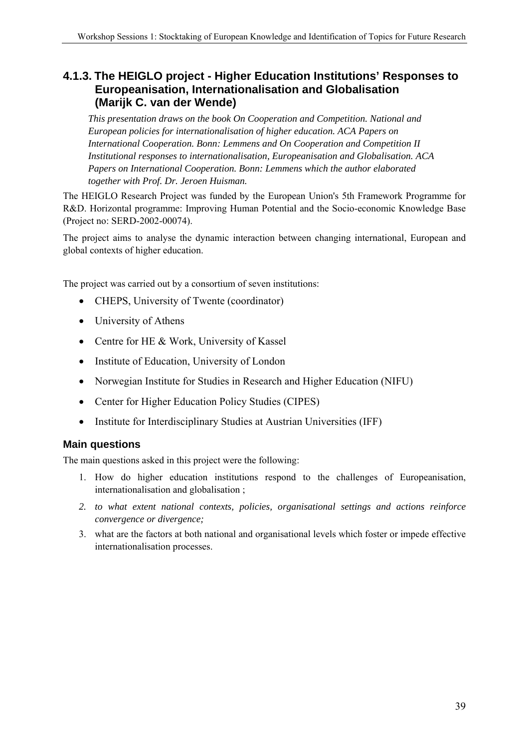# **4.1.3. The HEIGLO project - Higher Education Institutions' Responses to Europeanisation, Internationalisation and Globalisation (Marijk C. van der Wende)**

*This presentation draws on the book On Cooperation and Competition. National and European policies for internationalisation of higher education. ACA Papers on International Cooperation. Bonn: Lemmens and On Cooperation and Competition II Institutional responses to internationalisation, Europeanisation and Globalisation. ACA Papers on International Cooperation. Bonn: Lemmens which the author elaborated together with Prof. Dr. Jeroen Huisman.* 

The HEIGLO Research Project was funded by the European Union's 5th Framework Programme for R&D. Horizontal programme: Improving Human Potential and the Socio-economic Knowledge Base (Project no: SERD-2002-00074).

The project aims to analyse the dynamic interaction between changing international, European and global contexts of higher education.

The project was carried out by a consortium of seven institutions:

- CHEPS, University of Twente (coordinator)
- University of Athens
- Centre for HE & Work, University of Kassel
- Institute of Education, University of London
- Norwegian Institute for Studies in Research and Higher Education (NIFU)
- Center for Higher Education Policy Studies (CIPES)
- Institute for Interdisciplinary Studies at Austrian Universities (IFF)

#### **Main questions**

The main questions asked in this project were the following:

- 1. How do higher education institutions respond to the challenges of Europeanisation, internationalisation and globalisation ;
- *2. to what extent national contexts, policies, organisational settings and actions reinforce convergence or divergence;*
- 3. what are the factors at both national and organisational levels which foster or impede effective internationalisation processes.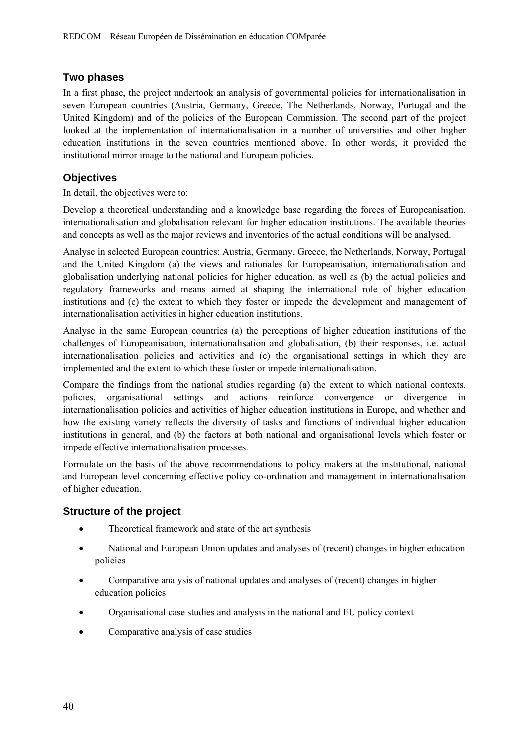#### **Two phases**

In a first phase, the project undertook an analysis of governmental policies for internationalisation in seven European countries (Austria, Germany, Greece, The Netherlands, Norway, Portugal and the United Kingdom) and of the policies of the European Commission. The second part of the project looked at the implementation of internationalisation in a number of universities and other higher education institutions in the seven countries mentioned above. In other words, it provided the institutional mirror image to the national and European policies.

### **Objectives**

In detail, the objectives were to:

Develop a theoretical understanding and a knowledge base regarding the forces of Europeanisation, internationalisation and globalisation relevant for higher education institutions. The available theories and concepts as well as the major reviews and inventories of the actual conditions will be analysed.

Analyse in selected European countries: Austria, Germany, Greece, the Netherlands, Norway, Portugal and the United Kingdom (a) the views and rationales for Europeanisation, internationalisation and globalisation underlying national policies for higher education, as well as (b) the actual policies and regulatory frameworks and means aimed at shaping the international role of higher education institutions and (c) the extent to which they foster or impede the development and management of internationalisation activities in higher education institutions.

Analyse in the same European countries (a) the perceptions of higher education institutions of the challenges of Europeanisation, internationalisation and globalisation, (b) their responses, i.e. actual internationalisation policies and activities and (c) the organisational settings in which they are implemented and the extent to which these foster or impede internationalisation.

Compare the findings from the national studies regarding (a) the extent to which national contexts, policies, organisational settings and actions reinforce convergence or divergence in internationalisation policies and activities of higher education institutions in Europe, and whether and how the existing variety reflects the diversity of tasks and functions of individual higher education institutions in general, and (b) the factors at both national and organisational levels which foster or impede effective internationalisation processes.

Formulate on the basis of the above recommendations to policy makers at the institutional, national and European level concerning effective policy co-ordination and management in internationalisation of higher education.

#### **Structure of the project**

- Theoretical framework and state of the art synthesis
- National and European Union updates and analyses of (recent) changes in higher education policies
- Comparative analysis of national updates and analyses of (recent) changes in higher education policies
- Organisational case studies and analysis in the national and EU policy context
- Comparative analysis of case studies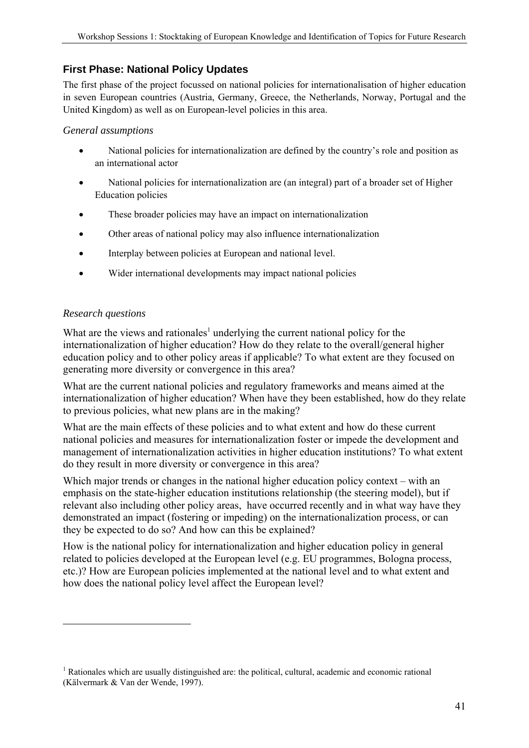# **First Phase: National Policy Updates**

The first phase of the project focussed on national policies for internationalisation of higher education in seven European countries (Austria, Germany, Greece, the Netherlands, Norway, Portugal and the United Kingdom) as well as on European-level policies in this area.

#### *General assumptions*

- National policies for internationalization are defined by the country's role and position as an international actor
- National policies for internationalization are (an integral) part of a broader set of Higher Education policies
- These broader policies may have an impact on internationalization
- Other areas of national policy may also influence internationalization
- Interplay between policies at European and national level.
- Wider international developments may impact national policies

#### *Research questions*

1

What are the views and rationales<sup>1</sup> underlying the current national policy for the internationalization of higher education? How do they relate to the overall/general higher education policy and to other policy areas if applicable? To what extent are they focused on generating more diversity or convergence in this area?

What are the current national policies and regulatory frameworks and means aimed at the internationalization of higher education? When have they been established, how do they relate to previous policies, what new plans are in the making?

What are the main effects of these policies and to what extent and how do these current national policies and measures for internationalization foster or impede the development and management of internationalization activities in higher education institutions? To what extent do they result in more diversity or convergence in this area?

Which major trends or changes in the national higher education policy context – with an emphasis on the state-higher education institutions relationship (the steering model), but if relevant also including other policy areas, have occurred recently and in what way have they demonstrated an impact (fostering or impeding) on the internationalization process, or can they be expected to do so? And how can this be explained?

How is the national policy for internationalization and higher education policy in general related to policies developed at the European level (e.g. EU programmes, Bologna process, etc.)? How are European policies implemented at the national level and to what extent and how does the national policy level affect the European level?

<sup>&</sup>lt;sup>1</sup> Rationales which are usually distinguished are: the political, cultural, academic and economic rational (Kälvermark & Van der Wende, 1997).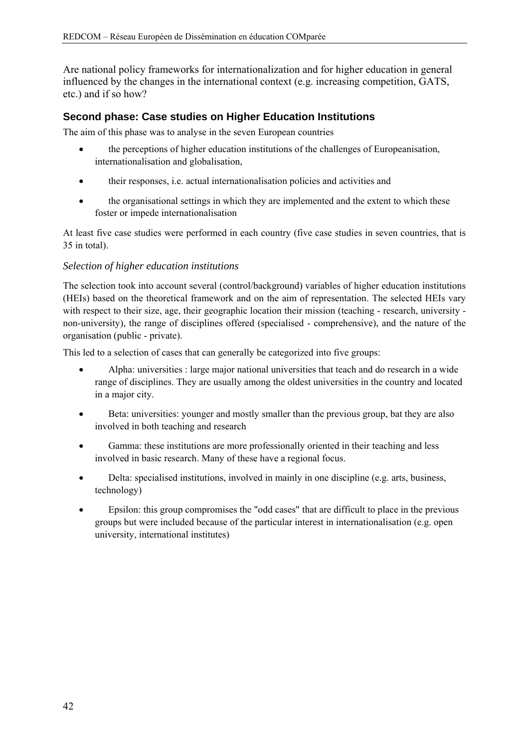Are national policy frameworks for internationalization and for higher education in general influenced by the changes in the international context (e.g. increasing competition, GATS, etc.) and if so how?

# **Second phase: Case studies on Higher Education Institutions**

The aim of this phase was to analyse in the seven European countries

- the perceptions of higher education institutions of the challenges of Europeanisation, internationalisation and globalisation,
- their responses, i.e. actual internationalisation policies and activities and
- the organisational settings in which they are implemented and the extent to which these foster or impede internationalisation

At least five case studies were performed in each country (five case studies in seven countries, that is 35 in total).

#### *Selection of higher education institutions*

The selection took into account several (control/background) variables of higher education institutions (HEIs) based on the theoretical framework and on the aim of representation. The selected HEIs vary with respect to their size, age, their geographic location their mission (teaching - research, university non-university), the range of disciplines offered (specialised - comprehensive), and the nature of the organisation (public - private).

This led to a selection of cases that can generally be categorized into five groups:

- Alpha: universities : large major national universities that teach and do research in a wide range of disciplines. They are usually among the oldest universities in the country and located in a major city.
- Beta: universities: younger and mostly smaller than the previous group, bat they are also involved in both teaching and research
- Gamma: these institutions are more professionally oriented in their teaching and less involved in basic research. Many of these have a regional focus.
- Delta: specialised institutions, involved in mainly in one discipline (e.g. arts, business, technology)
- Epsilon: this group compromises the "odd cases" that are difficult to place in the previous groups but were included because of the particular interest in internationalisation (e.g. open university, international institutes)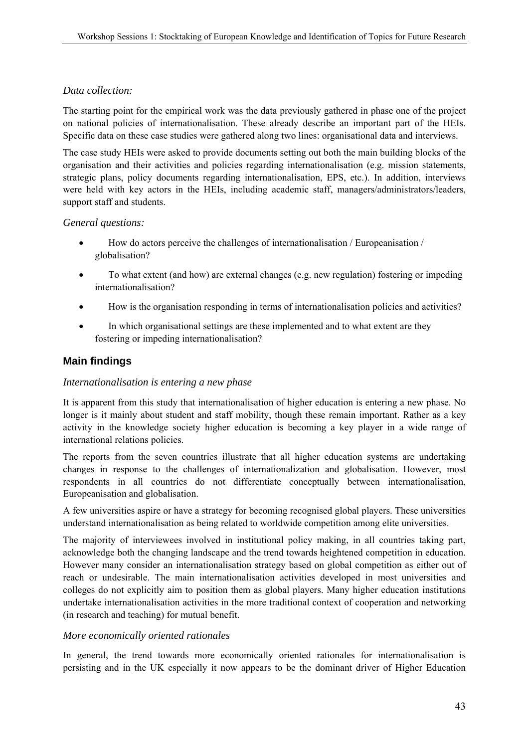#### *Data collection:*

The starting point for the empirical work was the data previously gathered in phase one of the project on national policies of internationalisation. These already describe an important part of the HEIs. Specific data on these case studies were gathered along two lines: organisational data and interviews.

The case study HEIs were asked to provide documents setting out both the main building blocks of the organisation and their activities and policies regarding internationalisation (e.g. mission statements, strategic plans, policy documents regarding internationalisation, EPS, etc.). In addition, interviews were held with key actors in the HEIs, including academic staff, managers/administrators/leaders, support staff and students.

#### *General questions:*

- How do actors perceive the challenges of internationalisation / Europeanisation / globalisation?
- To what extent (and how) are external changes (e.g. new regulation) fostering or impeding internationalisation?
- How is the organisation responding in terms of internationalisation policies and activities?
- In which organisational settings are these implemented and to what extent are they fostering or impeding internationalisation?

## **Main findings**

#### *Internationalisation is entering a new phase*

It is apparent from this study that internationalisation of higher education is entering a new phase. No longer is it mainly about student and staff mobility, though these remain important. Rather as a key activity in the knowledge society higher education is becoming a key player in a wide range of international relations policies.

The reports from the seven countries illustrate that all higher education systems are undertaking changes in response to the challenges of internationalization and globalisation. However, most respondents in all countries do not differentiate conceptually between internationalisation, Europeanisation and globalisation.

A few universities aspire or have a strategy for becoming recognised global players. These universities understand internationalisation as being related to worldwide competition among elite universities.

The majority of interviewees involved in institutional policy making, in all countries taking part, acknowledge both the changing landscape and the trend towards heightened competition in education. However many consider an internationalisation strategy based on global competition as either out of reach or undesirable. The main internationalisation activities developed in most universities and colleges do not explicitly aim to position them as global players. Many higher education institutions undertake internationalisation activities in the more traditional context of cooperation and networking (in research and teaching) for mutual benefit.

#### *More economically oriented rationales*

In general, the trend towards more economically oriented rationales for internationalisation is persisting and in the UK especially it now appears to be the dominant driver of Higher Education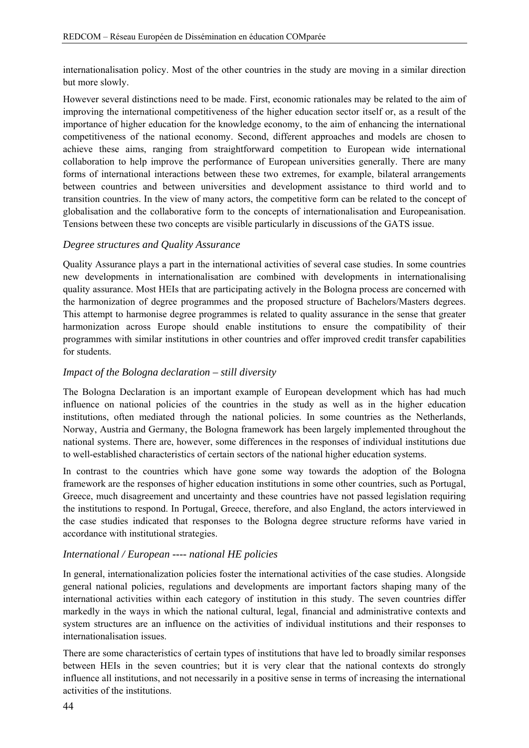internationalisation policy. Most of the other countries in the study are moving in a similar direction but more slowly.

However several distinctions need to be made. First, economic rationales may be related to the aim of improving the international competitiveness of the higher education sector itself or, as a result of the importance of higher education for the knowledge economy, to the aim of enhancing the international competitiveness of the national economy. Second, different approaches and models are chosen to achieve these aims, ranging from straightforward competition to European wide international collaboration to help improve the performance of European universities generally. There are many forms of international interactions between these two extremes, for example, bilateral arrangements between countries and between universities and development assistance to third world and to transition countries. In the view of many actors, the competitive form can be related to the concept of globalisation and the collaborative form to the concepts of internationalisation and Europeanisation. Tensions between these two concepts are visible particularly in discussions of the GATS issue.

#### *Degree structures and Quality Assurance*

Quality Assurance plays a part in the international activities of several case studies. In some countries new developments in internationalisation are combined with developments in internationalising quality assurance. Most HEIs that are participating actively in the Bologna process are concerned with the harmonization of degree programmes and the proposed structure of Bachelors/Masters degrees. This attempt to harmonise degree programmes is related to quality assurance in the sense that greater harmonization across Europe should enable institutions to ensure the compatibility of their programmes with similar institutions in other countries and offer improved credit transfer capabilities for students.

#### *Impact of the Bologna declaration – still diversity*

The Bologna Declaration is an important example of European development which has had much influence on national policies of the countries in the study as well as in the higher education institutions, often mediated through the national policies. In some countries as the Netherlands, Norway, Austria and Germany, the Bologna framework has been largely implemented throughout the national systems. There are, however, some differences in the responses of individual institutions due to well-established characteristics of certain sectors of the national higher education systems.

In contrast to the countries which have gone some way towards the adoption of the Bologna framework are the responses of higher education institutions in some other countries, such as Portugal, Greece, much disagreement and uncertainty and these countries have not passed legislation requiring the institutions to respond. In Portugal, Greece, therefore, and also England, the actors interviewed in the case studies indicated that responses to the Bologna degree structure reforms have varied in accordance with institutional strategies.

#### *International / European ---- national HE policies*

In general, internationalization policies foster the international activities of the case studies. Alongside general national policies, regulations and developments are important factors shaping many of the international activities within each category of institution in this study. The seven countries differ markedly in the ways in which the national cultural, legal, financial and administrative contexts and system structures are an influence on the activities of individual institutions and their responses to internationalisation issues.

There are some characteristics of certain types of institutions that have led to broadly similar responses between HEIs in the seven countries; but it is very clear that the national contexts do strongly influence all institutions, and not necessarily in a positive sense in terms of increasing the international activities of the institutions.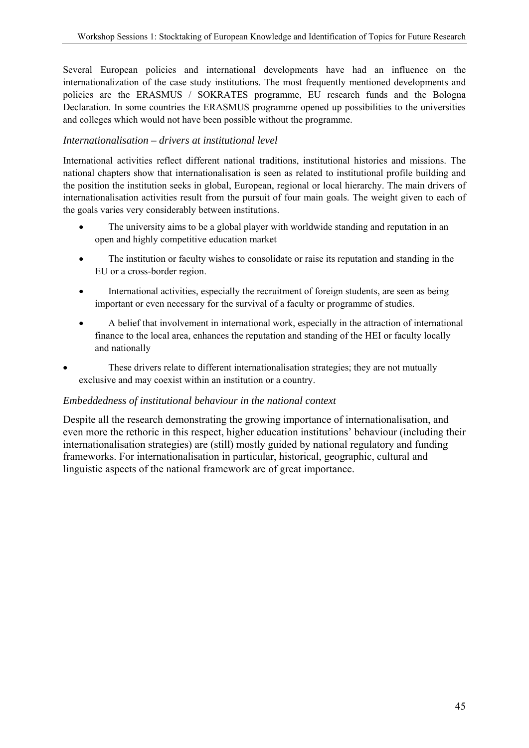Several European policies and international developments have had an influence on the internationalization of the case study institutions. The most frequently mentioned developments and policies are the ERASMUS / SOKRATES programme, EU research funds and the Bologna Declaration. In some countries the ERASMUS programme opened up possibilities to the universities and colleges which would not have been possible without the programme.

#### *Internationalisation – drivers at institutional level*

International activities reflect different national traditions, institutional histories and missions. The national chapters show that internationalisation is seen as related to institutional profile building and the position the institution seeks in global, European, regional or local hierarchy. The main drivers of internationalisation activities result from the pursuit of four main goals. The weight given to each of the goals varies very considerably between institutions.

- The university aims to be a global player with worldwide standing and reputation in an open and highly competitive education market
- The institution or faculty wishes to consolidate or raise its reputation and standing in the EU or a cross-border region.
- International activities, especially the recruitment of foreign students, are seen as being important or even necessary for the survival of a faculty or programme of studies.
- A belief that involvement in international work, especially in the attraction of international finance to the local area, enhances the reputation and standing of the HEI or faculty locally and nationally
- These drivers relate to different internationalisation strategies; they are not mutually exclusive and may coexist within an institution or a country.

#### *Embeddedness of institutional behaviour in the national context*

Despite all the research demonstrating the growing importance of internationalisation, and even more the rethoric in this respect, higher education institutions' behaviour (including their internationalisation strategies) are (still) mostly guided by national regulatory and funding frameworks. For internationalisation in particular, historical, geographic, cultural and linguistic aspects of the national framework are of great importance.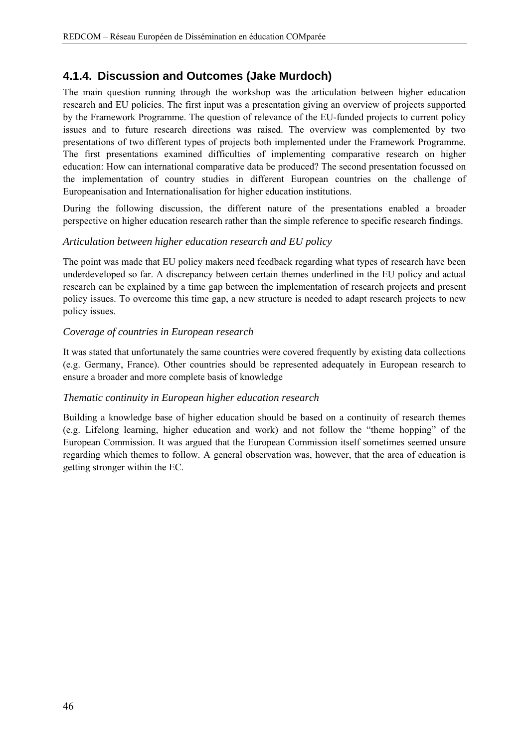# **4.1.4. Discussion and Outcomes (Jake Murdoch)**

The main question running through the workshop was the articulation between higher education research and EU policies. The first input was a presentation giving an overview of projects supported by the Framework Programme. The question of relevance of the EU-funded projects to current policy issues and to future research directions was raised. The overview was complemented by two presentations of two different types of projects both implemented under the Framework Programme. The first presentations examined difficulties of implementing comparative research on higher education: How can international comparative data be produced? The second presentation focussed on the implementation of country studies in different European countries on the challenge of Europeanisation and Internationalisation for higher education institutions.

During the following discussion, the different nature of the presentations enabled a broader perspective on higher education research rather than the simple reference to specific research findings.

#### *Articulation between higher education research and EU policy*

The point was made that EU policy makers need feedback regarding what types of research have been underdeveloped so far. A discrepancy between certain themes underlined in the EU policy and actual research can be explained by a time gap between the implementation of research projects and present policy issues. To overcome this time gap, a new structure is needed to adapt research projects to new policy issues.

#### *Coverage of countries in European research*

It was stated that unfortunately the same countries were covered frequently by existing data collections (e.g. Germany, France). Other countries should be represented adequately in European research to ensure a broader and more complete basis of knowledge

#### *Thematic continuity in European higher education research*

Building a knowledge base of higher education should be based on a continuity of research themes (e.g. Lifelong learning, higher education and work) and not follow the "theme hopping" of the European Commission. It was argued that the European Commission itself sometimes seemed unsure regarding which themes to follow. A general observation was, however, that the area of education is getting stronger within the EC.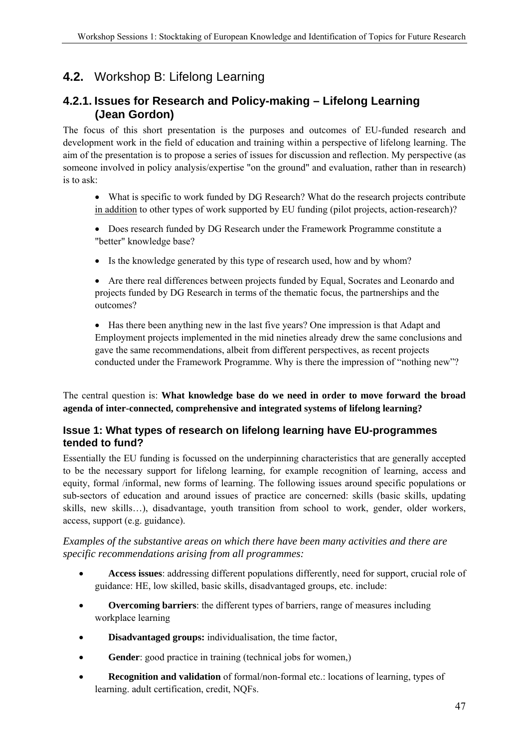# **4.2.** Workshop B: Lifelong Learning

# **4.2.1. Issues for Research and Policy-making – Lifelong Learning (Jean Gordon)**

The focus of this short presentation is the purposes and outcomes of EU-funded research and development work in the field of education and training within a perspective of lifelong learning. The aim of the presentation is to propose a series of issues for discussion and reflection. My perspective (as someone involved in policy analysis/expertise "on the ground" and evaluation, rather than in research) is to ask:

- What is specific to work funded by DG Research? What do the research projects contribute in addition to other types of work supported by EU funding (pilot projects, action-research)?
- Does research funded by DG Research under the Framework Programme constitute a "better" knowledge base?
- Is the knowledge generated by this type of research used, how and by whom?
- Are there real differences between projects funded by Equal, Socrates and Leonardo and projects funded by DG Research in terms of the thematic focus, the partnerships and the outcomes?
- Has there been anything new in the last five years? One impression is that Adapt and Employment projects implemented in the mid nineties already drew the same conclusions and gave the same recommendations, albeit from different perspectives, as recent projects conducted under the Framework Programme. Why is there the impression of "nothing new"?

The central question is: **What knowledge base do we need in order to move forward the broad agenda of inter-connected, comprehensive and integrated systems of lifelong learning?** 

## **Issue 1: What types of research on lifelong learning have EU-programmes tended to fund?**

Essentially the EU funding is focussed on the underpinning characteristics that are generally accepted to be the necessary support for lifelong learning, for example recognition of learning, access and equity, formal /informal, new forms of learning. The following issues around specific populations or sub-sectors of education and around issues of practice are concerned: skills (basic skills, updating skills, new skills…), disadvantage, youth transition from school to work, gender, older workers, access, support (e.g. guidance).

#### *Examples of the substantive areas on which there have been many activities and there are specific recommendations arising from all programmes:*

- **Access issues**: addressing different populations differently, need for support, crucial role of guidance: HE, low skilled, basic skills, disadvantaged groups, etc. include:
- **Overcoming barriers**: the different types of barriers, range of measures including workplace learning
- **Disadvantaged groups:** individualisation, the time factor,
- **Gender**: good practice in training (technical jobs for women,)
- **Recognition and validation** of formal/non-formal etc.: locations of learning, types of learning. adult certification, credit, NQFs.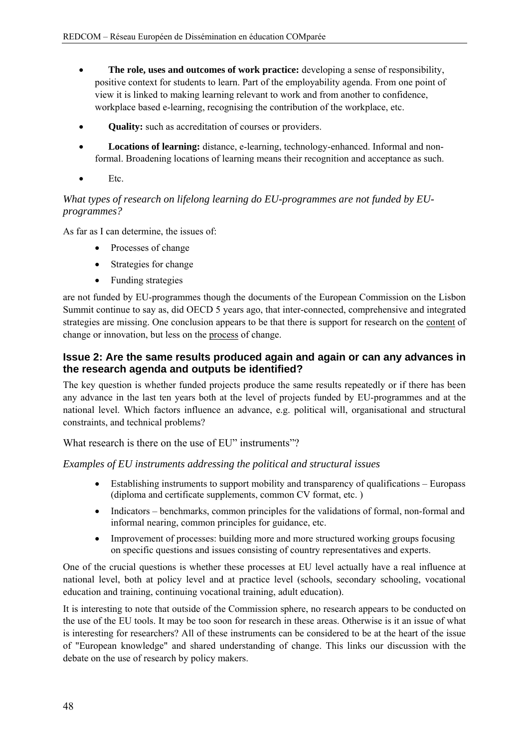- **The role, uses and outcomes of work practice:** developing a sense of responsibility, positive context for students to learn. Part of the employability agenda. From one point of view it is linked to making learning relevant to work and from another to confidence, workplace based e-learning, recognising the contribution of the workplace, etc.
- **Quality:** such as accreditation of courses or providers.
- **Locations of learning:** distance, e-learning, technology-enhanced. Informal and nonformal. Broadening locations of learning means their recognition and acceptance as such.
- Etc.

#### *What types of research on lifelong learning do EU-programmes are not funded by EUprogrammes?*

As far as I can determine, the issues of:

- Processes of change
- Strategies for change
- Funding strategies

are not funded by EU-programmes though the documents of the European Commission on the Lisbon Summit continue to say as, did OECD 5 years ago, that inter-connected, comprehensive and integrated strategies are missing. One conclusion appears to be that there is support for research on the content of change or innovation, but less on the process of change.

#### **Issue 2: Are the same results produced again and again or can any advances in the research agenda and outputs be identified?**

The key question is whether funded projects produce the same results repeatedly or if there has been any advance in the last ten years both at the level of projects funded by EU-programmes and at the national level. Which factors influence an advance, e.g. political will, organisational and structural constraints, and technical problems?

What research is there on the use of EU" instruments"?

#### *Examples of EU instruments addressing the political and structural issues*

- Establishing instruments to support mobility and transparency of qualifications Europass (diploma and certificate supplements, common CV format, etc. )
- Indicators benchmarks, common principles for the validations of formal, non-formal and informal nearing, common principles for guidance, etc.
- Improvement of processes: building more and more structured working groups focusing on specific questions and issues consisting of country representatives and experts.

One of the crucial questions is whether these processes at EU level actually have a real influence at national level, both at policy level and at practice level (schools, secondary schooling, vocational education and training, continuing vocational training, adult education).

It is interesting to note that outside of the Commission sphere, no research appears to be conducted on the use of the EU tools. It may be too soon for research in these areas. Otherwise is it an issue of what is interesting for researchers? All of these instruments can be considered to be at the heart of the issue of "European knowledge" and shared understanding of change. This links our discussion with the debate on the use of research by policy makers.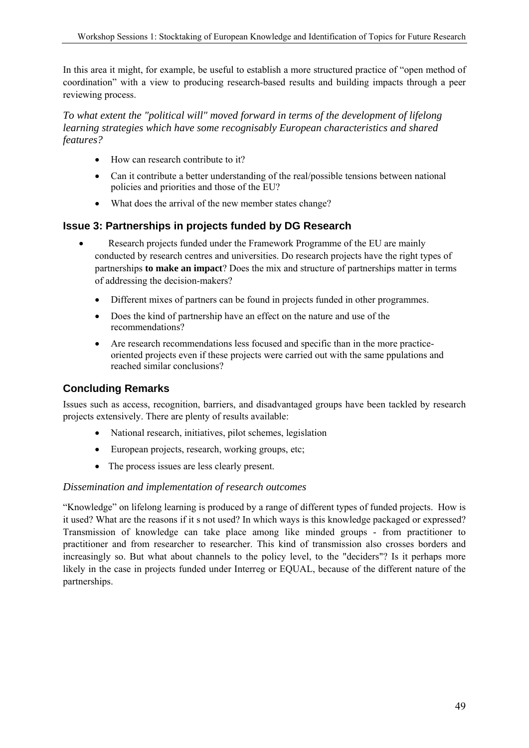In this area it might, for example, be useful to establish a more structured practice of "open method of coordination" with a view to producing research-based results and building impacts through a peer reviewing process.

#### *To what extent the "political will" moved forward in terms of the development of lifelong learning strategies which have some recognisably European characteristics and shared features?*

- How can research contribute to it?
- Can it contribute a better understanding of the real/possible tensions between national policies and priorities and those of the EU?
- What does the arrival of the new member states change?

## **Issue 3: Partnerships in projects funded by DG Research**

- Research projects funded under the Framework Programme of the EU are mainly conducted by research centres and universities. Do research projects have the right types of partnerships **to make an impact**? Does the mix and structure of partnerships matter in terms of addressing the decision-makers?
	- Different mixes of partners can be found in projects funded in other programmes.
	- Does the kind of partnership have an effect on the nature and use of the recommendations?
	- Are research recommendations less focused and specific than in the more practiceoriented projects even if these projects were carried out with the same ppulations and reached similar conclusions?

# **Concluding Remarks**

Issues such as access, recognition, barriers, and disadvantaged groups have been tackled by research projects extensively. There are plenty of results available:

- National research, initiatives, pilot schemes, legislation
- European projects, research, working groups, etc;
- The process issues are less clearly present.

#### *Dissemination and implementation of research outcomes*

"Knowledge" on lifelong learning is produced by a range of different types of funded projects. How is it used? What are the reasons if it s not used? In which ways is this knowledge packaged or expressed? Transmission of knowledge can take place among like minded groups - from practitioner to practitioner and from researcher to researcher. This kind of transmission also crosses borders and increasingly so. But what about channels to the policy level, to the "deciders"? Is it perhaps more likely in the case in projects funded under Interreg or EQUAL, because of the different nature of the partnerships.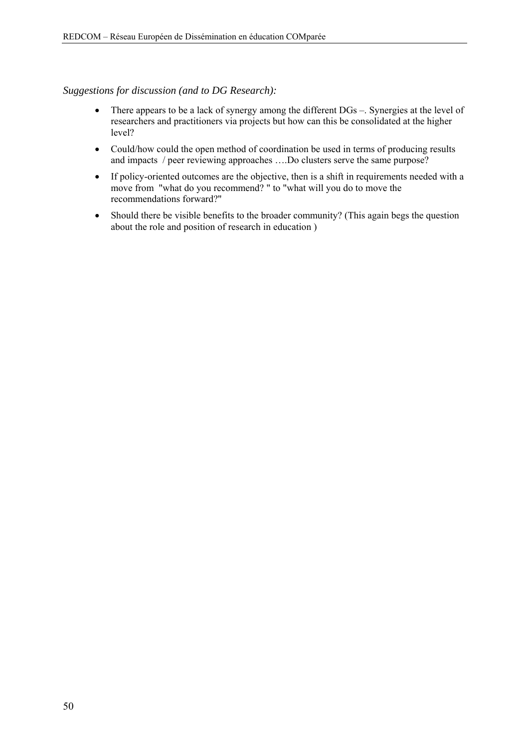#### *Suggestions for discussion (and to DG Research):*

- There appears to be a lack of synergy among the different DGs -. Synergies at the level of researchers and practitioners via projects but how can this be consolidated at the higher level?
- Could/how could the open method of coordination be used in terms of producing results and impacts / peer reviewing approaches ….Do clusters serve the same purpose?
- If policy-oriented outcomes are the objective, then is a shift in requirements needed with a move from "what do you recommend? " to "what will you do to move the recommendations forward?"
- Should there be visible benefits to the broader community? (This again begs the question about the role and position of research in education )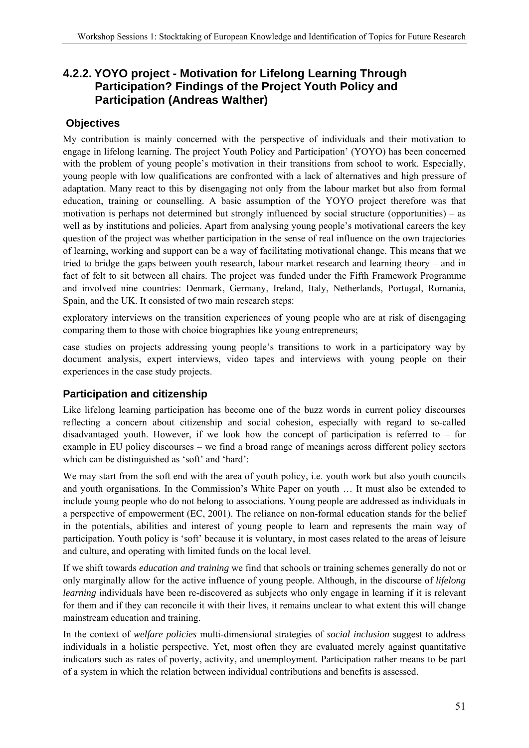# **4.2.2. YOYO project - Motivation for Lifelong Learning Through Participation? Findings of the Project Youth Policy and Participation (Andreas Walther)**

# **Objectives**

My contribution is mainly concerned with the perspective of individuals and their motivation to engage in lifelong learning. The project Youth Policy and Participation' (YOYO) has been concerned with the problem of young people's motivation in their transitions from school to work. Especially, young people with low qualifications are confronted with a lack of alternatives and high pressure of adaptation. Many react to this by disengaging not only from the labour market but also from formal education, training or counselling. A basic assumption of the YOYO project therefore was that motivation is perhaps not determined but strongly influenced by social structure (opportunities) – as well as by institutions and policies. Apart from analysing young people's motivational careers the key question of the project was whether participation in the sense of real influence on the own trajectories of learning, working and support can be a way of facilitating motivational change. This means that we tried to bridge the gaps between youth research, labour market research and learning theory – and in fact of felt to sit between all chairs. The project was funded under the Fifth Framework Programme and involved nine countries: Denmark, Germany, Ireland, Italy, Netherlands, Portugal, Romania, Spain, and the UK. It consisted of two main research steps:

exploratory interviews on the transition experiences of young people who are at risk of disengaging comparing them to those with choice biographies like young entrepreneurs;

case studies on projects addressing young people's transitions to work in a participatory way by document analysis, expert interviews, video tapes and interviews with young people on their experiences in the case study projects.

# **Participation and citizenship**

Like lifelong learning participation has become one of the buzz words in current policy discourses reflecting a concern about citizenship and social cohesion, especially with regard to so-called disadvantaged youth. However, if we look how the concept of participation is referred to – for example in EU policy discourses – we find a broad range of meanings across different policy sectors which can be distinguished as 'soft' and 'hard':

We may start from the soft end with the area of youth policy, i.e. youth work but also youth councils and youth organisations. In the Commission's White Paper on youth … It must also be extended to include young people who do not belong to associations. Young people are addressed as individuals in a perspective of empowerment (EC, 2001). The reliance on non-formal education stands for the belief in the potentials, abilities and interest of young people to learn and represents the main way of participation. Youth policy is 'soft' because it is voluntary, in most cases related to the areas of leisure and culture, and operating with limited funds on the local level.

If we shift towards *education and training* we find that schools or training schemes generally do not or only marginally allow for the active influence of young people. Although, in the discourse of *lifelong learning* individuals have been re-discovered as subjects who only engage in learning if it is relevant for them and if they can reconcile it with their lives, it remains unclear to what extent this will change mainstream education and training.

In the context of *welfare policies* multi-dimensional strategies of *social inclusion* suggest to address individuals in a holistic perspective. Yet, most often they are evaluated merely against quantitative indicators such as rates of poverty, activity, and unemployment. Participation rather means to be part of a system in which the relation between individual contributions and benefits is assessed.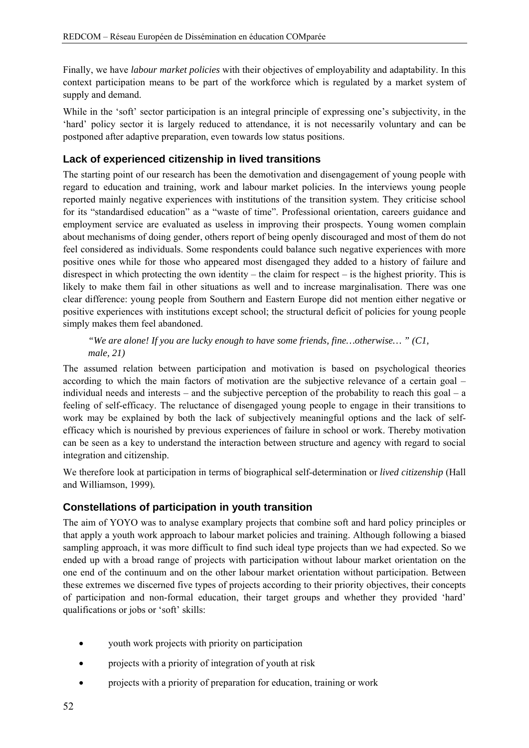Finally, we have *labour market policies* with their objectives of employability and adaptability. In this context participation means to be part of the workforce which is regulated by a market system of supply and demand.

While in the 'soft' sector participation is an integral principle of expressing one's subjectivity, in the 'hard' policy sector it is largely reduced to attendance, it is not necessarily voluntary and can be postponed after adaptive preparation, even towards low status positions.

## **Lack of experienced citizenship in lived transitions**

The starting point of our research has been the demotivation and disengagement of young people with regard to education and training, work and labour market policies. In the interviews young people reported mainly negative experiences with institutions of the transition system. They criticise school for its "standardised education" as a "waste of time". Professional orientation, careers guidance and employment service are evaluated as useless in improving their prospects. Young women complain about mechanisms of doing gender, others report of being openly discouraged and most of them do not feel considered as individuals. Some respondents could balance such negative experiences with more positive ones while for those who appeared most disengaged they added to a history of failure and disrespect in which protecting the own identity – the claim for respect – is the highest priority. This is likely to make them fail in other situations as well and to increase marginalisation. There was one clear difference: young people from Southern and Eastern Europe did not mention either negative or positive experiences with institutions except school; the structural deficit of policies for young people simply makes them feel abandoned.

#### *"We are alone! If you are lucky enough to have some friends, fine…otherwise… " (C1, male, 21)*

The assumed relation between participation and motivation is based on psychological theories according to which the main factors of motivation are the subjective relevance of a certain goal – individual needs and interests – and the subjective perception of the probability to reach this goal – a feeling of self-efficacy. The reluctance of disengaged young people to engage in their transitions to work may be explained by both the lack of subjectively meaningful options and the lack of selfefficacy which is nourished by previous experiences of failure in school or work. Thereby motivation can be seen as a key to understand the interaction between structure and agency with regard to social integration and citizenship.

We therefore look at participation in terms of biographical self-determination or *lived citizenship* (Hall and Williamson, 1999)*.* 

# **Constellations of participation in youth transition**

The aim of YOYO was to analyse examplary projects that combine soft and hard policy principles or that apply a youth work approach to labour market policies and training. Although following a biased sampling approach, it was more difficult to find such ideal type projects than we had expected. So we ended up with a broad range of projects with participation without labour market orientation on the one end of the continuum and on the other labour market orientation without participation. Between these extremes we discerned five types of projects according to their priority objectives, their concepts of participation and non-formal education, their target groups and whether they provided 'hard' qualifications or jobs or 'soft' skills:

- youth work projects with priority on participation
- projects with a priority of integration of youth at risk
- projects with a priority of preparation for education, training or work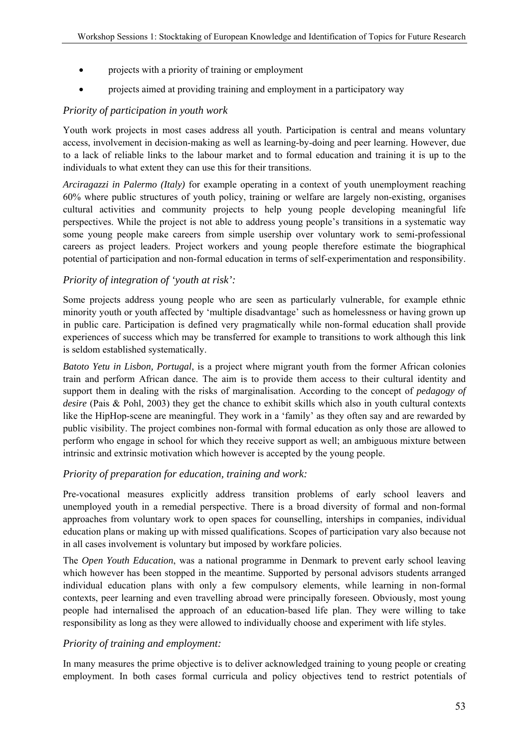- projects with a priority of training or employment
- projects aimed at providing training and employment in a participatory way

#### *Priority of participation in youth work*

Youth work projects in most cases address all youth. Participation is central and means voluntary access, involvement in decision-making as well as learning-by-doing and peer learning. However, due to a lack of reliable links to the labour market and to formal education and training it is up to the individuals to what extent they can use this for their transitions.

*Arciragazzi in Palermo (Italy)* for example operating in a context of youth unemployment reaching 60% where public structures of youth policy, training or welfare are largely non-existing, organises cultural activities and community projects to help young people developing meaningful life perspectives. While the project is not able to address young people's transitions in a systematic way some young people make careers from simple usership over voluntary work to semi-professional careers as project leaders. Project workers and young people therefore estimate the biographical potential of participation and non-formal education in terms of self-experimentation and responsibility.

## *Priority of integration of 'youth at risk':*

Some projects address young people who are seen as particularly vulnerable, for example ethnic minority youth or youth affected by 'multiple disadvantage' such as homelessness or having grown up in public care. Participation is defined very pragmatically while non-formal education shall provide experiences of success which may be transferred for example to transitions to work although this link is seldom established systematically.

*Batoto Yetu in Lisbon, Portugal*, is a project where migrant youth from the former African colonies train and perform African dance. The aim is to provide them access to their cultural identity and support them in dealing with the risks of marginalisation. According to the concept of *pedagogy of desire* (Pais & Pohl, 2003) they get the chance to exhibit skills which also in youth cultural contexts like the HipHop-scene are meaningful. They work in a 'family' as they often say and are rewarded by public visibility. The project combines non-formal with formal education as only those are allowed to perform who engage in school for which they receive support as well; an ambiguous mixture between intrinsic and extrinsic motivation which however is accepted by the young people.

#### *Priority of preparation for education, training and work:*

Pre-vocational measures explicitly address transition problems of early school leavers and unemployed youth in a remedial perspective. There is a broad diversity of formal and non-formal approaches from voluntary work to open spaces for counselling, interships in companies, individual education plans or making up with missed qualifications. Scopes of participation vary also because not in all cases involvement is voluntary but imposed by workfare policies.

The *Open Youth Education*, was a national programme in Denmark to prevent early school leaving which however has been stopped in the meantime. Supported by personal advisors students arranged individual education plans with only a few compulsory elements, while learning in non-formal contexts, peer learning and even travelling abroad were principally foreseen. Obviously, most young people had internalised the approach of an education-based life plan. They were willing to take responsibility as long as they were allowed to individually choose and experiment with life styles.

#### *Priority of training and employment:*

In many measures the prime objective is to deliver acknowledged training to young people or creating employment. In both cases formal curricula and policy objectives tend to restrict potentials of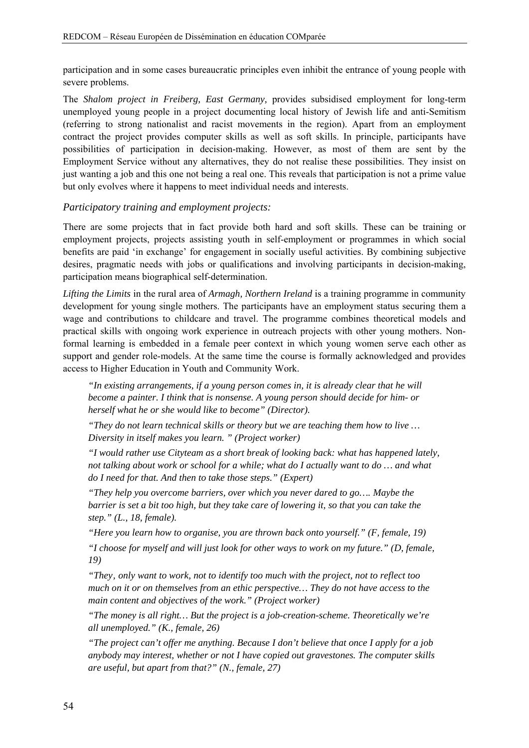participation and in some cases bureaucratic principles even inhibit the entrance of young people with severe problems.

The *Shalom project in Freiberg, East Germany,* provides subsidised employment for long-term unemployed young people in a project documenting local history of Jewish life and anti-Semitism (referring to strong nationalist and racist movements in the region). Apart from an employment contract the project provides computer skills as well as soft skills. In principle, participants have possibilities of participation in decision-making. However, as most of them are sent by the Employment Service without any alternatives, they do not realise these possibilities. They insist on just wanting a job and this one not being a real one. This reveals that participation is not a prime value but only evolves where it happens to meet individual needs and interests.

#### *Participatory training and employment projects:*

There are some projects that in fact provide both hard and soft skills. These can be training or employment projects, projects assisting youth in self-employment or programmes in which social benefits are paid 'in exchange' for engagement in socially useful activities. By combining subjective desires, pragmatic needs with jobs or qualifications and involving participants in decision-making, participation means biographical self-determination.

*Lifting the Limits* in the rural area of *Armagh, Northern Ireland* is a training programme in community development for young single mothers. The participants have an employment status securing them a wage and contributions to childcare and travel. The programme combines theoretical models and practical skills with ongoing work experience in outreach projects with other young mothers. Nonformal learning is embedded in a female peer context in which young women serve each other as support and gender role-models. At the same time the course is formally acknowledged and provides access to Higher Education in Youth and Community Work.

*"In existing arrangements, if a young person comes in, it is already clear that he will become a painter. I think that is nonsense. A young person should decide for him- or herself what he or she would like to become" (Director).* 

*"They do not learn technical skills or theory but we are teaching them how to live … Diversity in itself makes you learn. " (Project worker)* 

*"I would rather use Cityteam as a short break of looking back: what has happened lately, not talking about work or school for a while; what do I actually want to do … and what do I need for that. And then to take those steps." (Expert)* 

*"They help you overcome barriers, over which you never dared to go…. Maybe the barrier is set a bit too high, but they take care of lowering it, so that you can take the step." (L., 18, female).* 

*"Here you learn how to organise, you are thrown back onto yourself." (F, female, 19) "I choose for myself and will just look for other ways to work on my future." (D, female, 19)* 

*"They' only want to work, not to identify too much with the project, not to reflect too much on it or on themselves from an ethic perspective… They do not have access to the main content and objectives of the work." (Project worker)* 

*"The money is all right… But the project is a job-creation-scheme. Theoretically we're all unemployed." (K., female, 26)* 

*"The project can't offer me anything. Because I don't believe that once I apply for a job anybody may interest, whether or not I have copied out gravestones. The computer skills are useful, but apart from that?" (N., female, 27)*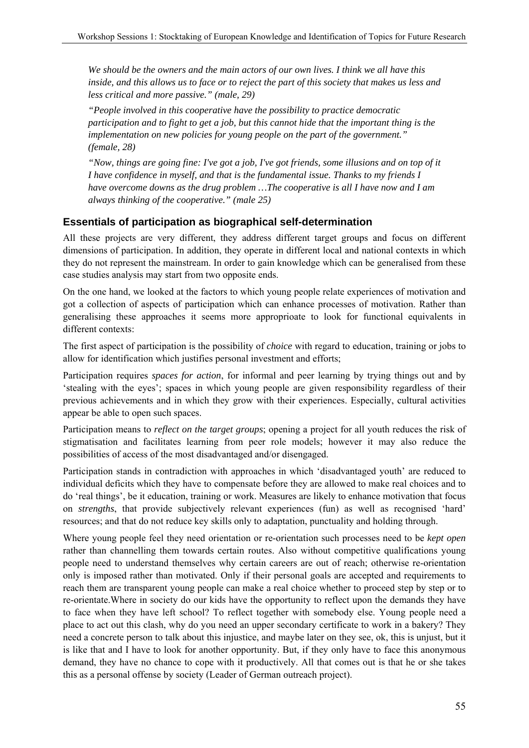*We should be the owners and the main actors of our own lives. I think we all have this inside, and this allows us to face or to reject the part of this society that makes us less and less critical and more passive." (male, 29)* 

*"People involved in this cooperative have the possibility to practice democratic participation and to fight to get a job, but this cannot hide that the important thing is the implementation on new policies for young people on the part of the government." (female, 28)* 

*"Now, things are going fine: I've got a job, I've got friends, some illusions and on top of it I have confidence in myself, and that is the fundamental issue. Thanks to my friends I have overcome downs as the drug problem …The cooperative is all I have now and I am always thinking of the cooperative." (male 25)* 

# **Essentials of participation as biographical self-determination**

All these projects are very different, they address different target groups and focus on different dimensions of participation. In addition, they operate in different local and national contexts in which they do not represent the mainstream. In order to gain knowledge which can be generalised from these case studies analysis may start from two opposite ends.

On the one hand, we looked at the factors to which young people relate experiences of motivation and got a collection of aspects of participation which can enhance processes of motivation. Rather than generalising these approaches it seems more approprioate to look for functional equivalents in different contexts:

The first aspect of participation is the possibility of *choice* with regard to education, training or jobs to allow for identification which justifies personal investment and efforts;

Participation requires *spaces for action*, for informal and peer learning by trying things out and by 'stealing with the eyes'; spaces in which young people are given responsibility regardless of their previous achievements and in which they grow with their experiences. Especially, cultural activities appear be able to open such spaces.

Participation means to *reflect on the target groups*; opening a project for all youth reduces the risk of stigmatisation and facilitates learning from peer role models; however it may also reduce the possibilities of access of the most disadvantaged and/or disengaged.

Participation stands in contradiction with approaches in which 'disadvantaged youth' are reduced to individual deficits which they have to compensate before they are allowed to make real choices and to do 'real things', be it education, training or work. Measures are likely to enhance motivation that focus on *strengths*, that provide subjectively relevant experiences (fun) as well as recognised 'hard' resources; and that do not reduce key skills only to adaptation, punctuality and holding through.

Where young people feel they need orientation or re-orientation such processes need to be *kept open*  rather than channelling them towards certain routes. Also without competitive qualifications young people need to understand themselves why certain careers are out of reach; otherwise re-orientation only is imposed rather than motivated. Only if their personal goals are accepted and requirements to reach them are transparent young people can make a real choice whether to proceed step by step or to re-orientate.Where in society do our kids have the opportunity to reflect upon the demands they have to face when they have left school? To reflect together with somebody else. Young people need a place to act out this clash, why do you need an upper secondary certificate to work in a bakery? They need a concrete person to talk about this injustice, and maybe later on they see, ok, this is unjust, but it is like that and I have to look for another opportunity. But, if they only have to face this anonymous demand, they have no chance to cope with it productively. All that comes out is that he or she takes this as a personal offense by society (Leader of German outreach project).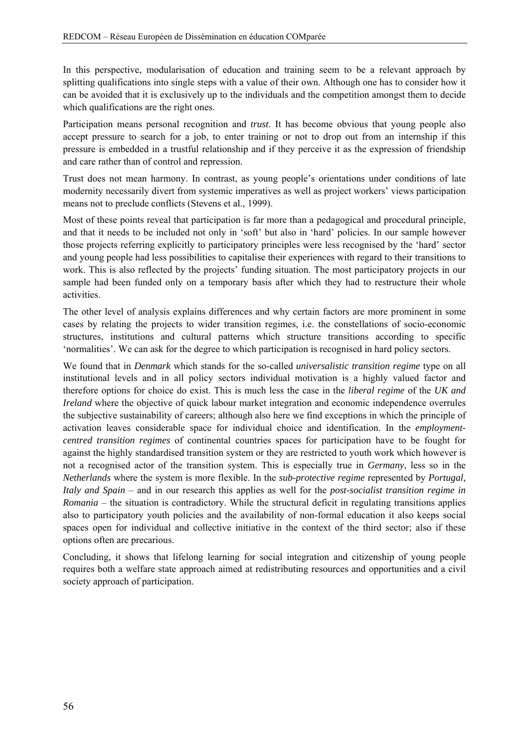In this perspective, modularisation of education and training seem to be a relevant approach by splitting qualifications into single steps with a value of their own. Although one has to consider how it can be avoided that it is exclusively up to the individuals and the competition amongst them to decide which qualifications are the right ones.

Participation means personal recognition and *trust*. It has become obvious that young people also accept pressure to search for a job, to enter training or not to drop out from an internship if this pressure is embedded in a trustful relationship and if they perceive it as the expression of friendship and care rather than of control and repression.

Trust does not mean harmony. In contrast, as young people's orientations under conditions of late modernity necessarily divert from systemic imperatives as well as project workers' views participation means not to preclude conflicts (Stevens et al., 1999).

Most of these points reveal that participation is far more than a pedagogical and procedural principle, and that it needs to be included not only in 'soft' but also in 'hard' policies. In our sample however those projects referring explicitly to participatory principles were less recognised by the 'hard' sector and young people had less possibilities to capitalise their experiences with regard to their transitions to work. This is also reflected by the projects' funding situation. The most participatory projects in our sample had been funded only on a temporary basis after which they had to restructure their whole activities.

The other level of analysis explains differences and why certain factors are more prominent in some cases by relating the projects to wider transition regimes, i.e. the constellations of socio-economic structures, institutions and cultural patterns which structure transitions according to specific 'normalities'. We can ask for the degree to which participation is recognised in hard policy sectors.

We found that in *Denmark* which stands for the so-called *universalistic transition regime* type on all institutional levels and in all policy sectors individual motivation is a highly valued factor and therefore options for choice do exist. This is much less the case in the *liberal regime* of the *UK and Ireland* where the objective of quick labour market integration and economic independence overrules the subjective sustainability of careers; although also here we find exceptions in which the principle of activation leaves considerable space for individual choice and identification. In the *employmentcentred transition regimes* of continental countries spaces for participation have to be fought for against the highly standardised transition system or they are restricted to youth work which however is not a recognised actor of the transition system. This is especially true in *Germany*, less so in the *Netherlands* where the system is more flexible. In the *sub-protective regime* represented by *Portugal, Italy and Spain* – and in our research this applies as well for the *post-socialist transition regime in Romania* – the situation is contradictory. While the structural deficit in regulating transitions applies also to participatory youth policies and the availability of non-formal education it also keeps social spaces open for individual and collective initiative in the context of the third sector; also if these options often are precarious.

Concluding, it shows that lifelong learning for social integration and citizenship of young people requires both a welfare state approach aimed at redistributing resources and opportunities and a civil society approach of participation.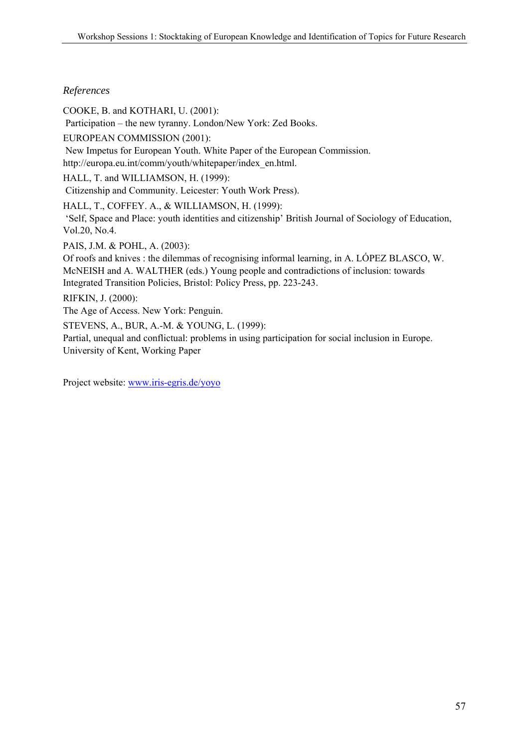## *References*

COOKE, B. and KOTHARI, U. (2001): Participation – the new tyranny. London/New York: Zed Books. EUROPEAN COMMISSION (2001): New Impetus for European Youth. White Paper of the European Commission. http://europa.eu.int/comm/youth/whitepaper/index\_en.html. HALL, T. and WILLIAMSON, H. (1999): Citizenship and Community. Leicester: Youth Work Press). HALL, T., COFFEY. A., & WILLIAMSON, H. (1999): 'Self, Space and Place: youth identities and citizenship' British Journal of Sociology of Education, Vol.20, No.4. PAIS, J.M. & POHL, A. (2003): Of roofs and knives : the dilemmas of recognising informal learning, in A. LÓPEZ BLASCO, W. McNEISH and A. WALTHER (eds.) Young people and contradictions of inclusion: towards Integrated Transition Policies, Bristol: Policy Press, pp. 223-243. RIFKIN, J. (2000): The Age of Access. New York: Penguin. STEVENS, A., BUR, A.-M. & YOUNG, L. (1999):

Partial, unequal and conflictual: problems in using participation for social inclusion in Europe. University of Kent, Working Paper

Project website: www.iris-egris.de/yoyo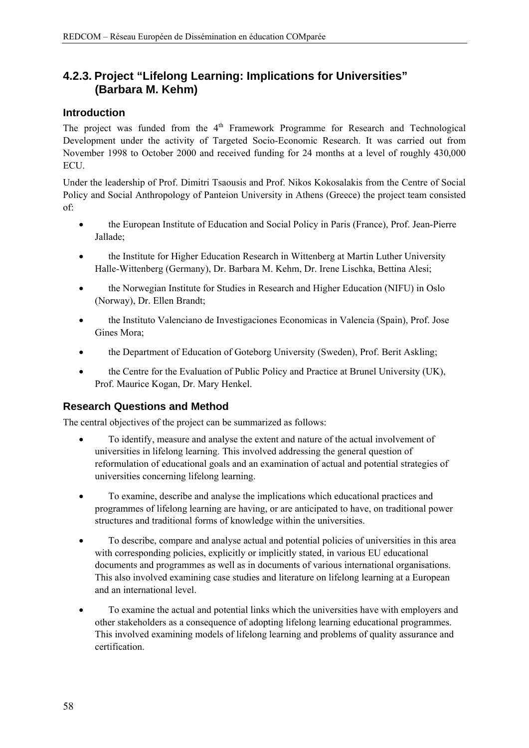# **4.2.3. Project "Lifelong Learning: Implications for Universities" (Barbara M. Kehm)**

# **Introduction**

The project was funded from the 4<sup>th</sup> Framework Programme for Research and Technological Development under the activity of Targeted Socio-Economic Research. It was carried out from November 1998 to October 2000 and received funding for 24 months at a level of roughly 430,000 ECU.

Under the leadership of Prof. Dimitri Tsaousis and Prof. Nikos Kokosalakis from the Centre of Social Policy and Social Anthropology of Panteion University in Athens (Greece) the project team consisted of:

- the European Institute of Education and Social Policy in Paris (France), Prof. Jean-Pierre Jallade;
- the Institute for Higher Education Research in Wittenberg at Martin Luther University Halle-Wittenberg (Germany), Dr. Barbara M. Kehm, Dr. Irene Lischka, Bettina Alesi;
- the Norwegian Institute for Studies in Research and Higher Education (NIFU) in Oslo (Norway), Dr. Ellen Brandt;
- the Instituto Valenciano de Investigaciones Economicas in Valencia (Spain), Prof. Jose Gines Mora;
- the Department of Education of Goteborg University (Sweden), Prof. Berit Askling;
- the Centre for the Evaluation of Public Policy and Practice at Brunel University (UK), Prof. Maurice Kogan, Dr. Mary Henkel.

#### **Research Questions and Method**

The central objectives of the project can be summarized as follows:

- To identify, measure and analyse the extent and nature of the actual involvement of universities in lifelong learning. This involved addressing the general question of reformulation of educational goals and an examination of actual and potential strategies of universities concerning lifelong learning.
- To examine, describe and analyse the implications which educational practices and programmes of lifelong learning are having, or are anticipated to have, on traditional power structures and traditional forms of knowledge within the universities.
- To describe, compare and analyse actual and potential policies of universities in this area with corresponding policies, explicitly or implicitly stated, in various EU educational documents and programmes as well as in documents of various international organisations. This also involved examining case studies and literature on lifelong learning at a European and an international level.
- To examine the actual and potential links which the universities have with employers and other stakeholders as a consequence of adopting lifelong learning educational programmes. This involved examining models of lifelong learning and problems of quality assurance and certification.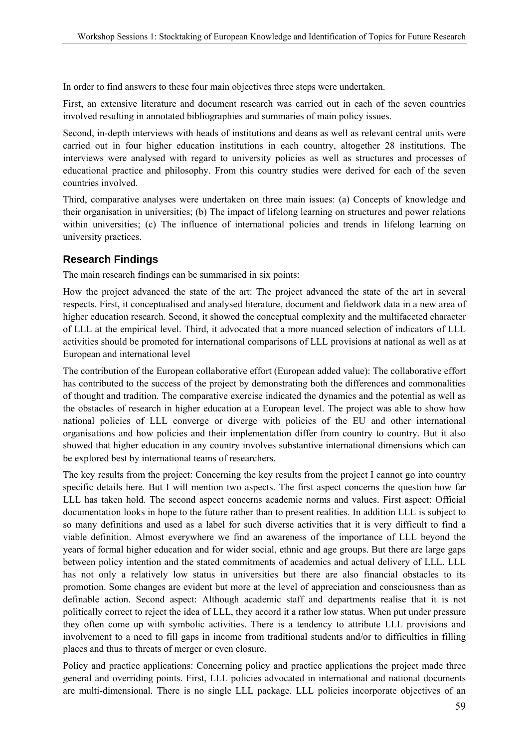In order to find answers to these four main objectives three steps were undertaken.

First, an extensive literature and document research was carried out in each of the seven countries involved resulting in annotated bibliographies and summaries of main policy issues.

Second, in-depth interviews with heads of institutions and deans as well as relevant central units were carried out in four higher education institutions in each country, altogether 28 institutions. The interviews were analysed with regard to university policies as well as structures and processes of educational practice and philosophy. From this country studies were derived for each of the seven countries involved.

Third, comparative analyses were undertaken on three main issues: (a) Concepts of knowledge and their organisation in universities; (b) The impact of lifelong learning on structures and power relations within universities; (c) The influence of international policies and trends in lifelong learning on university practices.

#### **Research Findings**

The main research findings can be summarised in six points:

How the project advanced the state of the art: The project advanced the state of the art in several respects. First, it conceptualised and analysed literature, document and fieldwork data in a new area of higher education research. Second, it showed the conceptual complexity and the multifaceted character of LLL at the empirical level. Third, it advocated that a more nuanced selection of indicators of LLL activities should be promoted for international comparisons of LLL provisions at national as well as at European and international level

The contribution of the European collaborative effort (European added value): The collaborative effort has contributed to the success of the project by demonstrating both the differences and commonalities of thought and tradition. The comparative exercise indicated the dynamics and the potential as well as the obstacles of research in higher education at a European level. The project was able to show how national policies of LLL converge or diverge with policies of the EU and other international organisations and how policies and their implementation differ from country to country. But it also showed that higher education in any country involves substantive international dimensions which can be explored best by international teams of researchers.

The key results from the project: Concerning the key results from the project I cannot go into country specific details here. But I will mention two aspects. The first aspect concerns the question how far LLL has taken hold. The second aspect concerns academic norms and values. First aspect: Official documentation looks in hope to the future rather than to present realities. In addition LLL is subject to so many definitions and used as a label for such diverse activities that it is very difficult to find a viable definition. Almost everywhere we find an awareness of the importance of LLL beyond the years of formal higher education and for wider social, ethnic and age groups. But there are large gaps between policy intention and the stated commitments of academics and actual delivery of LLL. LLL has not only a relatively low status in universities but there are also financial obstacles to its promotion. Some changes are evident but more at the level of appreciation and consciousness than as definable action. Second aspect: Although academic staff and departments realise that it is not politically correct to reject the idea of LLL, they accord it a rather low status. When put under pressure they often come up with symbolic activities. There is a tendency to attribute LLL provisions and involvement to a need to fill gaps in income from traditional students and/or to difficulties in filling places and thus to threats of merger or even closure.

Policy and practice applications: Concerning policy and practice applications the project made three general and overriding points. First, LLL policies advocated in international and national documents are multi-dimensional. There is no single LLL package. LLL policies incorporate objectives of an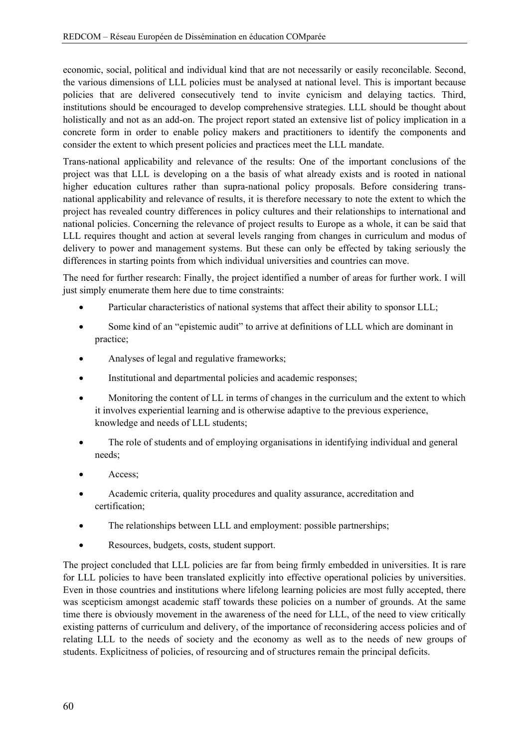economic, social, political and individual kind that are not necessarily or easily reconcilable. Second, the various dimensions of LLL policies must be analysed at national level. This is important because policies that are delivered consecutively tend to invite cynicism and delaying tactics. Third, institutions should be encouraged to develop comprehensive strategies. LLL should be thought about holistically and not as an add-on. The project report stated an extensive list of policy implication in a concrete form in order to enable policy makers and practitioners to identify the components and consider the extent to which present policies and practices meet the LLL mandate.

Trans-national applicability and relevance of the results: One of the important conclusions of the project was that LLL is developing on a the basis of what already exists and is rooted in national higher education cultures rather than supra-national policy proposals. Before considering transnational applicability and relevance of results, it is therefore necessary to note the extent to which the project has revealed country differences in policy cultures and their relationships to international and national policies. Concerning the relevance of project results to Europe as a whole, it can be said that LLL requires thought and action at several levels ranging from changes in curriculum and modus of delivery to power and management systems. But these can only be effected by taking seriously the differences in starting points from which individual universities and countries can move.

The need for further research: Finally, the project identified a number of areas for further work. I will just simply enumerate them here due to time constraints:

- Particular characteristics of national systems that affect their ability to sponsor LLL;
- Some kind of an "epistemic audit" to arrive at definitions of LLL which are dominant in practice;
- Analyses of legal and regulative frameworks;
- Institutional and departmental policies and academic responses;
- Monitoring the content of LL in terms of changes in the curriculum and the extent to which it involves experiential learning and is otherwise adaptive to the previous experience, knowledge and needs of LLL students;
- The role of students and of employing organisations in identifying individual and general needs;
- Access:
- Academic criteria, quality procedures and quality assurance, accreditation and certification;
- The relationships between LLL and employment: possible partnerships;
- Resources, budgets, costs, student support.

The project concluded that LLL policies are far from being firmly embedded in universities. It is rare for LLL policies to have been translated explicitly into effective operational policies by universities. Even in those countries and institutions where lifelong learning policies are most fully accepted, there was scepticism amongst academic staff towards these policies on a number of grounds. At the same time there is obviously movement in the awareness of the need for LLL, of the need to view critically existing patterns of curriculum and delivery, of the importance of reconsidering access policies and of relating LLL to the needs of society and the economy as well as to the needs of new groups of students. Explicitness of policies, of resourcing and of structures remain the principal deficits.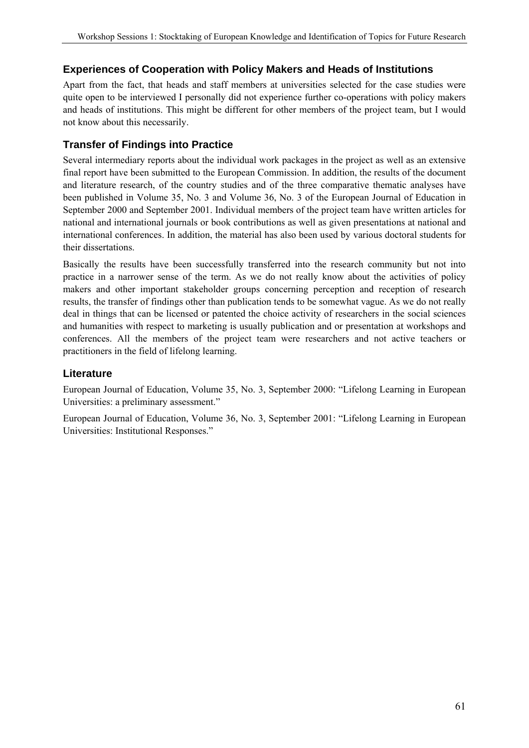# **Experiences of Cooperation with Policy Makers and Heads of Institutions**

Apart from the fact, that heads and staff members at universities selected for the case studies were quite open to be interviewed I personally did not experience further co-operations with policy makers and heads of institutions. This might be different for other members of the project team, but I would not know about this necessarily.

## **Transfer of Findings into Practice**

Several intermediary reports about the individual work packages in the project as well as an extensive final report have been submitted to the European Commission. In addition, the results of the document and literature research, of the country studies and of the three comparative thematic analyses have been published in Volume 35, No. 3 and Volume 36, No. 3 of the European Journal of Education in September 2000 and September 2001. Individual members of the project team have written articles for national and international journals or book contributions as well as given presentations at national and international conferences. In addition, the material has also been used by various doctoral students for their dissertations.

Basically the results have been successfully transferred into the research community but not into practice in a narrower sense of the term. As we do not really know about the activities of policy makers and other important stakeholder groups concerning perception and reception of research results, the transfer of findings other than publication tends to be somewhat vague. As we do not really deal in things that can be licensed or patented the choice activity of researchers in the social sciences and humanities with respect to marketing is usually publication and or presentation at workshops and conferences. All the members of the project team were researchers and not active teachers or practitioners in the field of lifelong learning.

#### **Literature**

European Journal of Education, Volume 35, No. 3, September 2000: "Lifelong Learning in European Universities: a preliminary assessment."

European Journal of Education, Volume 36, No. 3, September 2001: "Lifelong Learning in European Universities: Institutional Responses."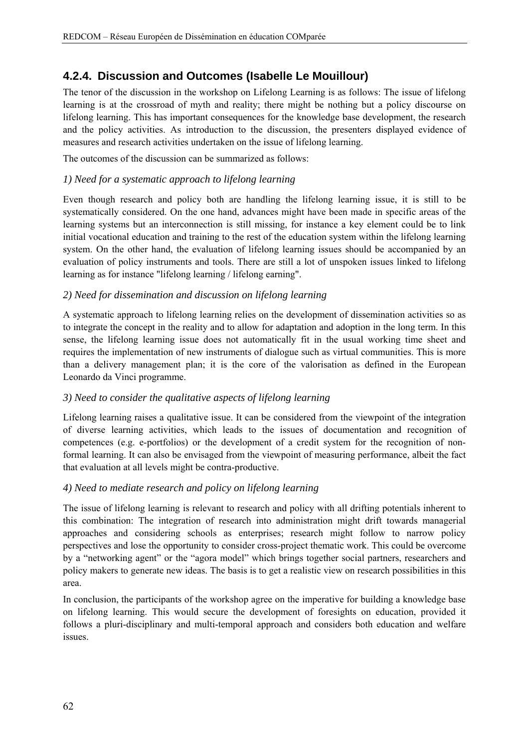# **4.2.4. Discussion and Outcomes (Isabelle Le Mouillour)**

The tenor of the discussion in the workshop on Lifelong Learning is as follows: The issue of lifelong learning is at the crossroad of myth and reality; there might be nothing but a policy discourse on lifelong learning. This has important consequences for the knowledge base development, the research and the policy activities. As introduction to the discussion, the presenters displayed evidence of measures and research activities undertaken on the issue of lifelong learning.

The outcomes of the discussion can be summarized as follows:

#### *1) Need for a systematic approach to lifelong learning*

Even though research and policy both are handling the lifelong learning issue, it is still to be systematically considered. On the one hand, advances might have been made in specific areas of the learning systems but an interconnection is still missing, for instance a key element could be to link initial vocational education and training to the rest of the education system within the lifelong learning system. On the other hand, the evaluation of lifelong learning issues should be accompanied by an evaluation of policy instruments and tools. There are still a lot of unspoken issues linked to lifelong learning as for instance "lifelong learning / lifelong earning".

#### *2) Need for dissemination and discussion on lifelong learning*

A systematic approach to lifelong learning relies on the development of dissemination activities so as to integrate the concept in the reality and to allow for adaptation and adoption in the long term. In this sense, the lifelong learning issue does not automatically fit in the usual working time sheet and requires the implementation of new instruments of dialogue such as virtual communities. This is more than a delivery management plan; it is the core of the valorisation as defined in the European Leonardo da Vinci programme.

#### *3) Need to consider the qualitative aspects of lifelong learning*

Lifelong learning raises a qualitative issue. It can be considered from the viewpoint of the integration of diverse learning activities, which leads to the issues of documentation and recognition of competences (e.g. e-portfolios) or the development of a credit system for the recognition of nonformal learning. It can also be envisaged from the viewpoint of measuring performance, albeit the fact that evaluation at all levels might be contra-productive.

#### *4) Need to mediate research and policy on lifelong learning*

The issue of lifelong learning is relevant to research and policy with all drifting potentials inherent to this combination: The integration of research into administration might drift towards managerial approaches and considering schools as enterprises; research might follow to narrow policy perspectives and lose the opportunity to consider cross-project thematic work. This could be overcome by a "networking agent" or the "agora model" which brings together social partners, researchers and policy makers to generate new ideas. The basis is to get a realistic view on research possibilities in this area.

In conclusion, the participants of the workshop agree on the imperative for building a knowledge base on lifelong learning. This would secure the development of foresights on education, provided it follows a pluri-disciplinary and multi-temporal approach and considers both education and welfare issues.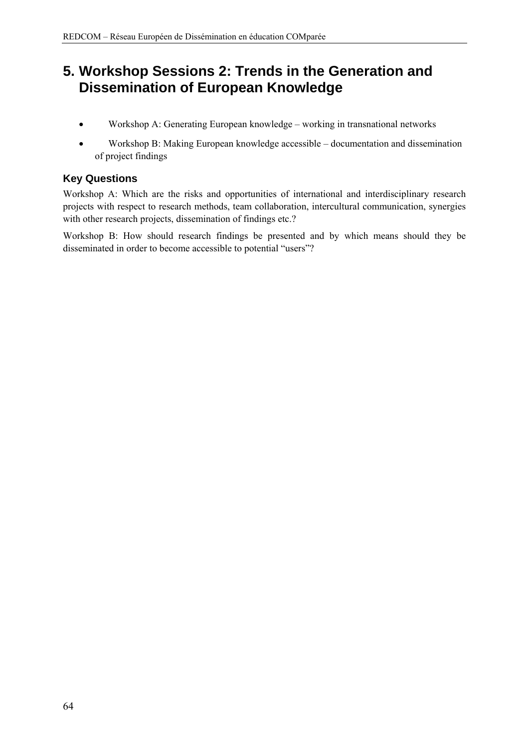# **5. Workshop Sessions 2: Trends in the Generation and Dissemination of European Knowledge**

- Workshop A: Generating European knowledge working in transnational networks
- Workshop B: Making European knowledge accessible documentation and dissemination of project findings

# **Key Questions**

Workshop A: Which are the risks and opportunities of international and interdisciplinary research projects with respect to research methods, team collaboration, intercultural communication, synergies with other research projects, dissemination of findings etc.?

Workshop B: How should research findings be presented and by which means should they be disseminated in order to become accessible to potential "users"?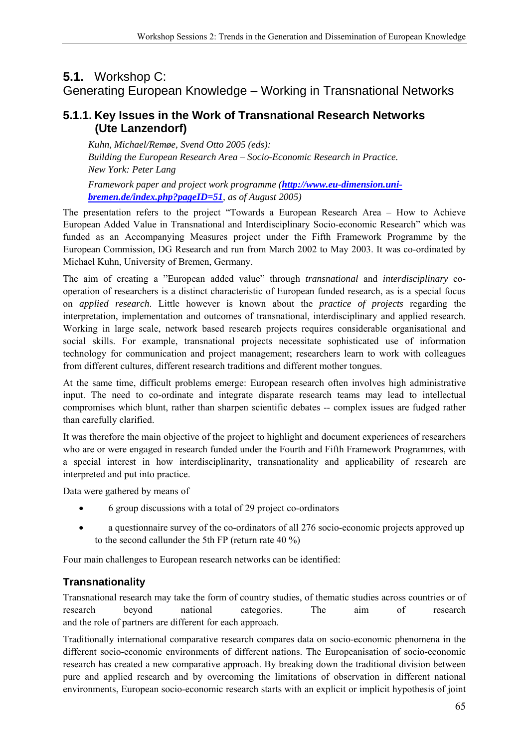# **5.1.** Workshop C: Generating European Knowledge – Working in Transnational Networks

# **5.1.1. Key Issues in the Work of Transnational Research Networks (Ute Lanzendorf)**

*Kuhn, Michael/Remøe, Svend Otto 2005 (eds): Building the European Research Area – Socio-Economic Research in Practice. New York: Peter Lang* 

*Framework paper and project work programme (http://www.eu-dimension.unibremen.de/index.php?pageID=51, as of August 2005)* 

The presentation refers to the project "Towards a European Research Area – How to Achieve European Added Value in Transnational and Interdisciplinary Socio-economic Research" which was funded as an Accompanying Measures project under the Fifth Framework Programme by the European Commission, DG Research and run from March 2002 to May 2003. It was co-ordinated by Michael Kuhn, University of Bremen, Germany.

The aim of creating a "European added value" through *transnational* and *interdisciplinary* cooperation of researchers is a distinct characteristic of European funded research, as is a special focus on *applied research*. Little however is known about the *practice of projects* regarding the interpretation, implementation and outcomes of transnational, interdisciplinary and applied research. Working in large scale, network based research projects requires considerable organisational and social skills. For example, transnational projects necessitate sophisticated use of information technology for communication and project management; researchers learn to work with colleagues from different cultures, different research traditions and different mother tongues.

At the same time, difficult problems emerge: European research often involves high administrative input. The need to co-ordinate and integrate disparate research teams may lead to intellectual compromises which blunt, rather than sharpen scientific debates -- complex issues are fudged rather than carefully clarified.

It was therefore the main objective of the project to highlight and document experiences of researchers who are or were engaged in research funded under the Fourth and Fifth Framework Programmes, with a special interest in how interdisciplinarity, transnationality and applicability of research are interpreted and put into practice.

Data were gathered by means of

- 6 group discussions with a total of 29 project co-ordinators
- a questionnaire survey of the co-ordinators of all 276 socio-economic projects approved up to the second callunder the 5th FP (return rate 40 %)

Four main challenges to European research networks can be identified:

# **Transnationality**

Transnational research may take the form of country studies, of thematic studies across countries or of research beyond national categories. The aim of research and the role of partners are different for each approach.

Traditionally international comparative research compares data on socio-economic phenomena in the different socio-economic environments of different nations. The Europeanisation of socio-economic research has created a new comparative approach. By breaking down the traditional division between pure and applied research and by overcoming the limitations of observation in different national environments, European socio-economic research starts with an explicit or implicit hypothesis of joint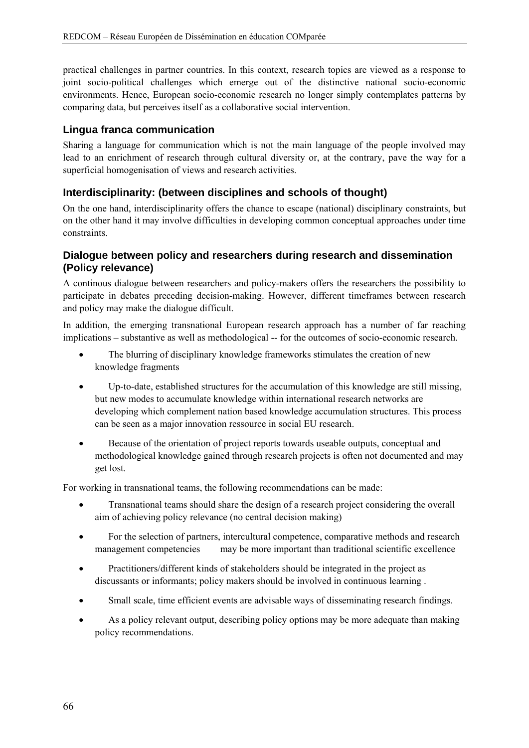practical challenges in partner countries. In this context, research topics are viewed as a response to joint socio-political challenges which emerge out of the distinctive national socio-economic environments. Hence, European socio-economic research no longer simply contemplates patterns by comparing data, but perceives itself as a collaborative social intervention.

## **Lingua franca communication**

Sharing a language for communication which is not the main language of the people involved may lead to an enrichment of research through cultural diversity or, at the contrary, pave the way for a superficial homogenisation of views and research activities.

# **Interdisciplinarity: (between disciplines and schools of thought)**

On the one hand, interdisciplinarity offers the chance to escape (national) disciplinary constraints, but on the other hand it may involve difficulties in developing common conceptual approaches under time constraints.

### **Dialogue between policy and researchers during research and dissemination (Policy relevance)**

A continous dialogue between researchers and policy-makers offers the researchers the possibility to participate in debates preceding decision-making. However, different timeframes between research and policy may make the dialogue difficult.

In addition, the emerging transnational European research approach has a number of far reaching implications – substantive as well as methodological -- for the outcomes of socio-economic research.

- The blurring of disciplinary knowledge frameworks stimulates the creation of new knowledge fragments
- Up-to-date, established structures for the accumulation of this knowledge are still missing, but new modes to accumulate knowledge within international research networks are developing which complement nation based knowledge accumulation structures. This process can be seen as a major innovation ressource in social EU research.
- Because of the orientation of project reports towards useable outputs, conceptual and methodological knowledge gained through research projects is often not documented and may get lost.

For working in transnational teams, the following recommendations can be made:

- Transnational teams should share the design of a research project considering the overall aim of achieving policy relevance (no central decision making)
- For the selection of partners, intercultural competence, comparative methods and research management competencies may be more important than traditional scientific excellence
- Practitioners/different kinds of stakeholders should be integrated in the project as discussants or informants; policy makers should be involved in continuous learning .
- Small scale, time efficient events are advisable ways of disseminating research findings.
- As a policy relevant output, describing policy options may be more adequate than making policy recommendations.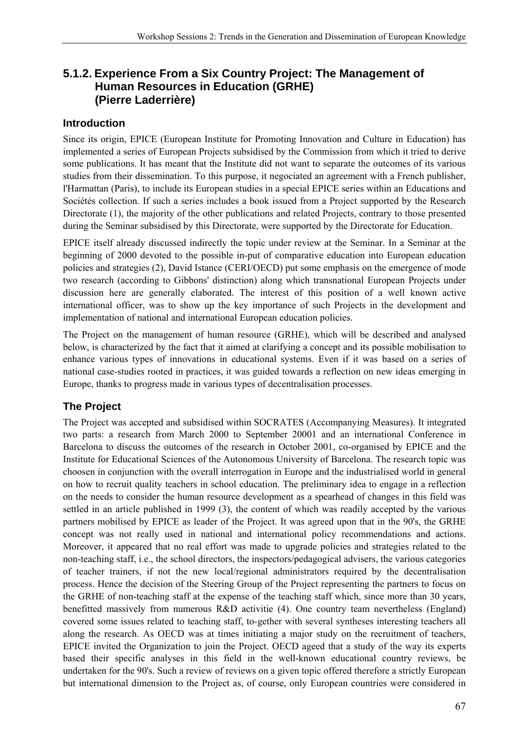# **5.1.2. Experience From a Six Country Project: The Management of Human Resources in Education (GRHE) (Pierre Laderrière)**

## **Introduction**

Since its origin, EPICE (European Institute for Promoting Innovation and Culture in Education) has implemented a series of European Projects subsidised by the Commission from which it tried to derive some publications. It has meant that the Institute did not want to separate the outcomes of its various studies from their dissemination. To this purpose, it negociated an agreement with a French publisher, l'Harmattan (Paris), to include its European studies in a special EPICE series within an Educations and Sociétés collection. If such a series includes a book issued from a Project supported by the Research Directorate (1), the majority of the other publications and related Projects, contrary to those presented during the Seminar subsidised by this Directorate, were supported by the Directorate for Education.

EPICE itself already discussed indirectly the topic under review at the Seminar. In a Seminar at the beginning of 2000 devoted to the possible in-put of comparative education into European education policies and strategies (2), David Istance (CERI/OECD) put some emphasis on the emergence of mode two research (according to Gibbons' distinction) along which transnational European Projects under discussion here are generally elaborated. The interest of this position of a well known active international officer, was to show up the key importance of such Projects in the development and implementation of national and international European education policies.

The Project on the management of human resource (GRHE), which will be described and analysed below, is characterized by the fact that it aimed at clarifying a concept and its possible mobilisation to enhance various types of innovations in educational systems. Even if it was based on a series of national case-studies rooted in practices, it was guided towards a reflection on new ideas emerging in Europe, thanks to progress made in various types of decentralisation processes.

# **The Project**

The Project was accepted and subsidised within SOCRATES (Accompanying Measures). It integrated two parts: a research from March 2000 to September 20001 and an international Conference in Barcelona to discuss the outcomes of the research in October 2001, co-organised by EPICE and the Institute for Educational Sciences of the Autonomous University of Barcelona. The research topic was choosen in conjunction with the overall interrogation in Europe and the industrialised world in general on how to recruit quality teachers in school education. The preliminary idea to engage in a reflection on the needs to consider the human resource development as a spearhead of changes in this field was settled in an article published in 1999 (3), the content of which was readily accepted by the various partners mobilised by EPICE as leader of the Project. It was agreed upon that in the 90's, the GRHE concept was not really used in national and international policy recommendations and actions. Moreover, it appeared that no real effort was made to upgrade policies and strategies related to the non-teaching staff, i.e., the school directors, the inspectors/pedagogical advisers, the various categories of teacher trainers, if not the new local/regional administrators required by the decentralisation process. Hence the decision of the Steering Group of the Project representing the partners to focus on the GRHE of non-teaching staff at the expense of the teaching staff which, since more than 30 years, benefitted massively from numerous R&D activitie (4). One country team nevertheless (England) covered some issues related to teaching staff, to-gether with several syntheses interesting teachers all along the research. As OECD was at times initiating a major study on the recruitment of teachers, EPICE invited the Organization to join the Project. OECD ageed that a study of the way its experts based their specific analyses in this field in the well-known educational country reviews, be undertaken for the 90's. Such a review of reviews on a given topic offered therefore a strictly European but international dimension to the Project as, of course, only European countries were considered in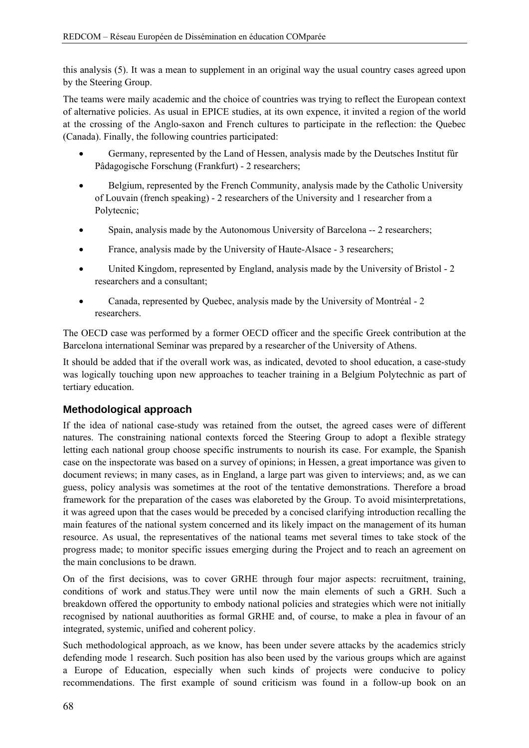this analysis (5). It was a mean to supplement in an original way the usual country cases agreed upon by the Steering Group.

The teams were maily academic and the choice of countries was trying to reflect the European context of alternative policies. As usual in EPICE studies, at its own expence, it invited a region of the world at the crossing of the Anglo-saxon and French cultures to participate in the reflection: the Quebec (Canada). Finally, the following countries participated:

- Germany, represented by the Land of Hessen, analysis made by the Deutsches Institut fûr Pâdagogische Forschung (Frankfurt) - 2 researchers;
- Belgium, represented by the French Community, analysis made by the Catholic University of Louvain (french speaking) - 2 researchers of the University and 1 researcher from a Polytecnic;
- Spain, analysis made by the Autonomous University of Barcelona -- 2 researchers;
- France, analysis made by the University of Haute-Alsace 3 researchers;
- United Kingdom, represented by England, analysis made by the University of Bristol 2 researchers and a consultant;
- Canada, represented by Quebec, analysis made by the University of Montréal 2 researchers.

The OECD case was performed by a former OECD officer and the specific Greek contribution at the Barcelona international Seminar was prepared by a researcher of the University of Athens.

It should be added that if the overall work was, as indicated, devoted to shool education, a case-study was logically touching upon new approaches to teacher training in a Belgium Polytechnic as part of tertiary education.

# **Methodological approach**

If the idea of national case-study was retained from the outset, the agreed cases were of different natures. The constraining national contexts forced the Steering Group to adopt a flexible strategy letting each national group choose specific instruments to nourish its case. For example, the Spanish case on the inspectorate was based on a survey of opinions; in Hessen, a great importance was given to document reviews; in many cases, as in England, a large part was given to interviews; and, as we can guess, policy analysis was sometimes at the root of the tentative demonstrations. Therefore a broad framework for the preparation of the cases was elaboreted by the Group. To avoid misinterpretations, it was agreed upon that the cases would be preceded by a concised clarifying introduction recalling the main features of the national system concerned and its likely impact on the management of its human resource. As usual, the representatives of the national teams met several times to take stock of the progress made; to monitor specific issues emerging during the Project and to reach an agreement on the main conclusions to be drawn.

On of the first decisions, was to cover GRHE through four major aspects: recruitment, training, conditions of work and status.They were until now the main elements of such a GRH. Such a breakdown offered the opportunity to embody national policies and strategies which were not initially recognised by national auuthorities as formal GRHE and, of course, to make a plea in favour of an integrated, systemic, unified and coherent policy.

Such methodological approach, as we know, has been under severe attacks by the academics stricly defending mode 1 research. Such position has also been used by the various groups which are against a Europe of Education, especially when such kinds of projects were conducive to policy recommendations. The first example of sound criticism was found in a follow-up book on an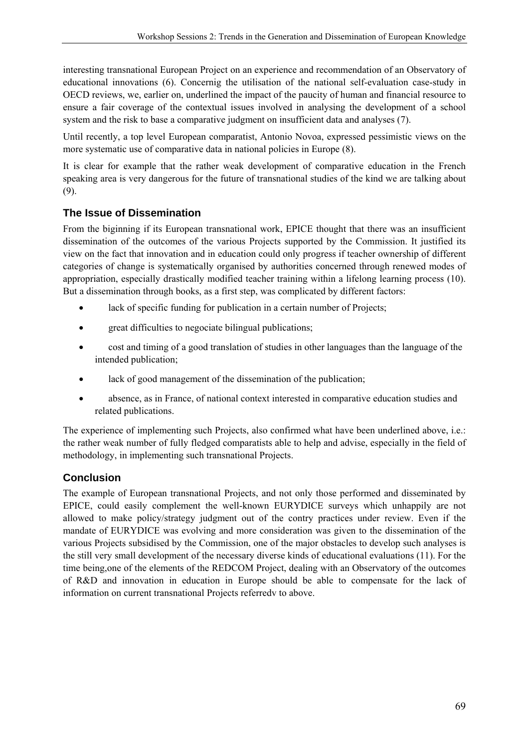interesting transnational European Project on an experience and recommendation of an Observatory of educational innovations (6). Concernig the utilisation of the national self-evaluation case-study in OECD reviews, we, earlier on, underlined the impact of the paucity of human and financial resource to ensure a fair coverage of the contextual issues involved in analysing the development of a school system and the risk to base a comparative judgment on insufficient data and analyses (7).

Until recently, a top level European comparatist, Antonio Novoa, expressed pessimistic views on the more systematic use of comparative data in national policies in Europe (8).

It is clear for example that the rather weak development of comparative education in the French speaking area is very dangerous for the future of transnational studies of the kind we are talking about (9).

# **The Issue of Dissemination**

From the biginning if its European transnational work, EPICE thought that there was an insufficient dissemination of the outcomes of the various Projects supported by the Commission. It justified its view on the fact that innovation and in education could only progress if teacher ownership of different categories of change is systematically organised by authorities concerned through renewed modes of appropriation, especially drastically modified teacher training within a lifelong learning process (10). But a dissemination through books, as a first step, was complicated by different factors:

- lack of specific funding for publication in a certain number of Projects;
- great difficulties to negociate bilingual publications:
- cost and timing of a good translation of studies in other languages than the language of the intended publication;
- lack of good management of the dissemination of the publication;
- absence, as in France, of national context interested in comparative education studies and related publications.

The experience of implementing such Projects, also confirmed what have been underlined above, i.e.: the rather weak number of fully fledged comparatists able to help and advise, especially in the field of methodology, in implementing such transnational Projects.

# **Conclusion**

The example of European transnational Projects, and not only those performed and disseminated by EPICE, could easily complement the well-known EURYDICE surveys which unhappily are not allowed to make policy/strategy judgment out of the contry practices under review. Even if the mandate of EURYDICE was evolving and more consideration was given to the dissemination of the various Projects subsidised by the Commission, one of the major obstacles to develop such analyses is the still very small development of the necessary diverse kinds of educational evaluations (11). For the time being,one of the elements of the REDCOM Project, dealing with an Observatory of the outcomes of R&D and innovation in education in Europe should be able to compensate for the lack of information on current transnational Projects referredv to above.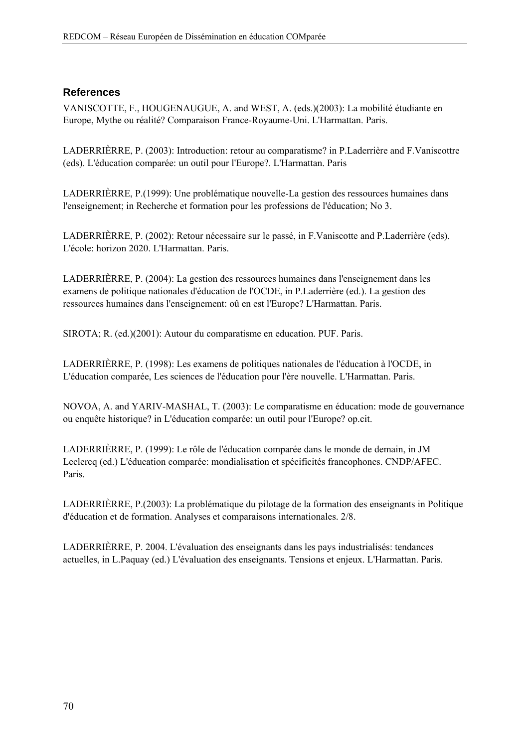## **References**

VANISCOTTE, F., HOUGENAUGUE, A. and WEST, A. (eds.)(2003): La mobilité étudiante en Europe, Mythe ou réalité? Comparaison France-Royaume-Uni. L'Harmattan. Paris.

LADERRIÈRRE, P. (2003): Introduction: retour au comparatisme? in P.Laderrière and F.Vaniscottre (eds). L'éducation comparée: un outil pour l'Europe?. L'Harmattan. Paris

LADERRIÈRRE, P.(1999): Une problématique nouvelle-La gestion des ressources humaines dans l'enseignement; in Recherche et formation pour les professions de l'éducation; No 3.

LADERRIÈRRE, P. (2002): Retour nécessaire sur le passé, in F.Vaniscotte and P.Laderrière (eds). L'école: horizon 2020. L'Harmattan. Paris.

LADERRIÈRRE, P. (2004): La gestion des ressources humaines dans l'enseignement dans les examens de politique nationales d'éducation de l'OCDE, in P.Laderrière (ed.). La gestion des ressources humaines dans l'enseignement: oû en est l'Europe? L'Harmattan. Paris.

SIROTA; R. (ed.)(2001): Autour du comparatisme en education. PUF. Paris.

LADERRIÈRRE, P. (1998): Les examens de politiques nationales de l'éducation à l'OCDE, in L'éducation comparée, Les sciences de l'éducation pour l'ère nouvelle. L'Harmattan. Paris.

NOVOA, A. and YARIV-MASHAL, T. (2003): Le comparatisme en éducation: mode de gouvernance ou enquête historique? in L'éducation comparée: un outil pour l'Europe? op.cit.

LADERRIÈRRE, P. (1999): Le rôle de l'éducation comparée dans le monde de demain, in JM Leclercq (ed.) L'éducation comparée: mondialisation et spécificités francophones. CNDP/AFEC. Paris.

LADERRIÈRRE, P.(2003): La problématique du pilotage de la formation des enseignants in Politique d'éducation et de formation. Analyses et comparaisons internationales. 2/8.

LADERRIÈRRE, P. 2004. L'évaluation des enseignants dans les pays industrialisés: tendances actuelles, in L.Paquay (ed.) L'évaluation des enseignants. Tensions et enjeux. L'Harmattan. Paris.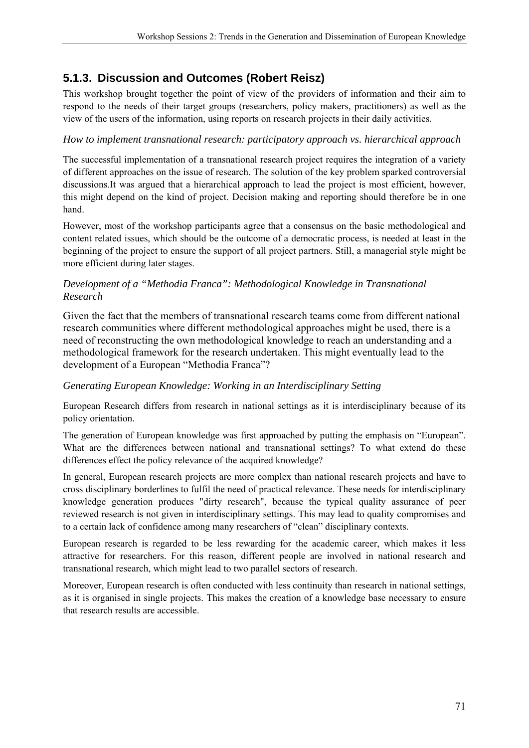# **5.1.3. Discussion and Outcomes (Robert Reisz)**

This workshop brought together the point of view of the providers of information and their aim to respond to the needs of their target groups (researchers, policy makers, practitioners) as well as the view of the users of the information, using reports on research projects in their daily activities.

## *How to implement transnational research: participatory approach vs. hierarchical approach*

The successful implementation of a transnational research project requires the integration of a variety of different approaches on the issue of research. The solution of the key problem sparked controversial discussions.It was argued that a hierarchical approach to lead the project is most efficient, however, this might depend on the kind of project. Decision making and reporting should therefore be in one hand.

However, most of the workshop participants agree that a consensus on the basic methodological and content related issues, which should be the outcome of a democratic process, is needed at least in the beginning of the project to ensure the support of all project partners. Still, a managerial style might be more efficient during later stages.

#### *Development of a "Methodia Franca": Methodological Knowledge in Transnational Research*

Given the fact that the members of transnational research teams come from different national research communities where different methodological approaches might be used, there is a need of reconstructing the own methodological knowledge to reach an understanding and a methodological framework for the research undertaken. This might eventually lead to the development of a European "Methodia Franca"?

#### *Generating European Knowledge: Working in an Interdisciplinary Setting*

European Research differs from research in national settings as it is interdisciplinary because of its policy orientation.

The generation of European knowledge was first approached by putting the emphasis on "European". What are the differences between national and transnational settings? To what extend do these differences effect the policy relevance of the acquired knowledge?

In general, European research projects are more complex than national research projects and have to cross disciplinary borderlines to fulfil the need of practical relevance. These needs for interdisciplinary knowledge generation produces "dirty research", because the typical quality assurance of peer reviewed research is not given in interdisciplinary settings. This may lead to quality compromises and to a certain lack of confidence among many researchers of "clean" disciplinary contexts.

European research is regarded to be less rewarding for the academic career, which makes it less attractive for researchers. For this reason, different people are involved in national research and transnational research, which might lead to two parallel sectors of research.

Moreover, European research is often conducted with less continuity than research in national settings, as it is organised in single projects. This makes the creation of a knowledge base necessary to ensure that research results are accessible.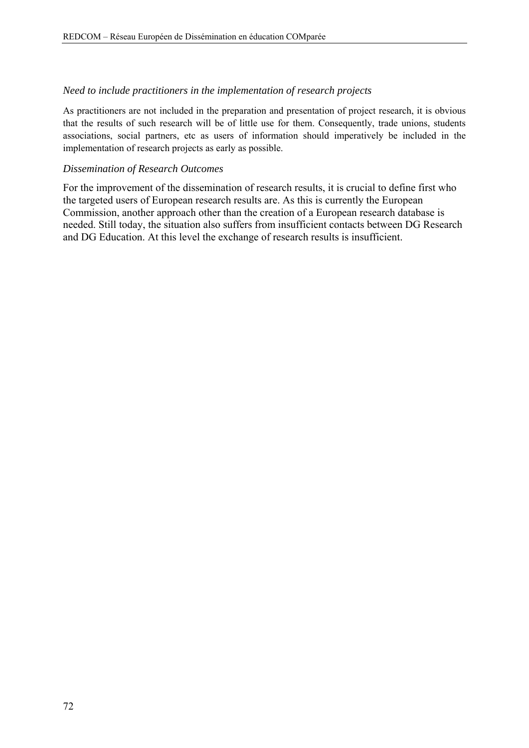#### *Need to include practitioners in the implementation of research projects*

As practitioners are not included in the preparation and presentation of project research, it is obvious that the results of such research will be of little use for them. Consequently, trade unions, students associations, social partners, etc as users of information should imperatively be included in the implementation of research projects as early as possible.

#### *Dissemination of Research Outcomes*

For the improvement of the dissemination of research results, it is crucial to define first who the targeted users of European research results are. As this is currently the European Commission, another approach other than the creation of a European research database is needed. Still today, the situation also suffers from insufficient contacts between DG Research and DG Education. At this level the exchange of research results is insufficient.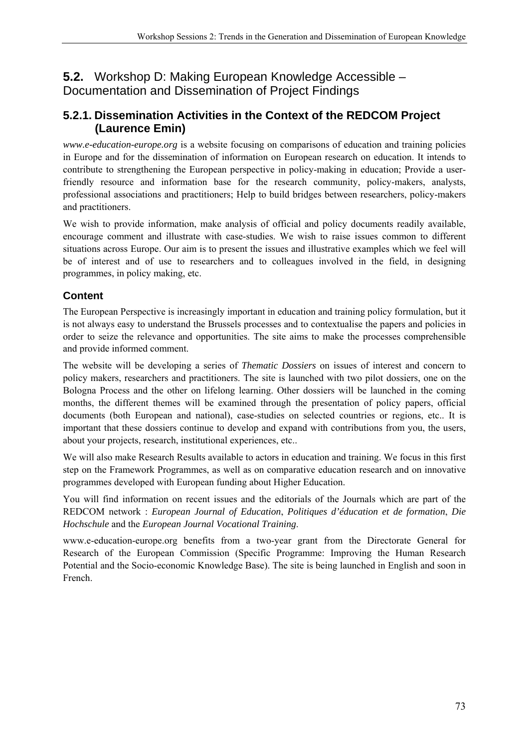## **5.2.** Workshop D: Making European Knowledge Accessible – Documentation and Dissemination of Project Findings

## **5.2.1. Dissemination Activities in the Context of the REDCOM Project (Laurence Emin)**

*www.e-education-europe.org* is a website focusing on comparisons of education and training policies in Europe and for the dissemination of information on European research on education. It intends to contribute to strengthening the European perspective in policy-making in education; Provide a userfriendly resource and information base for the research community, policy-makers, analysts, professional associations and practitioners; Help to build bridges between researchers, policy-makers and practitioners.

We wish to provide information, make analysis of official and policy documents readily available, encourage comment and illustrate with case-studies. We wish to raise issues common to different situations across Europe. Our aim is to present the issues and illustrative examples which we feel will be of interest and of use to researchers and to colleagues involved in the field, in designing programmes, in policy making, etc.

## **Content**

The European Perspective is increasingly important in education and training policy formulation, but it is not always easy to understand the Brussels processes and to contextualise the papers and policies in order to seize the relevance and opportunities. The site aims to make the processes comprehensible and provide informed comment.

The website will be developing a series of *Thematic Dossiers* on issues of interest and concern to policy makers, researchers and practitioners. The site is launched with two pilot dossiers, one on the Bologna Process and the other on lifelong learning. Other dossiers will be launched in the coming months, the different themes will be examined through the presentation of policy papers, official documents (both European and national), case-studies on selected countries or regions, etc.. It is important that these dossiers continue to develop and expand with contributions from you, the users, about your projects, research, institutional experiences, etc..

We will also make Research Results available to actors in education and training. We focus in this first step on the Framework Programmes, as well as on comparative education research and on innovative programmes developed with European funding about Higher Education.

You will find information on recent issues and the editorials of the Journals which are part of the REDCOM network : *European Journal of Education*, *Politiques d'éducation et de formation*, *Die Hochschule* and the *European Journal Vocational Training*.

www.e-education-europe.org benefits from a two-year grant from the Directorate General for Research of the European Commission (Specific Programme: Improving the Human Research Potential and the Socio-economic Knowledge Base). The site is being launched in English and soon in French.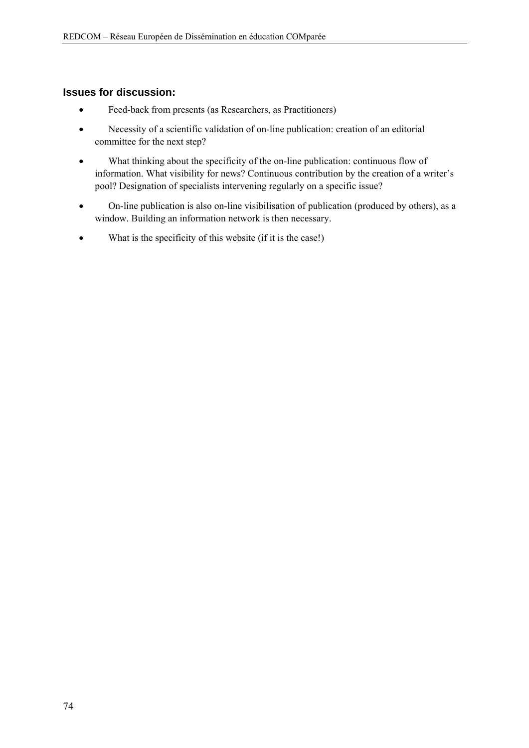### **Issues for discussion:**

- Feed-back from presents (as Researchers, as Practitioners)
- Necessity of a scientific validation of on-line publication: creation of an editorial committee for the next step?
- What thinking about the specificity of the on-line publication: continuous flow of information. What visibility for news? Continuous contribution by the creation of a writer's pool? Designation of specialists intervening regularly on a specific issue?
- On-line publication is also on-line visibilisation of publication (produced by others), as a window. Building an information network is then necessary.
- What is the specificity of this website (if it is the case!)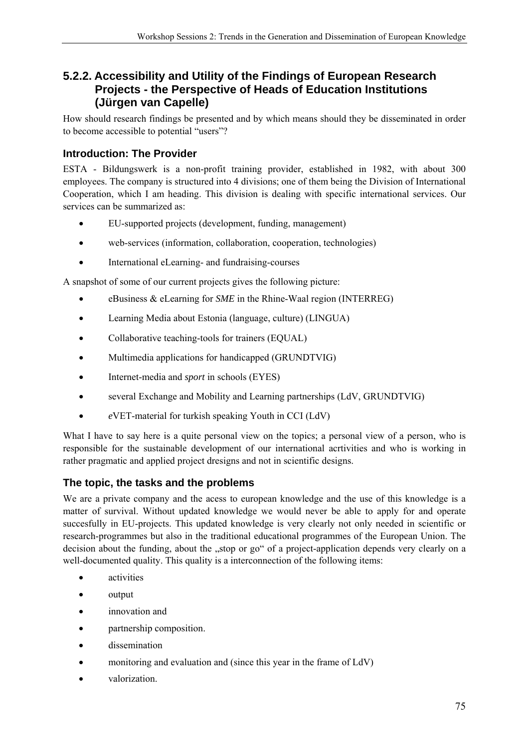## **5.2.2. Accessibility and Utility of the Findings of European Research Projects - the Perspective of Heads of Education Institutions (Jürgen van Capelle)**

How should research findings be presented and by which means should they be disseminated in order to become accessible to potential "users"?

## **Introduction: The Provider**

ESTA - Bildungswerk is a non-profit training provider, established in 1982, with about 300 employees. The company is structured into 4 divisions; one of them being the Division of International Cooperation, which I am heading. This division is dealing with specific international services. Our services can be summarized as:

- EU-supported projects (development, funding, management)
- web-services (information, collaboration, cooperation, technologies)
- International eLearning- and fundraising-courses

A snapshot of some of our current projects gives the following picture:

- eBusiness & eLearning for *SME* in the Rhine-Waal region (INTERREG)
- Learning Media about Estonia (language, culture) (LINGUA)
- Collaborative teaching-tools for trainers (EQUAL)
- Multimedia applications for handicapped (GRUNDTVIG)
- Internet-media and *sport* in schools (EYES)
- several Exchange and Mobility and Learning partnerships (LdV, GRUNDTVIG)
- *e*VET-material for turkish speaking Youth in CCI (LdV)

What I have to say here is a quite personal view on the topics; a personal view of a person, who is responsible for the sustainable development of our international acrtivities and who is working in rather pragmatic and applied project dresigns and not in scientific designs.

## **The topic, the tasks and the problems**

We are a private company and the acess to european knowledge and the use of this knowledge is a matter of survival. Without updated knowledge we would never be able to apply for and operate succesfully in EU-projects. This updated knowledge is very clearly not only needed in scientific or research-programmes but also in the traditional educational programmes of the European Union. The decision about the funding, about the "stop or go" of a project-application depends very clearly on a well-documented quality. This quality is a interconnection of the following items:

- activities
- output
- innovation and
- partnership composition.
- dissemination
- monitoring and evaluation and (since this year in the frame of LdV)
- valorization.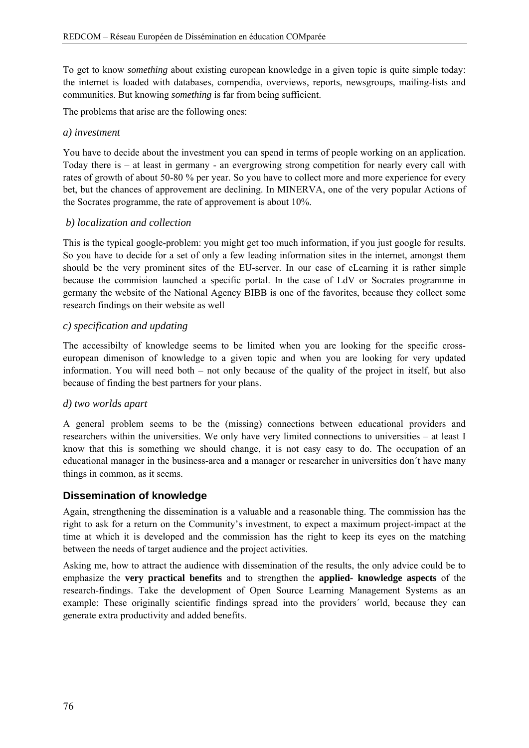To get to know *something* about existing european knowledge in a given topic is quite simple today: the internet is loaded with databases, compendia, overviews, reports, newsgroups, mailing-lists and communities. But knowing *something* is far from being sufficient.

The problems that arise are the following ones:

### *a) investment*

You have to decide about the investment you can spend in terms of people working on an application. Today there is – at least in germany - an evergrowing strong competition for nearly every call with rates of growth of about 50-80 % per year. So you have to collect more and more experience for every bet, but the chances of approvement are declining. In MINERVA, one of the very popular Actions of the Socrates programme, the rate of approvement is about 10%.

### *b) localization and collection*

This is the typical google-problem: you might get too much information, if you just google for results. So you have to decide for a set of only a few leading information sites in the internet, amongst them should be the very prominent sites of the EU-server. In our case of eLearning it is rather simple because the commision launched a specific portal. In the case of LdV or Socrates programme in germany the website of the National Agency BIBB is one of the favorites, because they collect some research findings on their website as well

### *c) specification and updating*

The accessibilty of knowledge seems to be limited when you are looking for the specific crosseuropean dimenison of knowledge to a given topic and when you are looking for very updated information. You will need both – not only because of the quality of the project in itself, but also because of finding the best partners for your plans.

### *d) two worlds apart*

A general problem seems to be the (missing) connections between educational providers and researchers within the universities. We only have very limited connections to universities – at least I know that this is something we should change, it is not easy easy to do. The occupation of an educational manager in the business-area and a manager or researcher in universities don´t have many things in common, as it seems.

## **Dissemination of knowledge**

Again, strengthening the dissemination is a valuable and a reasonable thing. The commission has the right to ask for a return on the Community's investment, to expect a maximum project-impact at the time at which it is developed and the commission has the right to keep its eyes on the matching between the needs of target audience and the project activities.

Asking me, how to attract the audience with dissemination of the results, the only advice could be to emphasize the **very practical benefits** and to strengthen the **applied- knowledge aspects** of the research-findings. Take the development of Open Source Learning Management Systems as an example: These originally scientific findings spread into the providers´ world, because they can generate extra productivity and added benefits.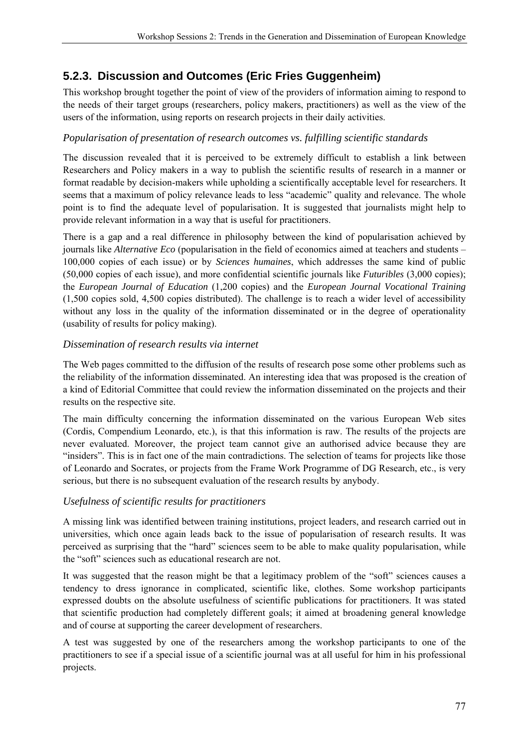## **5.2.3. Discussion and Outcomes (Eric Fries Guggenheim)**

This workshop brought together the point of view of the providers of information aiming to respond to the needs of their target groups (researchers, policy makers, practitioners) as well as the view of the users of the information, using reports on research projects in their daily activities.

## *Popularisation of presentation of research outcomes vs. fulfilling scientific standards*

The discussion revealed that it is perceived to be extremely difficult to establish a link between Researchers and Policy makers in a way to publish the scientific results of research in a manner or format readable by decision-makers while upholding a scientifically acceptable level for researchers. It seems that a maximum of policy relevance leads to less "academic" quality and relevance. The whole point is to find the adequate level of popularisation. It is suggested that journalists might help to provide relevant information in a way that is useful for practitioners.

There is a gap and a real difference in philosophy between the kind of popularisation achieved by journals like *Alternative Eco* (popularisation in the field of economics aimed at teachers and students – 100,000 copies of each issue) or by *Sciences humaines*, which addresses the same kind of public (50,000 copies of each issue), and more confidential scientific journals like *Futuribles* (3,000 copies); the *European Journal of Education* (1,200 copies) and the *European Journal Vocational Training* (1,500 copies sold, 4,500 copies distributed). The challenge is to reach a wider level of accessibility without any loss in the quality of the information disseminated or in the degree of operationality (usability of results for policy making).

## *Dissemination of research results via internet*

The Web pages committed to the diffusion of the results of research pose some other problems such as the reliability of the information disseminated. An interesting idea that was proposed is the creation of a kind of Editorial Committee that could review the information disseminated on the projects and their results on the respective site.

The main difficulty concerning the information disseminated on the various European Web sites (Cordis, Compendium Leonardo, etc.), is that this information is raw. The results of the projects are never evaluated. Moreover, the project team cannot give an authorised advice because they are "insiders". This is in fact one of the main contradictions. The selection of teams for projects like those of Leonardo and Socrates, or projects from the Frame Work Programme of DG Research, etc., is very serious, but there is no subsequent evaluation of the research results by anybody.

## *Usefulness of scientific results for practitioners*

A missing link was identified between training institutions, project leaders, and research carried out in universities, which once again leads back to the issue of popularisation of research results. It was perceived as surprising that the "hard" sciences seem to be able to make quality popularisation, while the "soft" sciences such as educational research are not.

It was suggested that the reason might be that a legitimacy problem of the "soft" sciences causes a tendency to dress ignorance in complicated, scientific like, clothes. Some workshop participants expressed doubts on the absolute usefulness of scientific publications for practitioners. It was stated that scientific production had completely different goals; it aimed at broadening general knowledge and of course at supporting the career development of researchers.

A test was suggested by one of the researchers among the workshop participants to one of the practitioners to see if a special issue of a scientific journal was at all useful for him in his professional projects.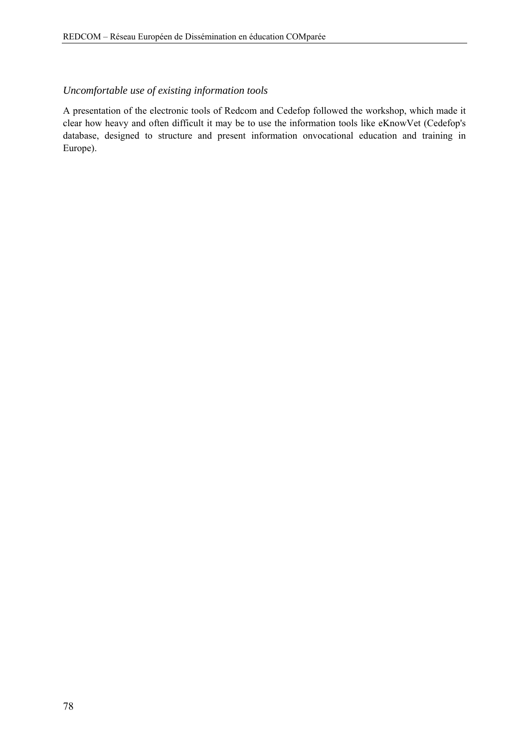### *Uncomfortable use of existing information tools*

A presentation of the electronic tools of Redcom and Cedefop followed the workshop, which made it clear how heavy and often difficult it may be to use the information tools like eKnowVet (Cedefop's database, designed to structure and present information onvocational education and training in Europe).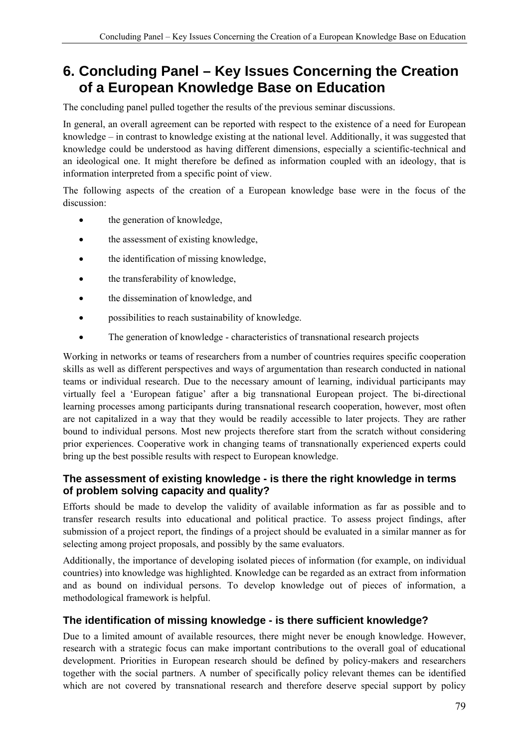# **6. Concluding Panel – Key Issues Concerning the Creation of a European Knowledge Base on Education**

The concluding panel pulled together the results of the previous seminar discussions.

In general, an overall agreement can be reported with respect to the existence of a need for European knowledge – in contrast to knowledge existing at the national level. Additionally, it was suggested that knowledge could be understood as having different dimensions, especially a scientific-technical and an ideological one. It might therefore be defined as information coupled with an ideology, that is information interpreted from a specific point of view.

The following aspects of the creation of a European knowledge base were in the focus of the discussion:

- the generation of knowledge,
- the assessment of existing knowledge,
- the identification of missing knowledge,
- the transferability of knowledge,
- the dissemination of knowledge, and
- possibilities to reach sustainability of knowledge.
- The generation of knowledge characteristics of transnational research projects

Working in networks or teams of researchers from a number of countries requires specific cooperation skills as well as different perspectives and ways of argumentation than research conducted in national teams or individual research. Due to the necessary amount of learning, individual participants may virtually feel a 'European fatigue' after a big transnational European project. The bi-directional learning processes among participants during transnational research cooperation, however, most often are not capitalized in a way that they would be readily accessible to later projects. They are rather bound to individual persons. Most new projects therefore start from the scratch without considering prior experiences. Cooperative work in changing teams of transnationally experienced experts could bring up the best possible results with respect to European knowledge.

## **The assessment of existing knowledge - is there the right knowledge in terms of problem solving capacity and quality?**

Efforts should be made to develop the validity of available information as far as possible and to transfer research results into educational and political practice. To assess project findings, after submission of a project report, the findings of a project should be evaluated in a similar manner as for selecting among project proposals, and possibly by the same evaluators.

Additionally, the importance of developing isolated pieces of information (for example, on individual countries) into knowledge was highlighted. Knowledge can be regarded as an extract from information and as bound on individual persons. To develop knowledge out of pieces of information, a methodological framework is helpful.

## **The identification of missing knowledge - is there sufficient knowledge?**

Due to a limited amount of available resources, there might never be enough knowledge. However, research with a strategic focus can make important contributions to the overall goal of educational development. Priorities in European research should be defined by policy-makers and researchers together with the social partners. A number of specifically policy relevant themes can be identified which are not covered by transnational research and therefore deserve special support by policy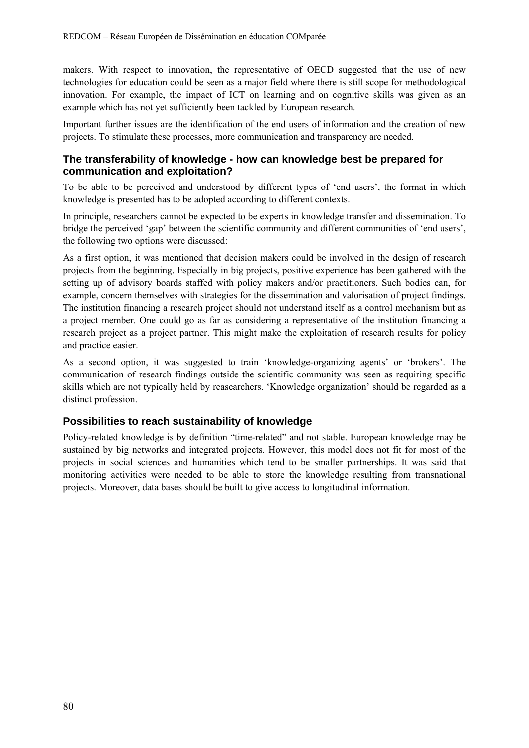makers. With respect to innovation, the representative of OECD suggested that the use of new technologies for education could be seen as a major field where there is still scope for methodological innovation. For example, the impact of ICT on learning and on cognitive skills was given as an example which has not yet sufficiently been tackled by European research.

Important further issues are the identification of the end users of information and the creation of new projects. To stimulate these processes, more communication and transparency are needed.

### **The transferability of knowledge - how can knowledge best be prepared for communication and exploitation?**

To be able to be perceived and understood by different types of 'end users', the format in which knowledge is presented has to be adopted according to different contexts.

In principle, researchers cannot be expected to be experts in knowledge transfer and dissemination. To bridge the perceived 'gap' between the scientific community and different communities of 'end users', the following two options were discussed:

As a first option, it was mentioned that decision makers could be involved in the design of research projects from the beginning. Especially in big projects, positive experience has been gathered with the setting up of advisory boards staffed with policy makers and/or practitioners. Such bodies can, for example, concern themselves with strategies for the dissemination and valorisation of project findings. The institution financing a research project should not understand itself as a control mechanism but as a project member. One could go as far as considering a representative of the institution financing a research project as a project partner. This might make the exploitation of research results for policy and practice easier.

As a second option, it was suggested to train 'knowledge-organizing agents' or 'brokers'. The communication of research findings outside the scientific community was seen as requiring specific skills which are not typically held by reasearchers. 'Knowledge organization' should be regarded as a distinct profession.

### **Possibilities to reach sustainability of knowledge**

Policy-related knowledge is by definition "time-related" and not stable. European knowledge may be sustained by big networks and integrated projects. However, this model does not fit for most of the projects in social sciences and humanities which tend to be smaller partnerships. It was said that monitoring activities were needed to be able to store the knowledge resulting from transnational projects. Moreover, data bases should be built to give access to longitudinal information.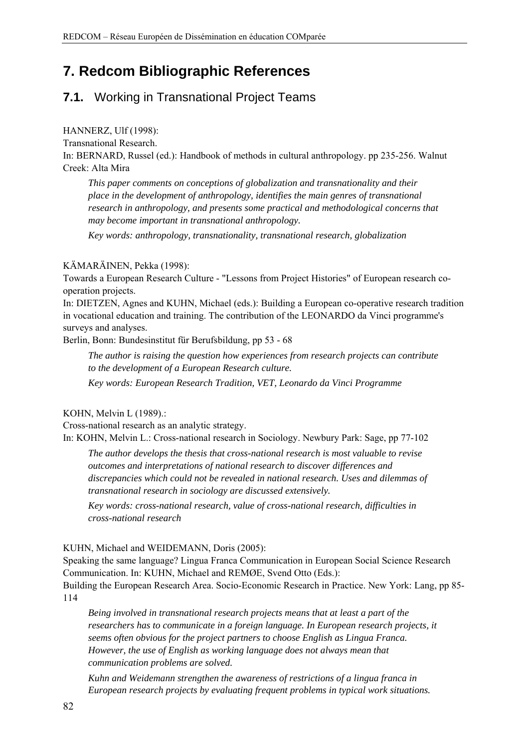# **7. Redcom Bibliographic References**

## **7.1.** Working in Transnational Project Teams

HANNERZ, Ulf (1998):

Transnational Research.

In: BERNARD, Russel (ed.): Handbook of methods in cultural anthropology. pp 235-256. Walnut Creek: Alta Mira

*This paper comments on conceptions of globalization and transnationality and their place in the development of anthropology, identifies the main genres of transnational research in anthropology, and presents some practical and methodological concerns that may become important in transnational anthropology.* 

*Key words: anthropology, transnationality, transnational research, globalization* 

### KÄMARÄINEN, Pekka (1998):

Towards a European Research Culture - "Lessons from Project Histories" of European research cooperation projects.

In: DIETZEN, Agnes and KUHN, Michael (eds.): Building a European co-operative research tradition in vocational education and training. The contribution of the LEONARDO da Vinci programme's surveys and analyses.

Berlin, Bonn: Bundesinstitut für Berufsbildung, pp 53 - 68

*The author is raising the question how experiences from research projects can contribute to the development of a European Research culture.* 

*Key words: European Research Tradition, VET, Leonardo da Vinci Programme* 

### KOHN, Melvin L (1989).:

Cross-national research as an analytic strategy.

In: KOHN, Melvin L.: Cross-national research in Sociology. Newbury Park: Sage, pp 77-102

*The author develops the thesis that cross-national research is most valuable to revise outcomes and interpretations of national research to discover differences and discrepancies which could not be revealed in national research. Uses and dilemmas of transnational research in sociology are discussed extensively.* 

*Key words: cross-national research, value of cross-national research, difficulties in cross-national research* 

KUHN, Michael and WEIDEMANN, Doris (2005):

Speaking the same language? Lingua Franca Communication in European Social Science Research Communication. In: KUHN, Michael and REMØE, Svend Otto (Eds.): Building the European Research Area. Socio-Economic Research in Practice. New York: Lang, pp 85- 114

*Being involved in transnational research projects means that at least a part of the researchers has to communicate in a foreign language. In European research projects, it seems often obvious for the project partners to choose English as Lingua Franca. However, the use of English as working language does not always mean that communication problems are solved.* 

*Kuhn and Weidemann strengthen the awareness of restrictions of a lingua franca in European research projects by evaluating frequent problems in typical work situations.*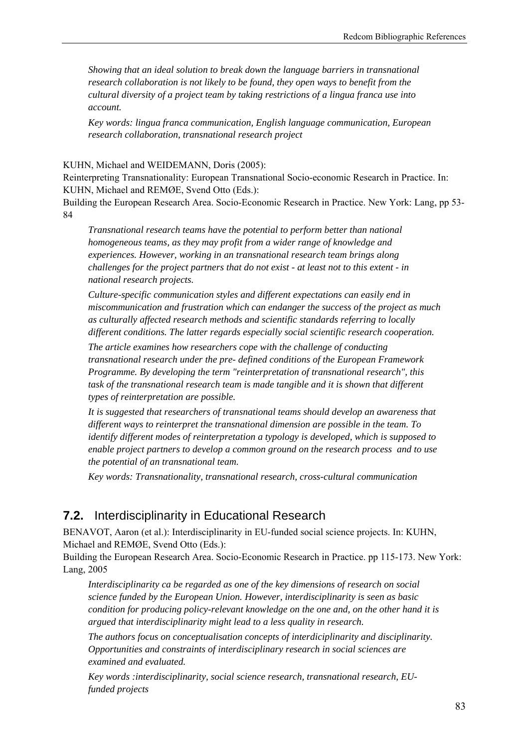*Showing that an ideal solution to break down the language barriers in transnational research collaboration is not likely to be found, they open ways to benefit from the cultural diversity of a project team by taking restrictions of a lingua franca use into account.* 

*Key words: lingua franca communication, English language communication, European research collaboration, transnational research project* 

#### KUHN, Michael and WEIDEMANN, Doris (2005):

Reinterpreting Transnationality: European Transnational Socio-economic Research in Practice. In: KUHN, Michael and REMØE, Svend Otto (Eds.):

Building the European Research Area. Socio-Economic Research in Practice. New York: Lang, pp 53- 84

*Transnational research teams have the potential to perform better than national homogeneous teams, as they may profit from a wider range of knowledge and experiences. However, working in an transnational research team brings along challenges for the project partners that do not exist - at least not to this extent - in national research projects.* 

*Culture-specific communication styles and different expectations can easily end in miscommunication and frustration which can endanger the success of the project as much as culturally affected research methods and scientific standards referring to locally different conditions. The latter regards especially social scientific research cooperation.* 

*The article examines how researchers cope with the challenge of conducting transnational research under the pre- defined conditions of the European Framework Programme. By developing the term "reinterpretation of transnational research", this task of the transnational research team is made tangible and it is shown that different types of reinterpretation are possible.* 

*It is suggested that researchers of transnational teams should develop an awareness that different ways to reinterpret the transnational dimension are possible in the team. To identify different modes of reinterpretation a typology is developed, which is supposed to enable project partners to develop a common ground on the research process and to use the potential of an transnational team.* 

*Key words: Transnationality, transnational research, cross-cultural communication* 

## **7.2.** Interdisciplinarity in Educational Research

BENAVOT, Aaron (et al.): Interdisciplinarity in EU-funded social science projects. In: KUHN, Michael and REMØE, Svend Otto (Eds.):

Building the European Research Area. Socio-Economic Research in Practice. pp 115-173. New York: Lang, 2005

*Interdisciplinarity ca be regarded as one of the key dimensions of research on social science funded by the European Union. However, interdisciplinarity is seen as basic condition for producing policy-relevant knowledge on the one and, on the other hand it is argued that interdisciplinarity might lead to a less quality in research.* 

*The authors focus on conceptualisation concepts of interdiciplinarity and disciplinarity. Opportunities and constraints of interdisciplinary research in social sciences are examined and evaluated.* 

*Key words :interdisciplinarity, social science research, transnational research, EUfunded projects*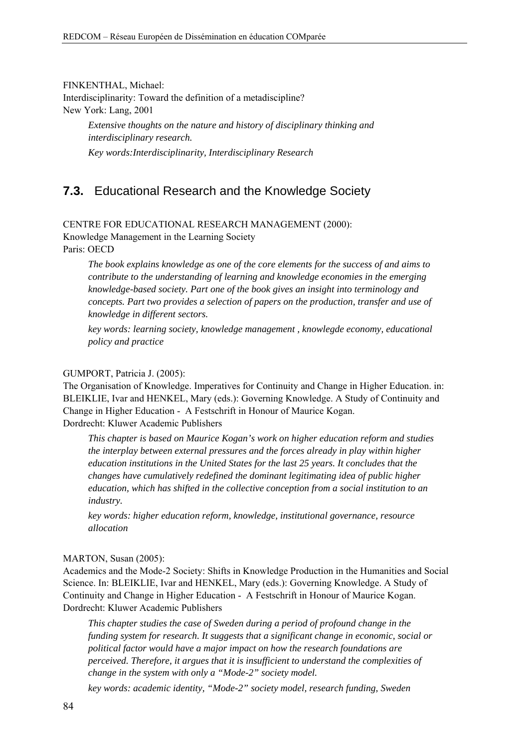FINKENTHAL, Michael:

Interdisciplinarity: Toward the definition of a metadiscipline? New York: Lang, 2001

> *Extensive thoughts on the nature and history of disciplinary thinking and interdisciplinary research.*

*Key words:Interdisciplinarity, Interdisciplinary Research* 

## **7.3.** Educational Research and the Knowledge Society

CENTRE FOR EDUCATIONAL RESEARCH MANAGEMENT (2000): Knowledge Management in the Learning Society

Paris: OECD

*The book explains knowledge as one of the core elements for the success of and aims to contribute to the understanding of learning and knowledge economies in the emerging knowledge-based society. Part one of the book gives an insight into terminology and concepts. Part two provides a selection of papers on the production, transfer and use of knowledge in different sectors.* 

*key words: learning society, knowledge management , knowlegde economy, educational policy and practice* 

#### GUMPORT, Patricia J. (2005):

The Organisation of Knowledge. Imperatives for Continuity and Change in Higher Education. in: BLEIKLIE, Ivar and HENKEL, Mary (eds.): Governing Knowledge. A Study of Continuity and Change in Higher Education - A Festschrift in Honour of Maurice Kogan. Dordrecht: Kluwer Academic Publishers

*This chapter is based on Maurice Kogan's work on higher education reform and studies the interplay between external pressures and the forces already in play within higher education institutions in the United States for the last 25 years. It concludes that the changes have cumulatively redefined the dominant legitimating idea of public higher education, which has shifted in the collective conception from a social institution to an industry.* 

*key words: higher education reform, knowledge, institutional governance, resource allocation* 

#### MARTON, Susan (2005):

Academics and the Mode-2 Society: Shifts in Knowledge Production in the Humanities and Social Science. In: BLEIKLIE, Ivar and HENKEL, Mary (eds.): Governing Knowledge. A Study of Continuity and Change in Higher Education - A Festschrift in Honour of Maurice Kogan. Dordrecht: Kluwer Academic Publishers

*This chapter studies the case of Sweden during a period of profound change in the funding system for research. It suggests that a significant change in economic, social or political factor would have a major impact on how the research foundations are perceived. Therefore, it argues that it is insufficient to understand the complexities of change in the system with only a "Mode-2" society model.* 

*key words: academic identity, "Mode-2" society model, research funding, Sweden*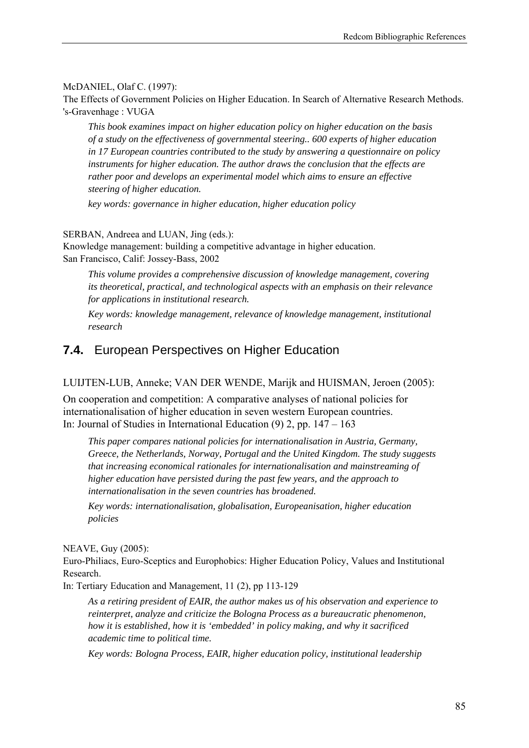McDANIEL, Olaf C. (1997):

The Effects of Government Policies on Higher Education. In Search of Alternative Research Methods. 's-Gravenhage : VUGA

*This book examines impact on higher education policy on higher education on the basis of a study on the effectiveness of governmental steering.. 600 experts of higher education in 17 European countries contributed to the study by answering a questionnaire on policy instruments for higher education. The author draws the conclusion that the effects are rather poor and develops an experimental model which aims to ensure an effective steering of higher education.* 

*key words: governance in higher education, higher education policy* 

SERBAN, Andreea and LUAN, Jing (eds.):

Knowledge management: building a competitive advantage in higher education. San Francisco, Calif: Jossey-Bass, 2002

*This volume provides a comprehensive discussion of knowledge management, covering its theoretical, practical, and technological aspects with an emphasis on their relevance for applications in institutional research.* 

*Key words: knowledge management, relevance of knowledge management, institutional research* 

## **7.4.** European Perspectives on Higher Education

#### LUIJTEN-LUB, Anneke; VAN DER WENDE, Marijk and HUISMAN, Jeroen (2005):

On cooperation and competition: A comparative analyses of national policies for internationalisation of higher education in seven western European countries. In: Journal of Studies in International Education (9) 2, pp. 147 – 163

*This paper compares national policies for internationalisation in Austria, Germany, Greece, the Netherlands, Norway, Portugal and the United Kingdom. The study suggests that increasing economical rationales for internationalisation and mainstreaming of higher education have persisted during the past few years, and the approach to internationalisation in the seven countries has broadened.* 

*Key words: internationalisation, globalisation, Europeanisation, higher education policies* 

NEAVE, Guy (2005):

Euro-Philiacs, Euro-Sceptics and Europhobics: Higher Education Policy, Values and Institutional Research.

In: Tertiary Education and Management, 11 (2), pp 113-129

*As a retiring president of EAIR, the author makes us of his observation and experience to reinterpret, analyze and criticize the Bologna Process as a bureaucratic phenomenon, how it is established, how it is 'embedded' in policy making, and why it sacrificed academic time to political time.* 

*Key words: Bologna Process, EAIR, higher education policy, institutional leadership*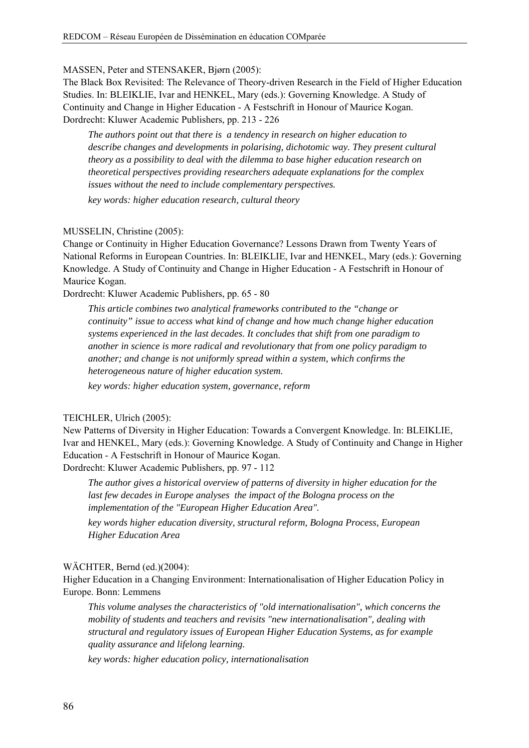#### MASSEN, Peter and STENSAKER, Bjørn (2005):

The Black Box Revisited: The Relevance of Theory-driven Research in the Field of Higher Education Studies. In: BLEIKLIE, Ivar and HENKEL, Mary (eds.): Governing Knowledge. A Study of Continuity and Change in Higher Education - A Festschrift in Honour of Maurice Kogan. Dordrecht: Kluwer Academic Publishers, pp. 213 - 226

*The authors point out that there is a tendency in research on higher education to describe changes and developments in polarising, dichotomic way. They present cultural theory as a possibility to deal with the dilemma to base higher education research on theoretical perspectives providing researchers adequate explanations for the complex issues without the need to include complementary perspectives.* 

*key words: higher education research, cultural theory* 

#### MUSSELIN, Christine (2005):

Change or Continuity in Higher Education Governance? Lessons Drawn from Twenty Years of National Reforms in European Countries. In: BLEIKLIE, Ivar and HENKEL, Mary (eds.): Governing Knowledge. A Study of Continuity and Change in Higher Education - A Festschrift in Honour of Maurice Kogan.

Dordrecht: Kluwer Academic Publishers, pp. 65 - 80

*This article combines two analytical frameworks contributed to the "change or continuity" issue to access what kind of change and how much change higher education systems experienced in the last decades. It concludes that shift from one paradigm to another in science is more radical and revolutionary that from one policy paradigm to another; and change is not uniformly spread within a system, which confirms the heterogeneous nature of higher education system.* 

*key words: higher education system, governance, reform* 

#### TEICHLER, Ulrich (2005):

New Patterns of Diversity in Higher Education: Towards a Convergent Knowledge. In: BLEIKLIE, Ivar and HENKEL, Mary (eds.): Governing Knowledge. A Study of Continuity and Change in Higher Education - A Festschrift in Honour of Maurice Kogan.

Dordrecht: Kluwer Academic Publishers, pp. 97 - 112

*The author gives a historical overview of patterns of diversity in higher education for the last few decades in Europe analyses the impact of the Bologna process on the implementation of the "European Higher Education Area".* 

*key words higher education diversity, structural reform, Bologna Process, European Higher Education Area* 

#### WÄCHTER, Bernd (ed.)(2004):

Higher Education in a Changing Environment: Internationalisation of Higher Education Policy in Europe. Bonn: Lemmens

*This volume analyses the characteristics of "old internationalisation", which concerns the mobility of students and teachers and revisits "new internationalisation", dealing with structural and regulatory issues of European Higher Education Systems, as for example quality assurance and lifelong learning.* 

*key words: higher education policy, internationalisation*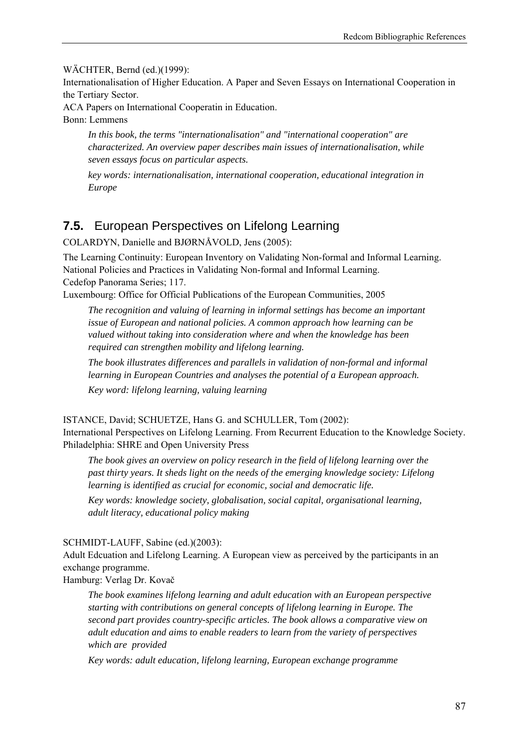### WÄCHTER, Bernd (ed.)(1999):

Internationalisation of Higher Education. A Paper and Seven Essays on International Cooperation in the Tertiary Sector.

ACA Papers on International Cooperatin in Education.

Bonn: Lemmens

*In this book, the terms "internationalisation" and "international cooperation" are characterized. An overview paper describes main issues of internationalisation, while seven essays focus on particular aspects.* 

*key words: internationalisation, international cooperation, educational integration in Europe* 

## **7.5.** European Perspectives on Lifelong Learning

COLARDYN, Danielle and BJØRNÅVOLD, Jens (2005):

The Learning Continuity: European Inventory on Validating Non-formal and Informal Learning. National Policies and Practices in Validating Non-formal and Informal Learning. Cedefop Panorama Series; 117.

Luxembourg: Office for Official Publications of the European Communities, 2005

*The recognition and valuing of learning in informal settings has become an important issue of European and national policies. A common approach how learning can be valued without taking into consideration where and when the knowledge has been required can strengthen mobility and lifelong learning.* 

*The book illustrates differences and parallels in validation of non-formal and informal learning in European Countries and analyses the potential of a European approach. Key word: lifelong learning, valuing learning* 

ISTANCE, David; SCHUETZE, Hans G. and SCHULLER, Tom (2002): International Perspectives on Lifelong Learning. From Recurrent Education to the Knowledge Society. Philadelphia: SHRE and Open University Press

*The book gives an overview on policy research in the field of lifelong learning over the past thirty years. It sheds light on the needs of the emerging knowledge society: Lifelong learning is identified as crucial for economic, social and democratic life.* 

*Key words: knowledge society, globalisation, social capital, organisational learning, adult literacy, educational policy making* 

### SCHMIDT-LAUFF, Sabine (ed.)(2003):

Adult Edcuation and Lifelong Learning. A European view as perceived by the participants in an exchange programme.

Hamburg: Verlag Dr. Kovač

*The book examines lifelong learning and adult education with an European perspective starting with contributions on general concepts of lifelong learning in Europe. The second part provides country-specific articles. The book allows a comparative view on adult education and aims to enable readers to learn from the variety of perspectives which are provided* 

*Key words: adult education, lifelong learning, European exchange programme*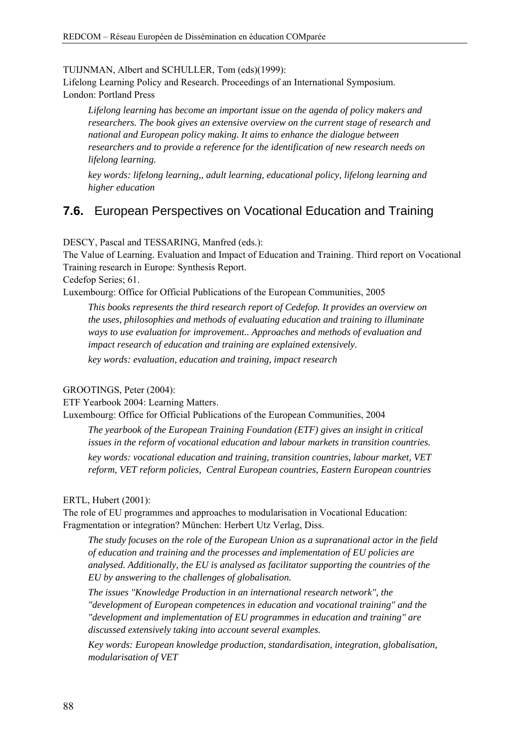#### TUIJNMAN, Albert and SCHULLER, Tom (eds)(1999):

Lifelong Learning Policy and Research. Proceedings of an International Symposium. London: Portland Press

*Lifelong learning has become an important issue on the agenda of policy makers and researchers. The book gives an extensive overview on the current stage of research and national and European policy making. It aims to enhance the dialogue between researchers and to provide a reference for the identification of new research needs on lifelong learning.* 

*key words: lifelong learning,, adult learning, educational policy, lifelong learning and higher education* 

## **7.6.** European Perspectives on Vocational Education and Training

DESCY, Pascal and TESSARING, Manfred (eds.):

The Value of Learning. Evaluation and Impact of Education and Training. Third report on Vocational Training research in Europe: Synthesis Report.

Cedefop Series; 61.

Luxembourg: Office for Official Publications of the European Communities, 2005

*This books represents the third research report of Cedefop. It provides an overview on the uses, philosophies and methods of evaluating education and training to illuminate ways to use evaluation for improvement.. Approaches and methods of evaluation and impact research of education and training are explained extensively.* 

*key words: evaluation, education and training, impact research* 

#### GROOTINGS, Peter (2004):

ETF Yearbook 2004: Learning Matters.

Luxembourg: Office for Official Publications of the European Communities, 2004

*The yearbook of the European Training Foundation (ETF) gives an insight in critical issues in the reform of vocational education and labour markets in transition countries.* 

*key words: vocational education and training, transition countries, labour market, VET reform, VET reform policies, Central European countries, Eastern European countries* 

#### ERTL, Hubert (2001):

The role of EU programmes and approaches to modularisation in Vocational Education: Fragmentation or integration? München: Herbert Utz Verlag, Diss.

*The study focuses on the role of the European Union as a supranational actor in the field of education and training and the processes and implementation of EU policies are analysed. Additionally, the EU is analysed as facilitator supporting the countries of the EU by answering to the challenges of globalisation.* 

*The issues "Knowledge Production in an international research network", the "development of European competences in education and vocational training" and the "development and implementation of EU programmes in education and training" are discussed extensively taking into account several examples.* 

*Key words: European knowledge production, standardisation, integration, globalisation, modularisation of VET*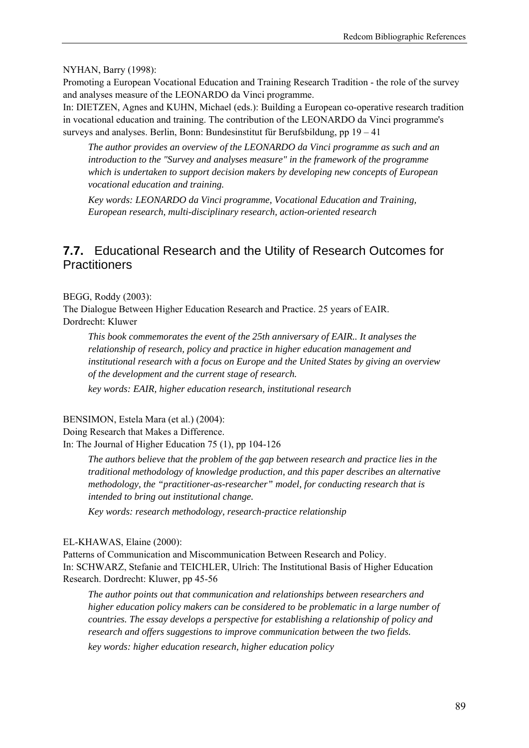NYHAN, Barry (1998):

Promoting a European Vocational Education and Training Research Tradition - the role of the survey and analyses measure of the LEONARDO da Vinci programme.

In: DIETZEN, Agnes and KUHN, Michael (eds.): Building a European co-operative research tradition in vocational education and training. The contribution of the LEONARDO da Vinci programme's surveys and analyses. Berlin, Bonn: Bundesinstitut für Berufsbildung, pp 19 – 41

*The author provides an overview of the LEONARDO da Vinci programme as such and an introduction to the "Survey and analyses measure" in the framework of the programme which is undertaken to support decision makers by developing new concepts of European vocational education and training.* 

*Key words: LEONARDO da Vinci programme, Vocational Education and Training, European research, multi-disciplinary research, action-oriented research* 

## **7.7.** Educational Research and the Utility of Research Outcomes for **Practitioners**

BEGG, Roddy (2003):

The Dialogue Between Higher Education Research and Practice. 25 years of EAIR. Dordrecht: Kluwer

*This book commemorates the event of the 25th anniversary of EAIR.. It analyses the relationship of research, policy and practice in higher education management and institutional research with a focus on Europe and the United States by giving an overview of the development and the current stage of research.* 

*key words: EAIR, higher education research, institutional research* 

BENSIMON, Estela Mara (et al.) (2004):

Doing Research that Makes a Difference. In: The Journal of Higher Education 75 (1), pp 104-126

> *The authors believe that the problem of the gap between research and practice lies in the traditional methodology of knowledge production, and this paper describes an alternative methodology, the "practitioner-as-researcher" model, for conducting research that is intended to bring out institutional change.*

*Key words: research methodology, research-practice relationship* 

### EL-KHAWAS, Elaine (2000):

Patterns of Communication and Miscommunication Between Research and Policy. In: SCHWARZ, Stefanie and TEICHLER, Ulrich: The Institutional Basis of Higher Education Research. Dordrecht: Kluwer, pp 45-56

*The author points out that communication and relationships between researchers and higher education policy makers can be considered to be problematic in a large number of countries. The essay develops a perspective for establishing a relationship of policy and research and offers suggestions to improve communication between the two fields.* 

*key words: higher education research, higher education policy*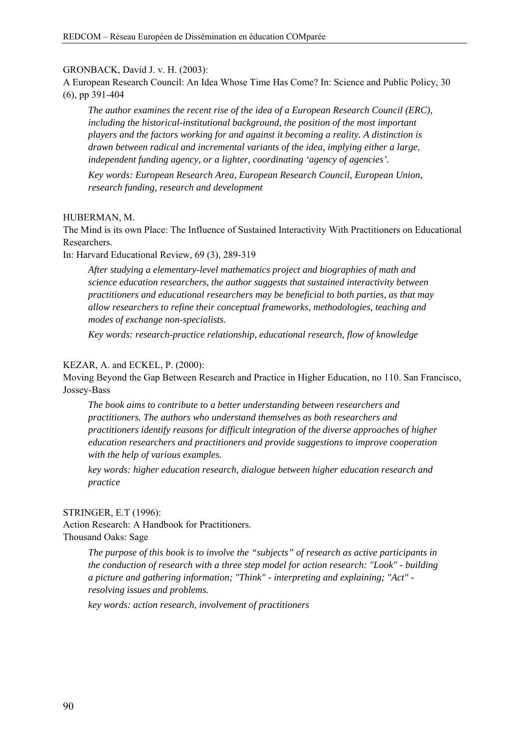#### GRONBACK, David J. v. H. (2003):

A European Research Council: An Idea Whose Time Has Come? In: Science and Public Policy, 30 (6), pp 391-404

*The author examines the recent rise of the idea of a European Research Council (ERC), including the historical-institutional background, the position of the most important players and the factors working for and against it becoming a reality. A distinction is drawn between radical and incremental variants of the idea, implying either a large, independent funding agency, or a lighter, coordinating 'agency of agencies'.* 

*Key words: European Research Area, European Research Council, European Union, research funding, research and development* 

#### HUBERMAN, M.

The Mind is its own Place: The Influence of Sustained Interactivity With Practitioners on Educational Researchers.

In: Harvard Educational Review, 69 (3), 289-319

*After studying a elementary-level mathematics project and biographies of math and science education researchers, the author suggests that sustained interactivity between practitioners and educational researchers may be beneficial to both parties, as that may allow researchers to refine their conceptual frameworks, methodologies, teaching and modes of exchange non-specialists.* 

*Key words: research-practice relationship, educational research, flow of knowledge* 

#### KEZAR, A. and ECKEL, P. (2000):

Moving Beyond the Gap Between Research and Practice in Higher Education, no 110. San Francisco, Jossey-Bass

*The book aims to contribute to a better understanding between researchers and practitioners. The authors who understand themselves as both researchers and practitioners identify reasons for difficult integration of the diverse approaches of higher education researchers and practitioners and provide suggestions to improve cooperation with the help of various examples.* 

*key words: higher education research, dialogue between higher education research and practice* 

#### STRINGER, E.T (1996):

Action Research: A Handbook for Practitioners. Thousand Oaks: Sage

> *The purpose of this book is to involve the "subjects" of research as active participants in the conduction of research with a three step model for action research: "Look" - building a picture and gathering information; "Think" - interpreting and explaining; "Act" resolving issues and problems.*

*key words: action research, involvement of practitioners*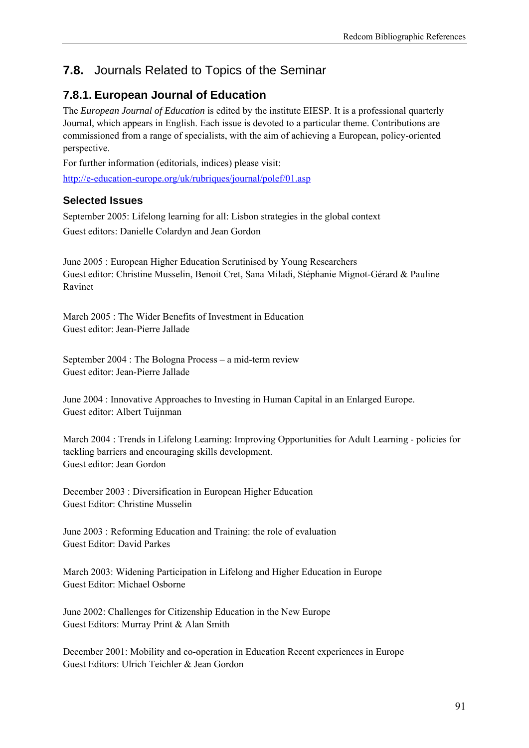## **7.8.** Journals Related to Topics of the Seminar

## **7.8.1. European Journal of Education**

The *European Journal of Education* is edited by the institute EIESP. It is a professional quarterly Journal, which appears in English. Each issue is devoted to a particular theme. Contributions are commissioned from a range of specialists, with the aim of achieving a European, policy-oriented perspective.

For further information (editorials, indices) please visit:

http://e-education-europe.org/uk/rubriques/journal/polef/01.asp

### **Selected Issues**

September 2005: Lifelong learning for all: Lisbon strategies in the global context Guest editors: Danielle Colardyn and Jean Gordon

June 2005 : European Higher Education Scrutinised by Young Researchers Guest editor: Christine Musselin, Benoit Cret, Sana Miladi, Stéphanie Mignot-Gérard & Pauline Ravinet

March 2005 : The Wider Benefits of Investment in Education Guest editor: Jean-Pierre Jallade

September 2004 : The Bologna Process – a mid-term review Guest editor: Jean-Pierre Jallade

June 2004 : Innovative Approaches to Investing in Human Capital in an Enlarged Europe. Guest editor: Albert Tuijnman

March 2004 : Trends in Lifelong Learning: Improving Opportunities for Adult Learning - policies for tackling barriers and encouraging skills development. Guest editor: Jean Gordon

December 2003 : Diversification in European Higher Education Guest Editor: Christine Musselin

June 2003 : Reforming Education and Training: the role of evaluation Guest Editor: David Parkes

March 2003: Widening Participation in Lifelong and Higher Education in Europe Guest Editor: Michael Osborne

June 2002: Challenges for Citizenship Education in the New Europe Guest Editors: Murray Print & Alan Smith

December 2001: Mobility and co-operation in Education Recent experiences in Europe Guest Editors: Ulrich Teichler & Jean Gordon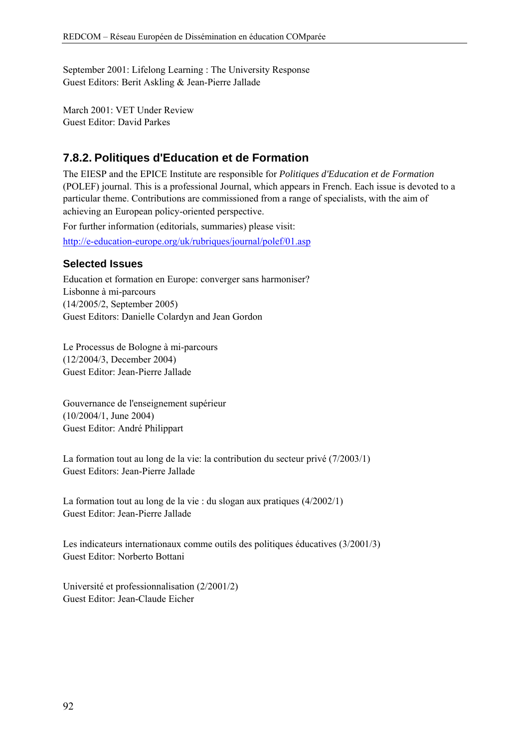September 2001: Lifelong Learning : The University Response Guest Editors: Berit Askling & Jean-Pierre Jallade

March 2001: VET Under Review Guest Editor: David Parkes

## **7.8.2. Politiques d'Education et de Formation**

The EIESP and the EPICE Institute are responsible for *Politiques d'Education et de Formation* (POLEF) journal. This is a professional Journal, which appears in French. Each issue is devoted to a particular theme. Contributions are commissioned from a range of specialists, with the aim of achieving an European policy-oriented perspective.

For further information (editorials, summaries) please visit: http://e-education-europe.org/uk/rubriques/journal/polef/01.asp

## **Selected Issues**

Education et formation en Europe: converger sans harmoniser? Lisbonne à mi-parcours (14/2005/2, September 2005) Guest Editors: Danielle Colardyn and Jean Gordon

Le Processus de Bologne à mi-parcours (12/2004/3, December 2004) Guest Editor: Jean-Pierre Jallade

Gouvernance de l'enseignement supérieur (10/2004/1, June 2004) Guest Editor: André Philippart

La formation tout au long de la vie: la contribution du secteur privé (7/2003/1) Guest Editors: Jean-Pierre Jallade

La formation tout au long de la vie : du slogan aux pratiques (4/2002/1) Guest Editor: Jean-Pierre Jallade

Les indicateurs internationaux comme outils des politiques éducatives (3/2001/3) Guest Editor: Norberto Bottani

Université et professionnalisation (2/2001/2) Guest Editor: Jean-Claude Eicher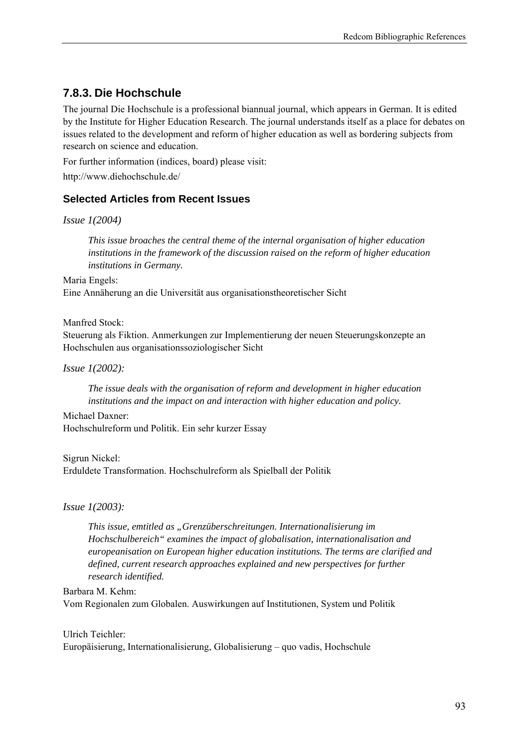## **7.8.3. Die Hochschule**

The journal Die Hochschule is a professional biannual journal, which appears in German. It is edited by the Institute for Higher Education Research. The journal understands itself as a place for debates on issues related to the development and reform of higher education as well as bordering subjects from research on science and education.

For further information (indices, board) please visit:

http://www.diehochschule.de/

## **Selected Articles from Recent Issues**

*Issue 1(2004)* 

*This issue broaches the central theme of the internal organisation of higher education institutions in the framework of the discussion raised on the reform of higher education institutions in Germany.* 

Maria Engels:

Eine Annäherung an die Universität aus organisationstheoretischer Sicht

Manfred Stock:

Steuerung als Fiktion. Anmerkungen zur Implementierung der neuen Steuerungskonzepte an Hochschulen aus organisationssoziologischer Sicht

*Issue 1(2002):* 

*The issue deals with the organisation of reform and development in higher education institutions and the impact on and interaction with higher education and policy.* 

Michael Daxner: Hochschulreform und Politik. Ein sehr kurzer Essay

Sigrun Nickel: Erduldete Transformation. Hochschulreform als Spielball der Politik

*Issue 1(2003):* 

*This issue, emtitled as "Grenzüberschreitungen. Internationalisierung im Hochschulbereich" examines the impact of globalisation, internationalisation and europeanisation on European higher education institutions. The terms are clarified and defined, current research approaches explained and new perspectives for further research identified.* 

Barbara M. Kehm: Vom Regionalen zum Globalen. Auswirkungen auf Institutionen, System und Politik

Ulrich Teichler:

Europäisierung, Internationalisierung, Globalisierung – quo vadis, Hochschule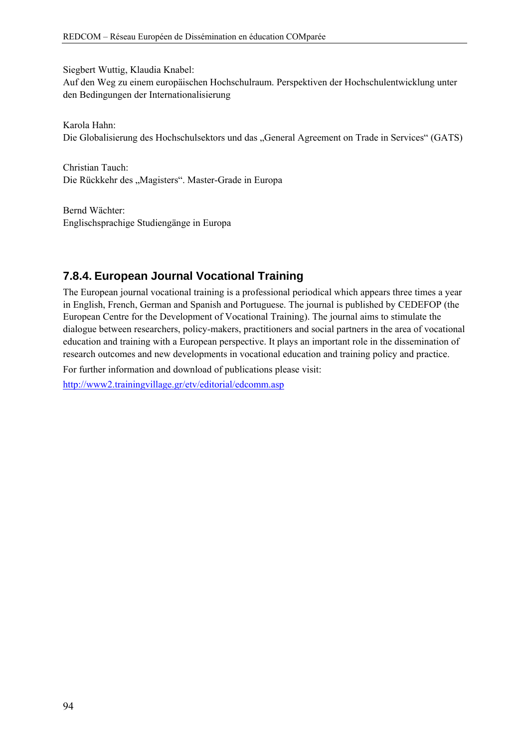Siegbert Wuttig, Klaudia Knabel:

Auf den Weg zu einem europäischen Hochschulraum. Perspektiven der Hochschulentwicklung unter den Bedingungen der Internationalisierung

Karola Hahn: Die Globalisierung des Hochschulsektors und das "General Agreement on Trade in Services" (GATS)

Christian Tauch: Die Rückkehr des "Magisters". Master-Grade in Europa

Bernd Wächter: Englischsprachige Studiengänge in Europa

## **7.8.4. European Journal Vocational Training**

The European journal vocational training is a professional periodical which appears three times a year in English, French, German and Spanish and Portuguese. The journal is published by CEDEFOP (the European Centre for the Development of Vocational Training). The journal aims to stimulate the dialogue between researchers, policy-makers, practitioners and social partners in the area of vocational education and training with a European perspective. It plays an important role in the dissemination of research outcomes and new developments in vocational education and training policy and practice.

For further information and download of publications please visit:

http://www2.trainingvillage.gr/etv/editorial/edcomm.asp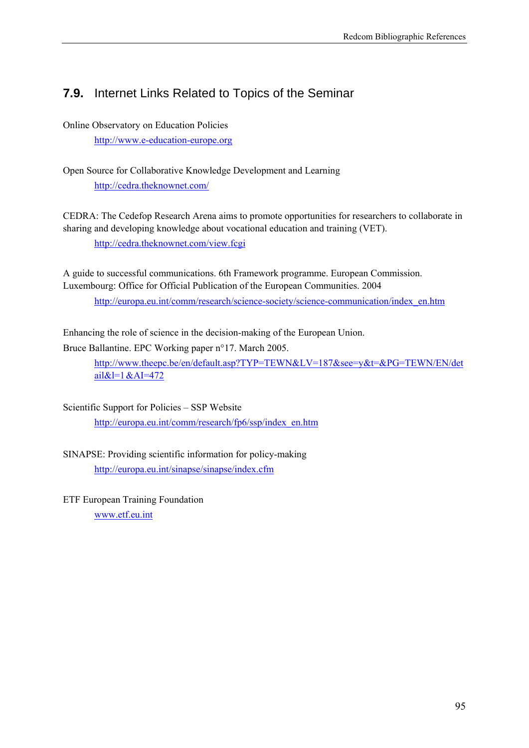## **7.9.** Internet Links Related to Topics of the Seminar

Online Observatory on Education Policies http://www.e-education-europe.org

Open Source for Collaborative Knowledge Development and Learning http://cedra.theknownet.com/

CEDRA: The Cedefop Research Arena aims to promote opportunities for researchers to collaborate in sharing and developing knowledge about vocational education and training (VET). http://cedra.theknownet.com/view.fcgi

A guide to successful communications. 6th Framework programme. European Commission. Luxembourg: Office for Official Publication of the European Communities. 2004 http://europa.eu.int/comm/research/science-society/science-communication/index\_en.htm

Enhancing the role of science in the decision-making of the European Union.

Bruce Ballantine. EPC Working paper n°17. March 2005.

http://www.theepc.be/en/default.asp?TYP=TEWN&LV=187&see=y&t=&PG=TEWN/EN/det  $ail&1=1 & A1=472$ 

Scientific Support for Policies – SSP Website http://europa.eu.int/comm/research/fp6/ssp/index\_en.htm

SINAPSE: Providing scientific information for policy-making http://europa.eu.int/sinapse/sinapse/index.cfm

ETF European Training Foundation www.etf.eu.int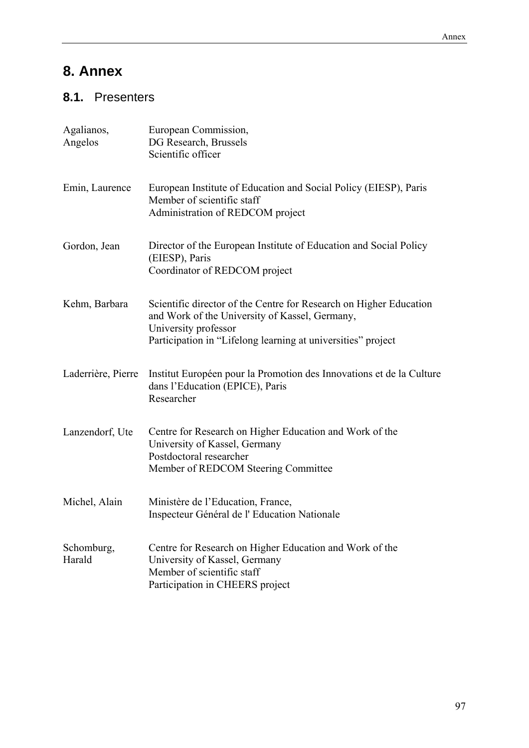# **8. Annex**

# **8.1.** Presenters

| Agalianos,<br>Angelos | European Commission,<br>DG Research, Brussels<br>Scientific officer                                                                                                                                          |
|-----------------------|--------------------------------------------------------------------------------------------------------------------------------------------------------------------------------------------------------------|
| Emin, Laurence        | European Institute of Education and Social Policy (EIESP), Paris<br>Member of scientific staff<br>Administration of REDCOM project                                                                           |
| Gordon, Jean          | Director of the European Institute of Education and Social Policy<br>(EIESP), Paris<br>Coordinator of REDCOM project                                                                                         |
| Kehm, Barbara         | Scientific director of the Centre for Research on Higher Education<br>and Work of the University of Kassel, Germany,<br>University professor<br>Participation in "Lifelong learning at universities" project |
| Laderrière, Pierre    | Institut Européen pour la Promotion des Innovations et de la Culture<br>dans l'Education (EPICE), Paris<br>Researcher                                                                                        |
| Lanzendorf, Ute       | Centre for Research on Higher Education and Work of the<br>University of Kassel, Germany<br>Postdoctoral researcher<br>Member of REDCOM Steering Committee                                                   |
| Michel, Alain         | Ministère de l'Education, France,<br>Inspecteur Général de l'Education Nationale                                                                                                                             |
| Schomburg,<br>Harald  | Centre for Research on Higher Education and Work of the<br>University of Kassel, Germany<br>Member of scientific staff<br>Participation in CHEERS project                                                    |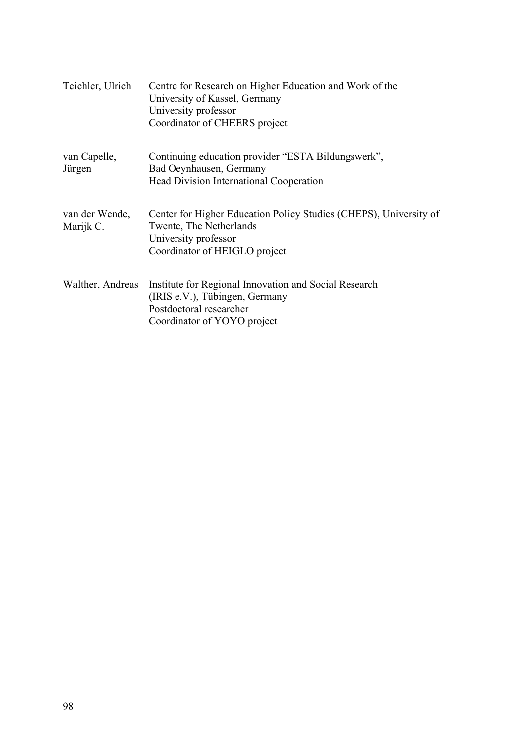| Teichler, Ulrich            | Centre for Research on Higher Education and Work of the<br>University of Kassel, Germany<br>University professor<br>Coordinator of CHEERS project     |
|-----------------------------|-------------------------------------------------------------------------------------------------------------------------------------------------------|
| van Capelle,<br>Jürgen      | Continuing education provider "ESTA Bildungswerk",<br>Bad Oeynhausen, Germany<br><b>Head Division International Cooperation</b>                       |
| van der Wende,<br>Marijk C. | Center for Higher Education Policy Studies (CHEPS), University of<br>Twente, The Netherlands<br>University professor<br>Coordinator of HEIGLO project |
| Walther, Andreas            | Institute for Regional Innovation and Social Research<br>(IRIS e.V.), Tübingen, Germany<br>Postdoctoral researcher<br>Coordinator of YOYO project     |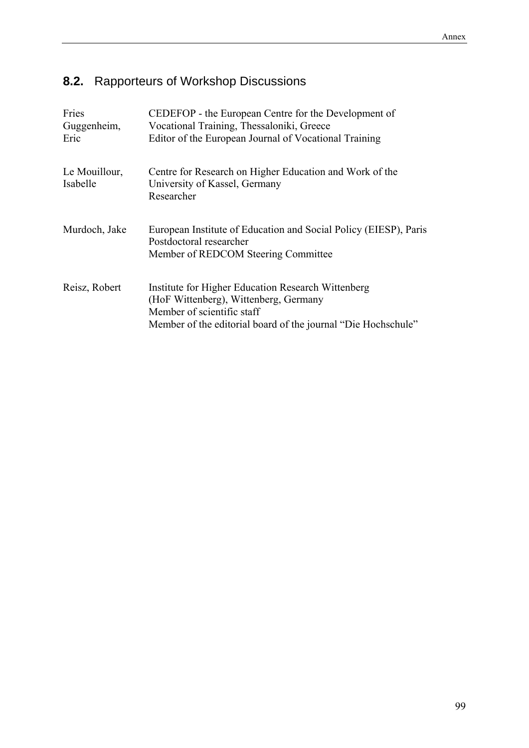# **8.2.** Rapporteurs of Workshop Discussions

| Fries<br>Guggenheim,<br>Eric | CEDEFOP - the European Centre for the Development of<br>Vocational Training, Thessaloniki, Greece<br>Editor of the European Journal of Vocational Training                                 |
|------------------------------|--------------------------------------------------------------------------------------------------------------------------------------------------------------------------------------------|
| Le Mouillour,<br>Isabelle    | Centre for Research on Higher Education and Work of the<br>University of Kassel, Germany<br>Researcher                                                                                     |
| Murdoch, Jake                | European Institute of Education and Social Policy (EIESP), Paris<br>Postdoctoral researcher<br>Member of REDCOM Steering Committee                                                         |
| Reisz, Robert                | Institute for Higher Education Research Wittenberg<br>(HoF Wittenberg), Wittenberg, Germany<br>Member of scientific staff<br>Member of the editorial board of the journal "Die Hochschule" |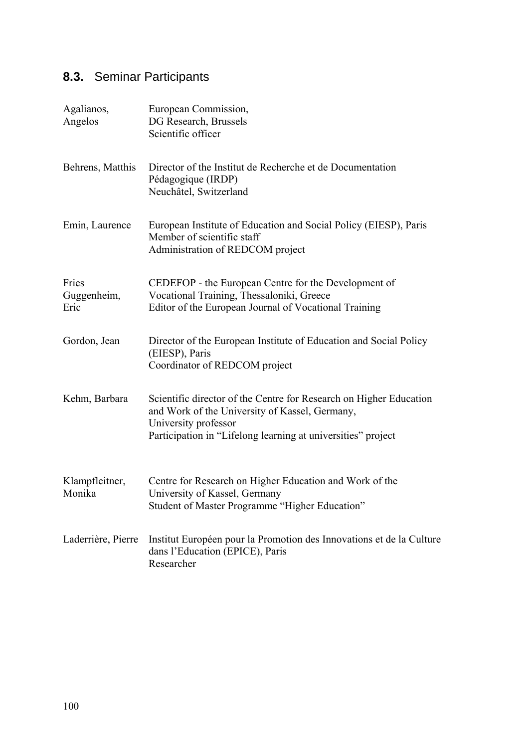# **8.3.** Seminar Participants

| Agalianos,<br>Angelos        | European Commission,<br>DG Research, Brussels<br>Scientific officer                                                                                                                                          |
|------------------------------|--------------------------------------------------------------------------------------------------------------------------------------------------------------------------------------------------------------|
| Behrens, Matthis             | Director of the Institut de Recherche et de Documentation<br>Pédagogique (IRDP)<br>Neuchâtel, Switzerland                                                                                                    |
| Emin, Laurence               | European Institute of Education and Social Policy (EIESP), Paris<br>Member of scientific staff<br>Administration of REDCOM project                                                                           |
| Fries<br>Guggenheim,<br>Eric | CEDEFOP - the European Centre for the Development of<br>Vocational Training, Thessaloniki, Greece<br>Editor of the European Journal of Vocational Training                                                   |
| Gordon, Jean                 | Director of the European Institute of Education and Social Policy<br>(EIESP), Paris<br>Coordinator of REDCOM project                                                                                         |
| Kehm, Barbara                | Scientific director of the Centre for Research on Higher Education<br>and Work of the University of Kassel, Germany,<br>University professor<br>Participation in "Lifelong learning at universities" project |
| Klampfleitner,<br>Monika     | Centre for Research on Higher Education and Work of the<br>University of Kassel, Germany<br>Student of Master Programme "Higher Education"                                                                   |
| Laderrière, Pierre           | Institut Européen pour la Promotion des Innovations et de la Culture<br>dans l'Education (EPICE), Paris<br>Researcher                                                                                        |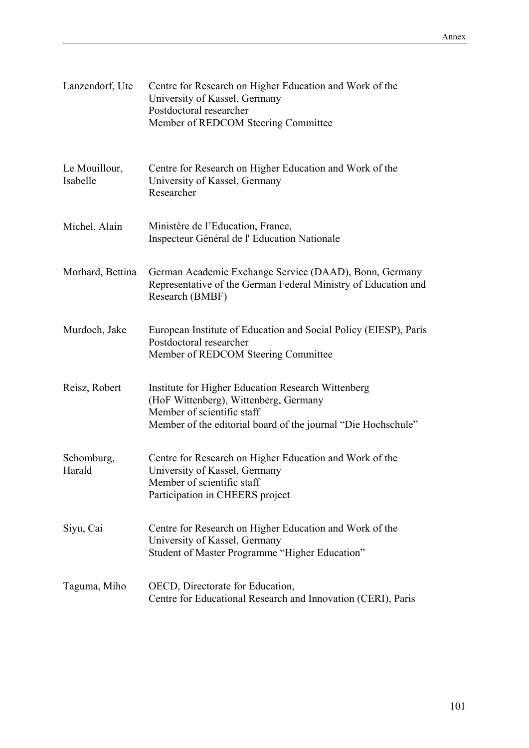| Lanzendorf, Ute           | Centre for Research on Higher Education and Work of the<br>University of Kassel, Germany<br>Postdoctoral researcher<br>Member of REDCOM Steering Committee                                 |
|---------------------------|--------------------------------------------------------------------------------------------------------------------------------------------------------------------------------------------|
| Le Mouillour,<br>Isabelle | Centre for Research on Higher Education and Work of the<br>University of Kassel, Germany<br>Researcher                                                                                     |
| Michel, Alain             | Ministère de l'Education, France,<br>Inspecteur Général de l'Education Nationale                                                                                                           |
| Morhard, Bettina          | German Academic Exchange Service (DAAD), Bonn, Germany<br>Representative of the German Federal Ministry of Education and<br>Research (BMBF)                                                |
| Murdoch, Jake             | European Institute of Education and Social Policy (EIESP), Paris<br>Postdoctoral researcher<br>Member of REDCOM Steering Committee                                                         |
| Reisz, Robert             | Institute for Higher Education Research Wittenberg<br>(HoF Wittenberg), Wittenberg, Germany<br>Member of scientific staff<br>Member of the editorial board of the journal "Die Hochschule" |
| Schomburg,<br>Harald      | Centre for Research on Higher Education and Work of the<br>University of Kassel, Germany<br>Member of scientific staff<br>Participation in CHEERS project                                  |
| Siyu, Cai                 | Centre for Research on Higher Education and Work of the<br>University of Kassel, Germany<br>Student of Master Programme "Higher Education"                                                 |
| Taguma, Miho              | OECD, Directorate for Education,<br>Centre for Educational Research and Innovation (CERI), Paris                                                                                           |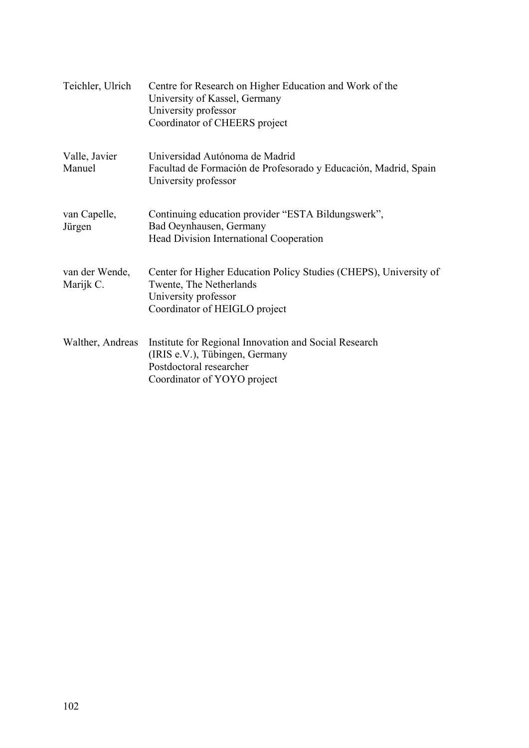| Teichler, Ulrich            | Centre for Research on Higher Education and Work of the<br>University of Kassel, Germany<br>University professor<br>Coordinator of CHEERS project     |
|-----------------------------|-------------------------------------------------------------------------------------------------------------------------------------------------------|
| Valle, Javier<br>Manuel     | Universidad Autónoma de Madrid<br>Facultad de Formación de Profesorado y Educación, Madrid, Spain<br>University professor                             |
| van Capelle,<br>Jürgen      | Continuing education provider "ESTA Bildungswerk",<br>Bad Oeynhausen, Germany<br><b>Head Division International Cooperation</b>                       |
| van der Wende,<br>Marijk C. | Center for Higher Education Policy Studies (CHEPS), University of<br>Twente, The Netherlands<br>University professor<br>Coordinator of HEIGLO project |
| Walther, Andreas            | Institute for Regional Innovation and Social Research<br>(IRIS e.V.), Tübingen, Germany<br>Postdoctoral researcher<br>Coordinator of YOYO project     |